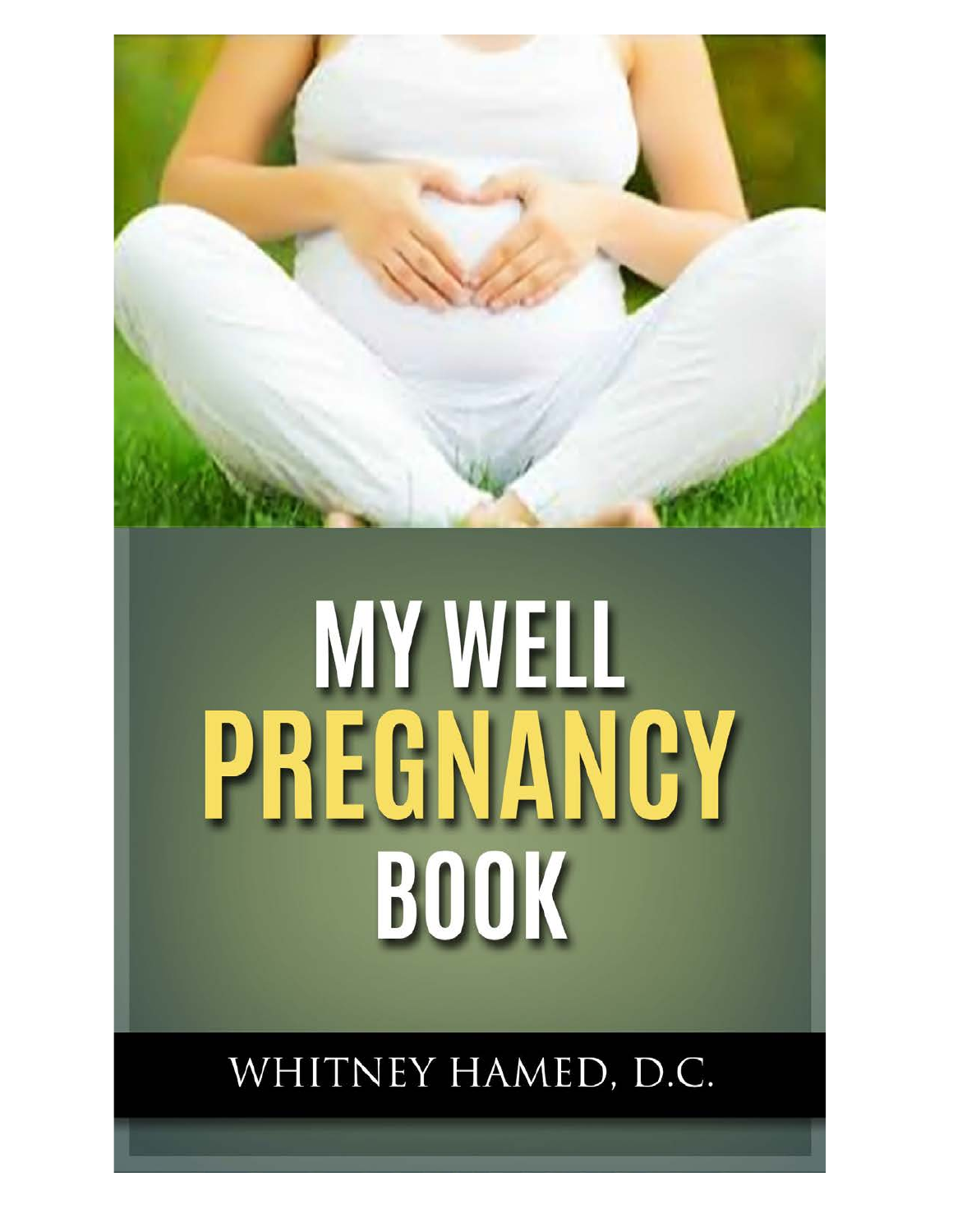

### WHITNEY HAMED, D.C.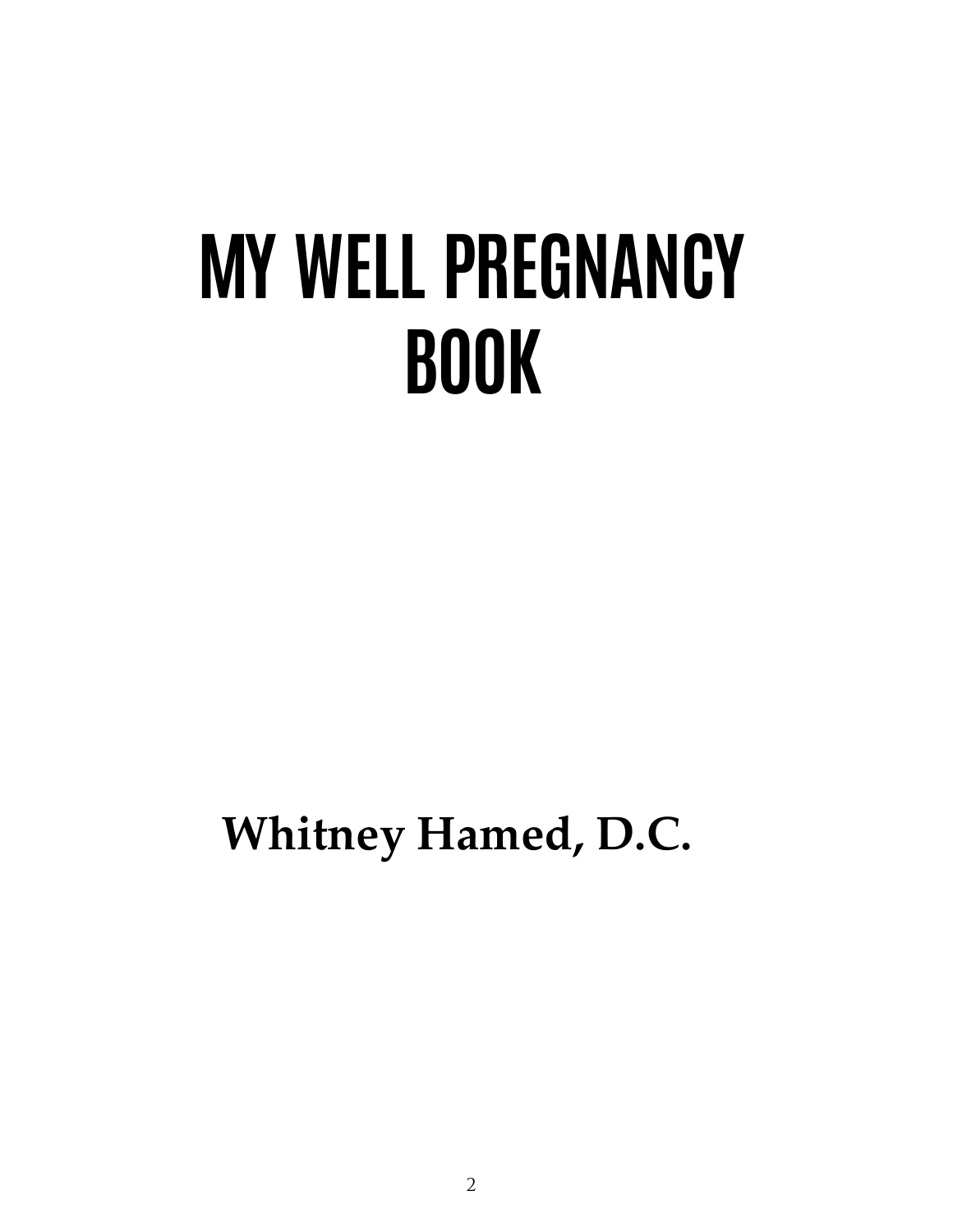**Whitney Hamed, D.C.**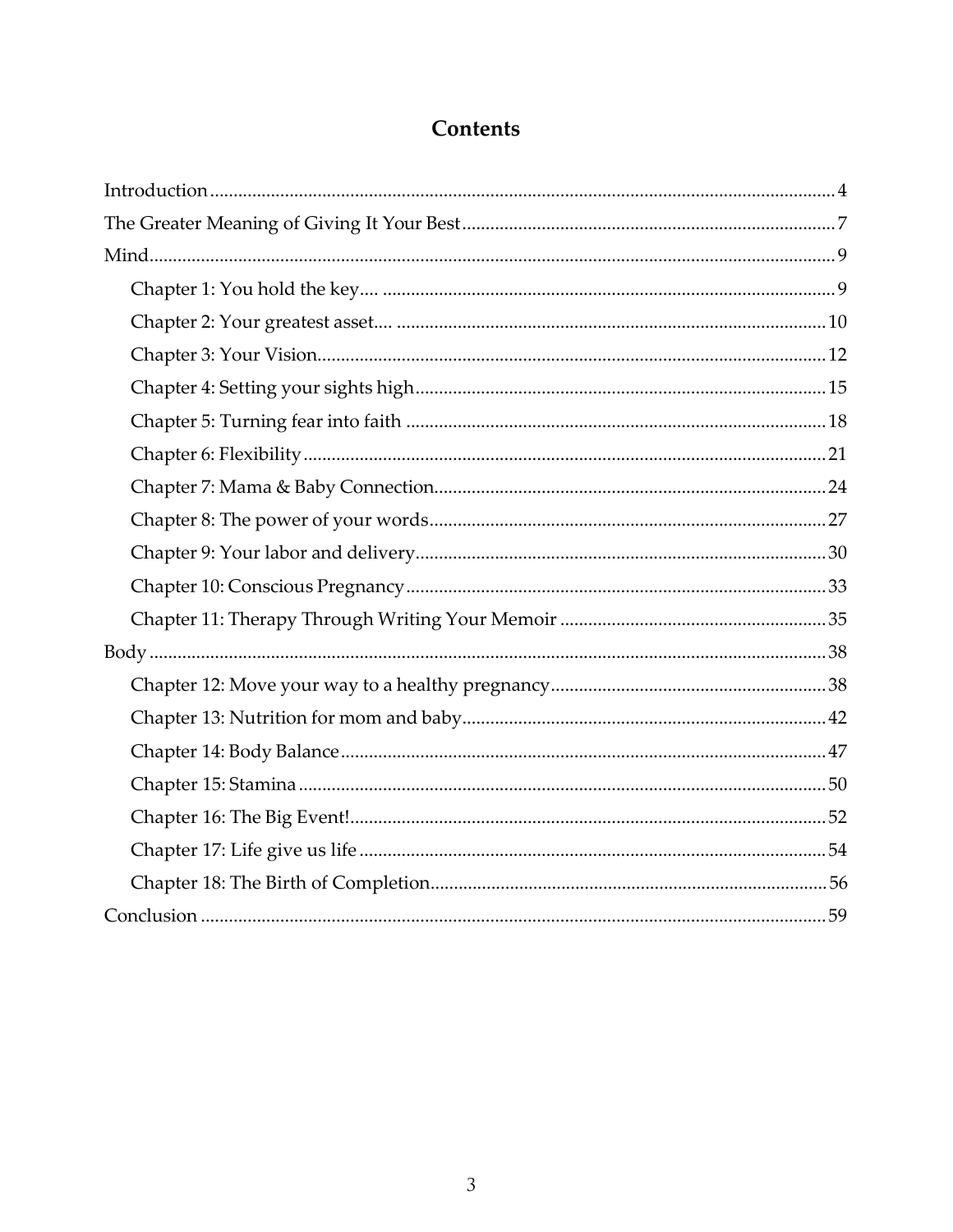#### Contents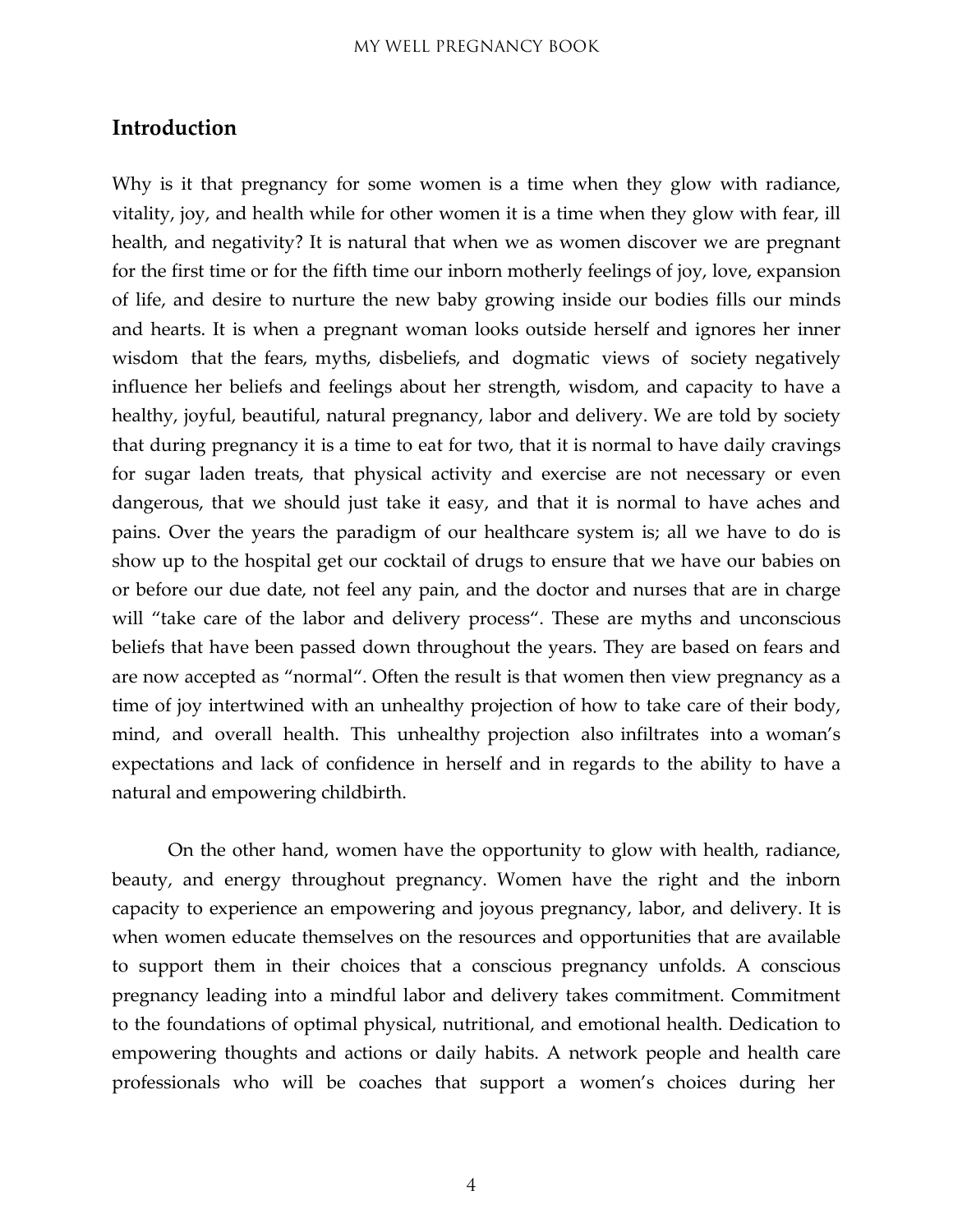#### <span id="page-3-0"></span>**Introduction**

Why is it that pregnancy for some women is a time when they glow with radiance, vitality, joy, and health while for other women it is a time when they glow with fear, ill health, and negativity? It is natural that when we as women discover we are pregnant for the first time or for the fifth time our inborn motherly feelings of joy, love, expansion of life, and desire to nurture the new baby growing inside our bodies fills our minds and hearts. It is when a pregnant woman looks outside herself and ignores her inner wisdom that the fears, myths, disbeliefs, and dogmatic views of society negatively influence her beliefs and feelings about her strength, wisdom, and capacity to have a healthy, joyful, beautiful, natural pregnancy, labor and delivery. We are told by society that during pregnancy it is a time to eat for two, that it is normal to have daily cravings for sugar laden treats, that physical activity and exercise are not necessary or even dangerous, that we should just take it easy, and that it is normal to have aches and pains. Over the years the paradigm of our healthcare system is; all we have to do is show up to the hospital get our cocktail of drugs to ensure that we have our babies on or before our due date, not feel any pain, and the doctor and nurses that are in charge will "take care of the labor and delivery process". These are myths and unconscious beliefs that have been passed down throughout the years. They are based on fears and are now accepted as "normal". Often the result is that women then view pregnancy as a time of joy intertwined with an unhealthy projection of how to take care of their body, mind, and overall health. This unhealthy projection also infiltrates into a woman's expectations and lack of confidence in herself and in regards to the ability to have a natural and empowering childbirth.

On the other hand, women have the opportunity to glow with health, radiance, beauty, and energy throughout pregnancy. Women have the right and the inborn capacity to experience an empowering and joyous pregnancy, labor, and delivery. It is when women educate themselves on the resources and opportunities that are available to support them in their choices that a conscious pregnancy unfolds. A conscious pregnancy leading into a mindful labor and delivery takes commitment. Commitment to the foundations of optimal physical, nutritional, and emotional health. Dedication to empowering thoughts and actions or daily habits. A network people and health care professionals who will be coaches that support a women's choices during her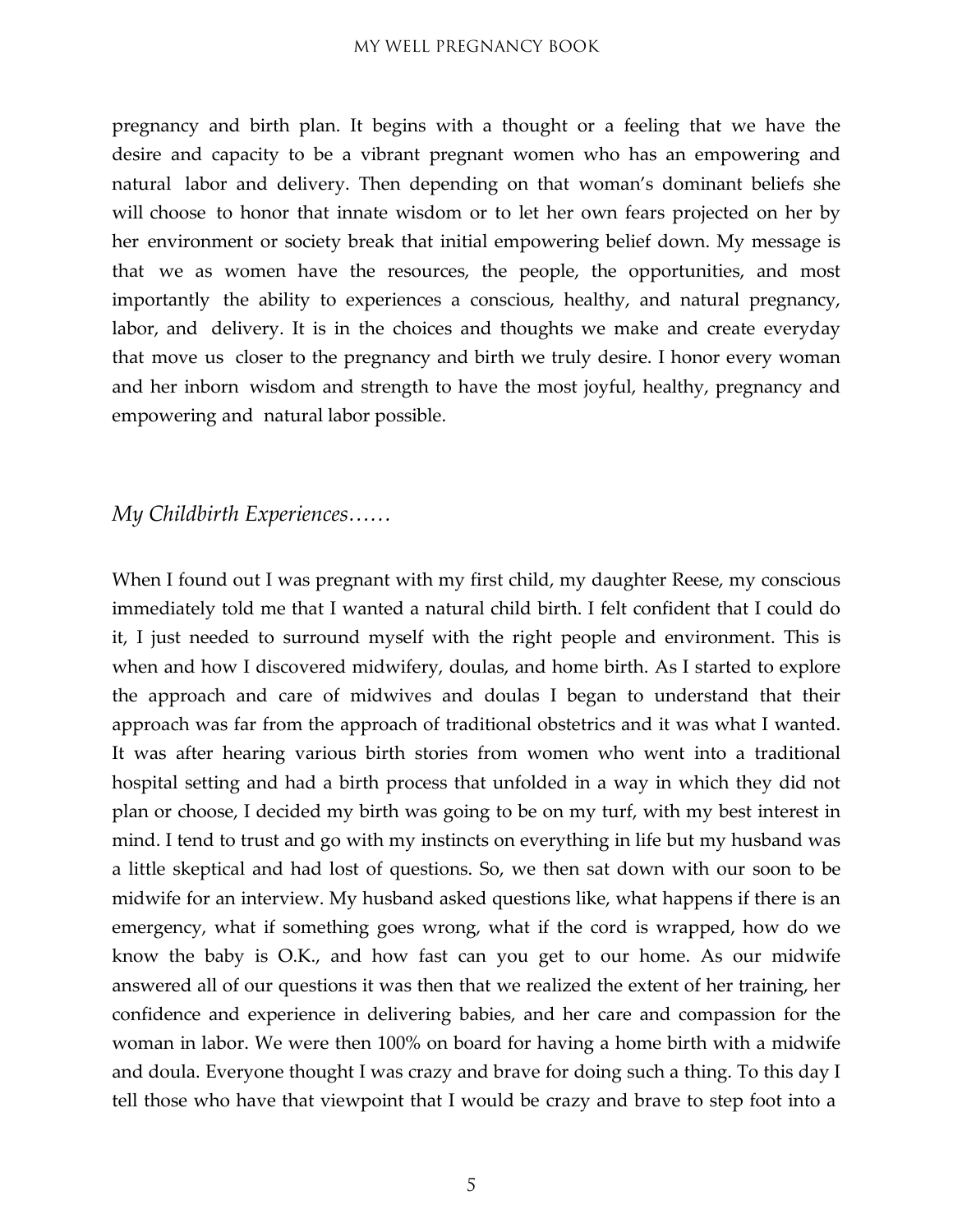pregnancy and birth plan. It begins with a thought or a feeling that we have the desire and capacity to be a vibrant pregnant women who has an empowering and natural labor and delivery. Then depending on that woman's dominant beliefs she will choose to honor that innate wisdom or to let her own fears projected on her by her environment or society break that initial empowering belief down. My message is that we as women have the resources, the people, the opportunities, and most importantly the ability to experiences a conscious, healthy, and natural pregnancy, labor, and delivery. It is in the choices and thoughts we make and create everyday that move us closer to the pregnancy and birth we truly desire. I honor every woman and her inborn wisdom and strength to have the most joyful, healthy, pregnancy and empowering and natural labor possible.

#### *My Childbirth Experiences……*

When I found out I was pregnant with my first child, my daughter Reese, my conscious immediately told me that I wanted a natural child birth. I felt confident that I could do it, I just needed to surround myself with the right people and environment. This is when and how I discovered midwifery, doulas, and home birth. As I started to explore the approach and care of midwives and doulas I began to understand that their approach was far from the approach of traditional obstetrics and it was what I wanted. It was after hearing various birth stories from women who went into a traditional hospital setting and had a birth process that unfolded in a way in which they did not plan or choose, I decided my birth was going to be on my turf, with my best interest in mind. I tend to trust and go with my instincts on everything in life but my husband was a little skeptical and had lost of questions. So, we then sat down with our soon to be midwife for an interview. My husband asked questions like, what happens if there is an emergency, what if something goes wrong, what if the cord is wrapped, how do we know the baby is O.K., and how fast can you get to our home. As our midwife answered all of our questions it was then that we realized the extent of her training, her confidence and experience in delivering babies, and her care and compassion for the woman in labor. We were then 100% on board for having a home birth with a midwife and doula. Everyone thought I was crazy and brave for doing such a thing. To this day I tell those who have that viewpoint that I would be crazy and brave to step foot into a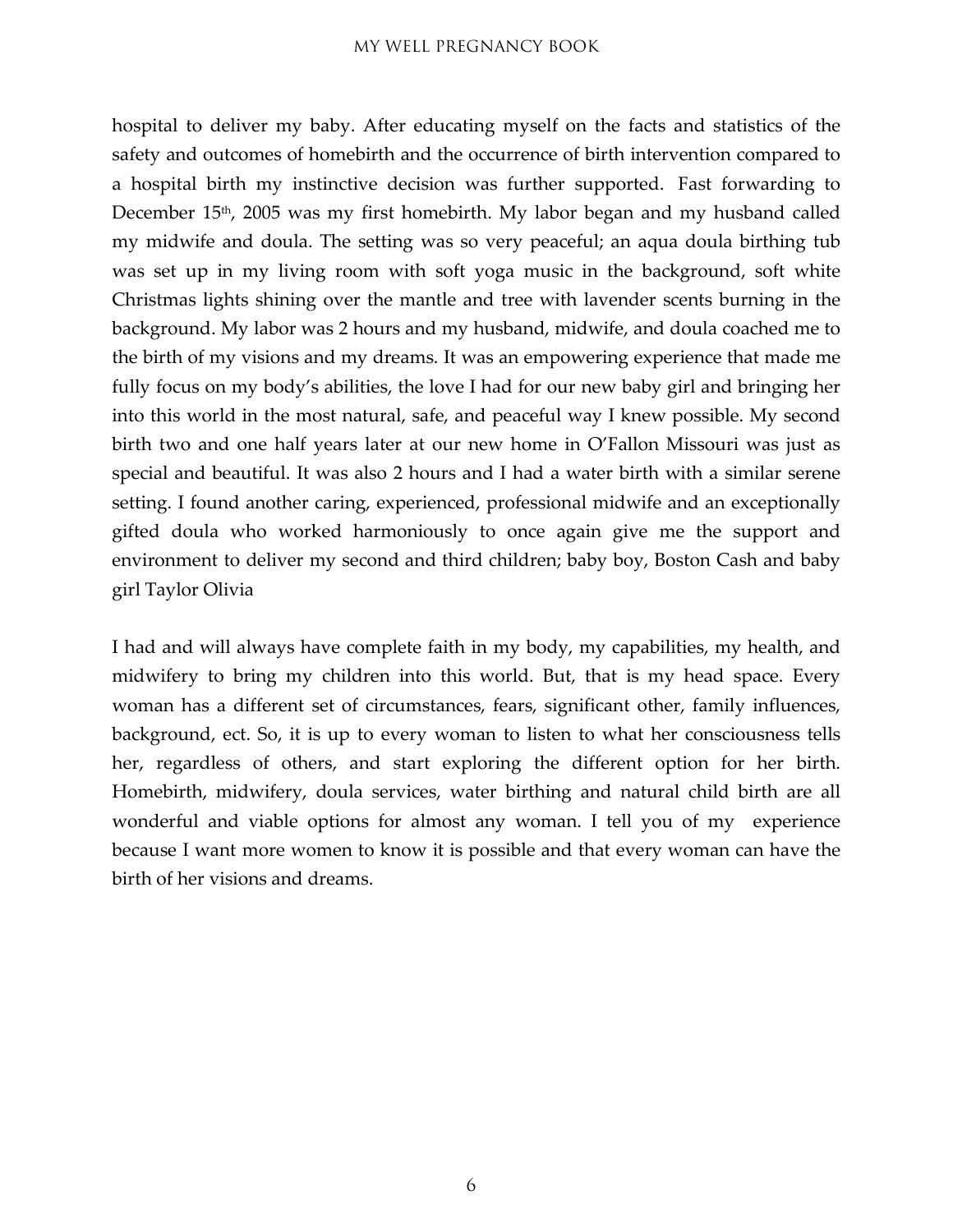hospital to deliver my baby. After educating myself on the facts and statistics of the safety and outcomes of homebirth and the occurrence of birth intervention compared to a hospital birth my instinctive decision was further supported. Fast forwarding to December 15<sup>th</sup>, 2005 was my first homebirth. My labor began and my husband called my midwife and doula. The setting was so very peaceful; an aqua doula birthing tub was set up in my living room with soft yoga music in the background, soft white Christmas lights shining over the mantle and tree with lavender scents burning in the background. My labor was 2 hours and my husband, midwife, and doula coached me to the birth of my visions and my dreams. It was an empowering experience that made me fully focus on my body's abilities, the love I had for our new baby girl and bringing her into this world in the most natural, safe, and peaceful way I knew possible. My second birth two and one half years later at our new home in O'Fallon Missouri was just as special and beautiful. It was also 2 hours and I had a water birth with a similar serene setting. I found another caring, experienced, professional midwife and an exceptionally gifted doula who worked harmoniously to once again give me the support and environment to deliver my second and third children; baby boy, Boston Cash and baby girl Taylor Olivia

I had and will always have complete faith in my body, my capabilities, my health, and midwifery to bring my children into this world. But, that is my head space. Every woman has a different set of circumstances, fears, significant other, family influences, background, ect. So, it is up to every woman to listen to what her consciousness tells her, regardless of others, and start exploring the different option for her birth. Homebirth, midwifery, doula services, water birthing and natural child birth are all wonderful and viable options for almost any woman. I tell you of my experience because I want more women to know it is possible and that every woman can have the birth of her visions and dreams.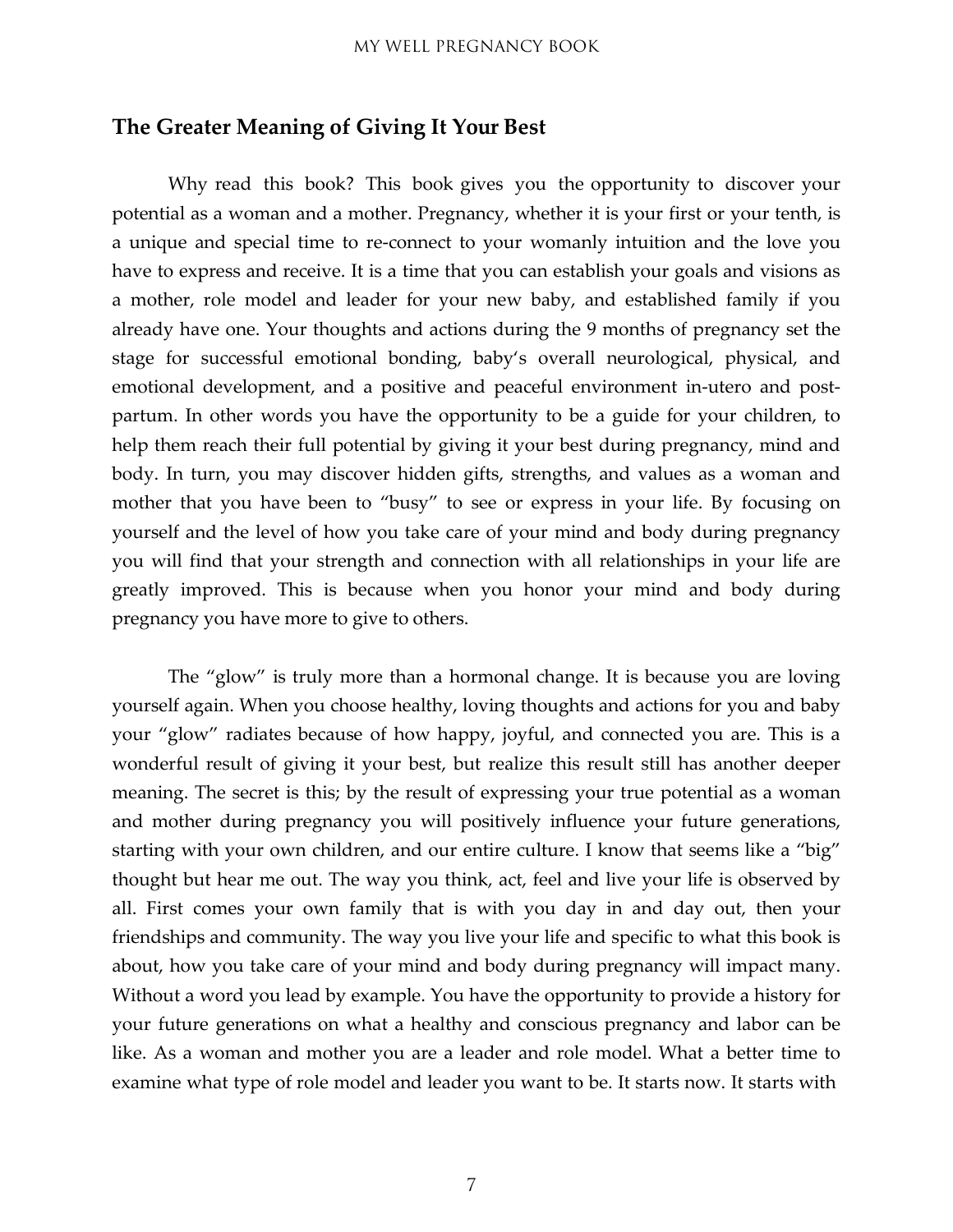#### <span id="page-6-0"></span>**The Greater Meaning of Giving It Your Best**

Why read this book? This book gives you the opportunity to discover your potential as a woman and a mother. Pregnancy, whether it is your first or your tenth, is a unique and special time to re-connect to your womanly intuition and the love you have to express and receive. It is a time that you can establish your goals and visions as a mother, role model and leader for your new baby, and established family if you already have one. Your thoughts and actions during the 9 months of pregnancy set the stage for successful emotional bonding, baby's overall neurological, physical, and emotional development, and a positive and peaceful environment in-utero and postpartum. In other words you have the opportunity to be a guide for your children, to help them reach their full potential by giving it your best during pregnancy, mind and body. In turn, you may discover hidden gifts, strengths, and values as a woman and mother that you have been to "busy" to see or express in your life. By focusing on yourself and the level of how you take care of your mind and body during pregnancy you will find that your strength and connection with all relationships in your life are greatly improved. This is because when you honor your mind and body during pregnancy you have more to give to others.

The "glow" is truly more than a hormonal change. It is because you are loving yourself again. When you choose healthy, loving thoughts and actions for you and baby your "glow" radiates because of how happy, joyful, and connected you are. This is a wonderful result of giving it your best, but realize this result still has another deeper meaning. The secret is this; by the result of expressing your true potential as a woman and mother during pregnancy you will positively influence your future generations, starting with your own children, and our entire culture. I know that seems like a "big" thought but hear me out. The way you think, act, feel and live your life is observed by all. First comes your own family that is with you day in and day out, then your friendships and community. The way you live your life and specific to what this book is about, how you take care of your mind and body during pregnancy will impact many. Without a word you lead by example. You have the opportunity to provide a history for your future generations on what a healthy and conscious pregnancy and labor can be like. As a woman and mother you are a leader and role model. What a better time to examine what type of role model and leader you want to be. It starts now. It starts with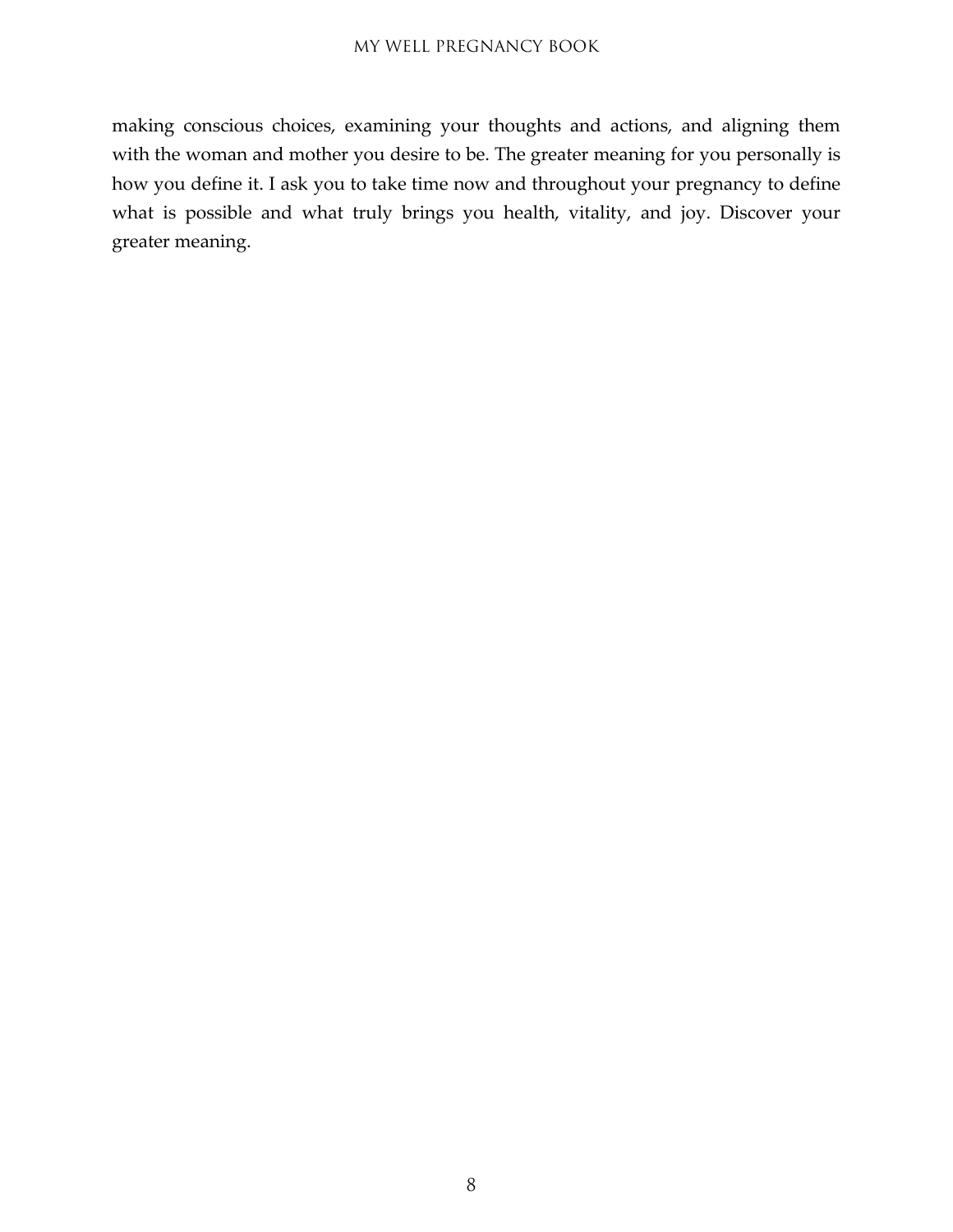making conscious choices, examining your thoughts and actions, and aligning them with the woman and mother you desire to be. The greater meaning for you personally is how you define it. I ask you to take time now and throughout your pregnancy to define what is possible and what truly brings you health, vitality, and joy. Discover your greater meaning.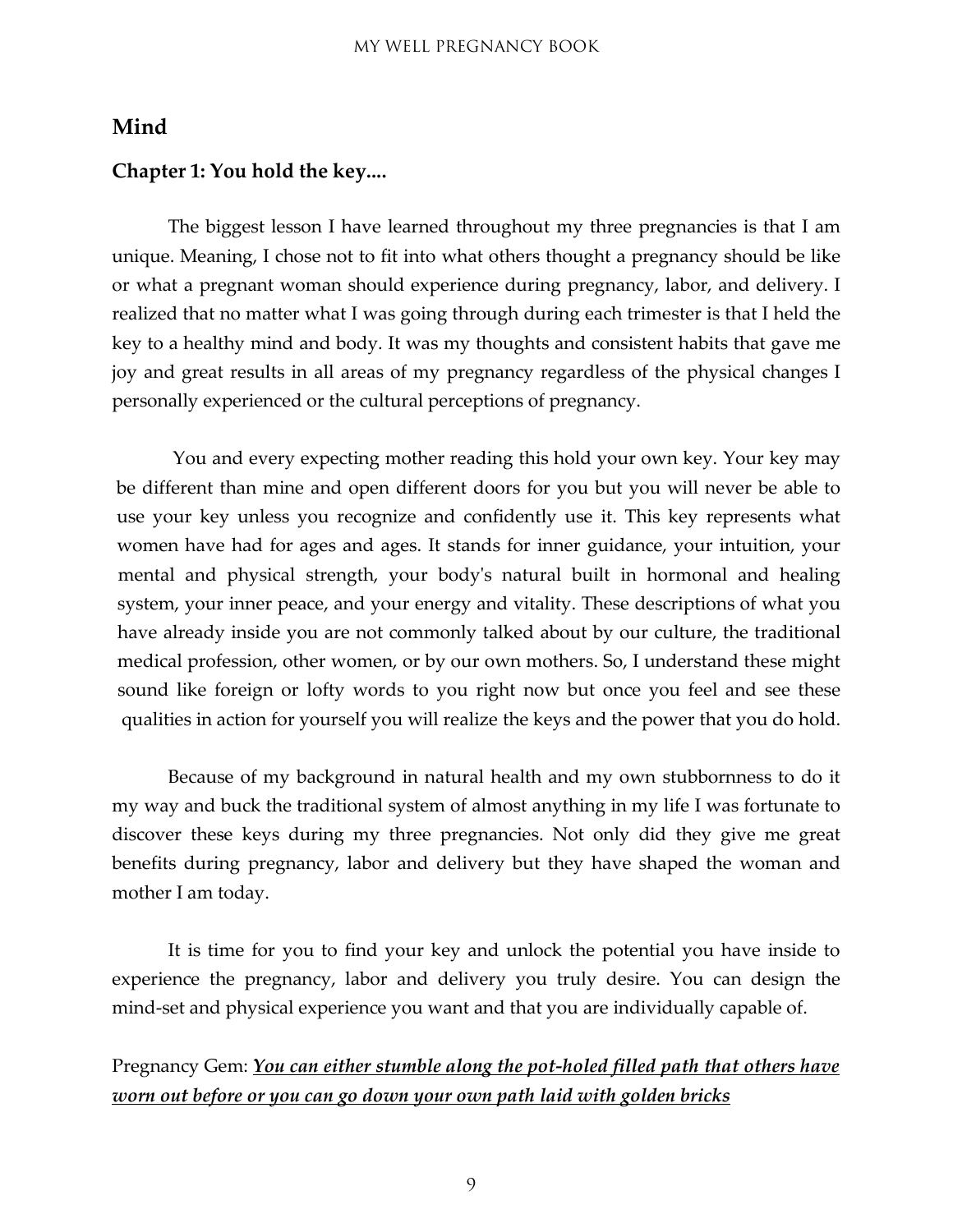#### <span id="page-8-0"></span>**Mind**

#### <span id="page-8-1"></span>**Chapter 1: You hold the key....**

The biggest lesson I have learned throughout my three pregnancies is that I am unique. Meaning, I chose not to fit into what others thought a pregnancy should be like or what a pregnant woman should experience during pregnancy, labor, and delivery. I realized that no matter what I was going through during each trimester is that I held the key to a healthy mind and body. It was my thoughts and consistent habits that gave me joy and great results in all areas of my pregnancy regardless of the physical changes I personally experienced or the cultural perceptions of pregnancy.

You and every expecting mother reading this hold your own key. Your key may be different than mine and open different doors for you but you will never be able to use your key unless you recognize and confidently use it. This key represents what women have had for ages and ages. It stands for inner guidance, your intuition, your mental and physical strength, your body's natural built in hormonal and healing system, your inner peace, and your energy and vitality. These descriptions of what you have already inside you are not commonly talked about by our culture, the traditional medical profession, other women, or by our own mothers. So, I understand these might sound like foreign or lofty words to you right now but once you feel and see these qualities in action for yourself you will realize the keys and the power that you do hold.

Because of my background in natural health and my own stubbornness to do it my way and buck the traditional system of almost anything in my life I was fortunate to discover these keys during my three pregnancies. Not only did they give me great benefits during pregnancy, labor and delivery but they have shaped the woman and mother I am today.

It is time for you to find your key and unlock the potential you have inside to experience the pregnancy, labor and delivery you truly desire. You can design the mind-set and physical experience you want and that you are individually capable of.

#### Pregnancy Gem: *You can either stumble along the pot-holed filled path that others have worn out before or you can go down your own path laid with golden bricks*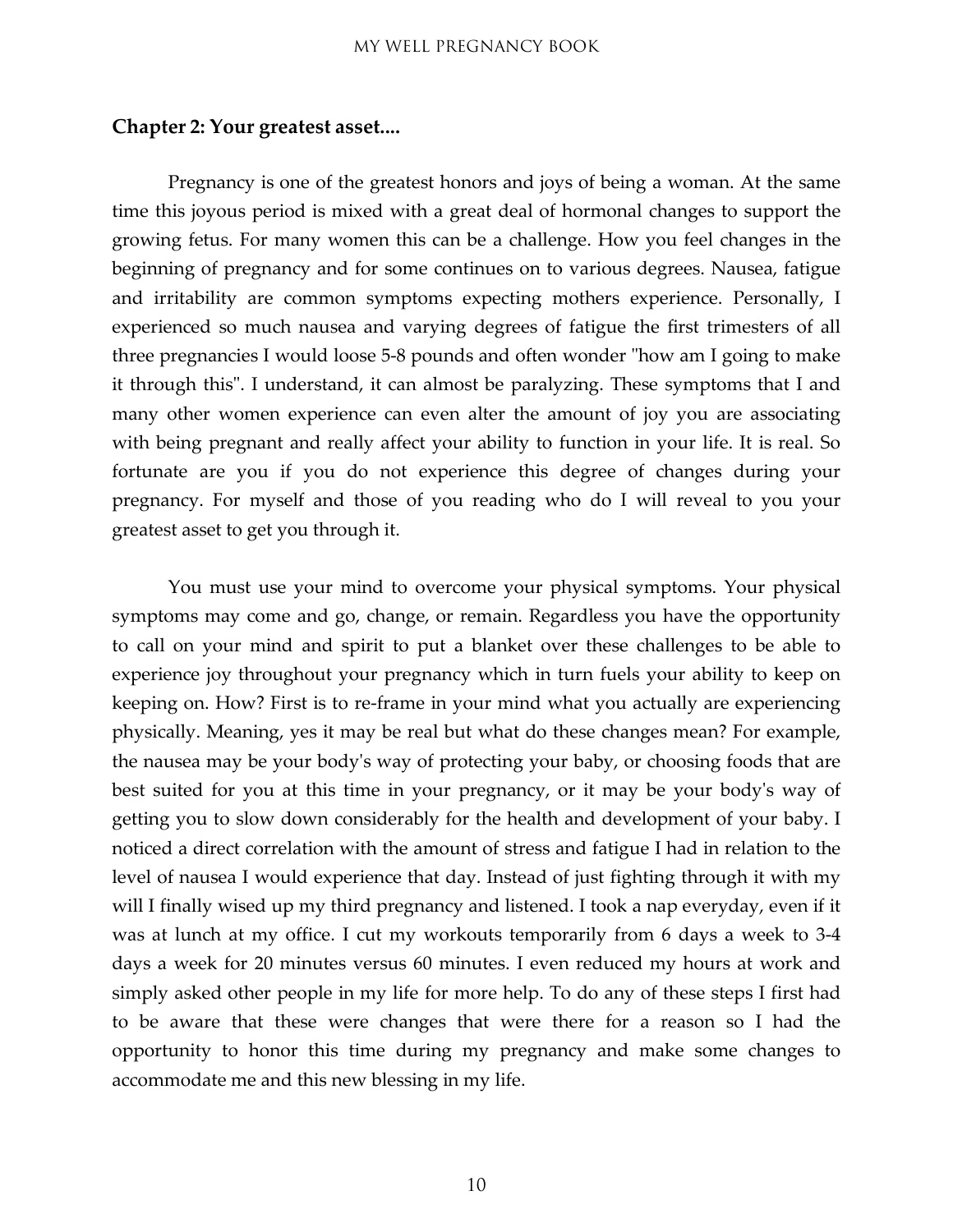#### <span id="page-9-0"></span>**Chapter 2: Your greatest asset....**

Pregnancy is one of the greatest honors and joys of being a woman. At the same time this joyous period is mixed with a great deal of hormonal changes to support the growing fetus. For many women this can be a challenge. How you feel changes in the beginning of pregnancy and for some continues on to various degrees. Nausea, fatigue and irritability are common symptoms expecting mothers experience. Personally, I experienced so much nausea and varying degrees of fatigue the first trimesters of all three pregnancies I would loose 5-8 pounds and often wonder "how am I going to make it through this". I understand, it can almost be paralyzing. These symptoms that I and many other women experience can even alter the amount of joy you are associating with being pregnant and really affect your ability to function in your life. It is real. So fortunate are you if you do not experience this degree of changes during your pregnancy. For myself and those of you reading who do I will reveal to you your greatest asset to get you through it.

You must use your mind to overcome your physical symptoms. Your physical symptoms may come and go, change, or remain. Regardless you have the opportunity to call on your mind and spirit to put a blanket over these challenges to be able to experience joy throughout your pregnancy which in turn fuels your ability to keep on keeping on. How? First is to re-frame in your mind what you actually are experiencing physically. Meaning, yes it may be real but what do these changes mean? For example, the nausea may be your body's way of protecting your baby, or choosing foods that are best suited for you at this time in your pregnancy, or it may be your body's way of getting you to slow down considerably for the health and development of your baby. I noticed a direct correlation with the amount of stress and fatigue I had in relation to the level of nausea I would experience that day. Instead of just fighting through it with my will I finally wised up my third pregnancy and listened. I took a nap everyday, even if it was at lunch at my office. I cut my workouts temporarily from 6 days a week to 3-4 days a week for 20 minutes versus 60 minutes. I even reduced my hours at work and simply asked other people in my life for more help. To do any of these steps I first had to be aware that these were changes that were there for a reason so I had the opportunity to honor this time during my pregnancy and make some changes to accommodate me and this new blessing in my life.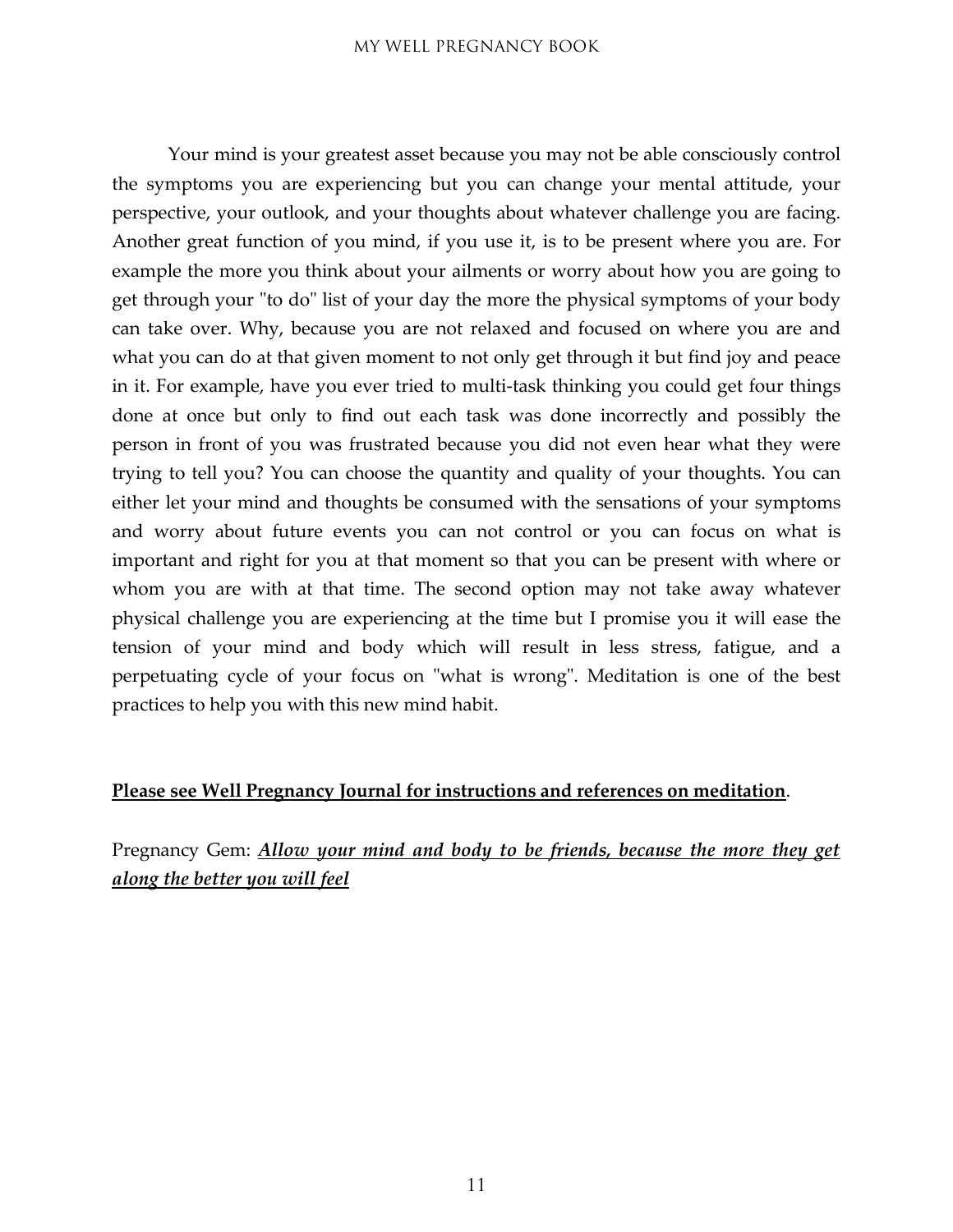Your mind is your greatest asset because you may not be able consciously control the symptoms you are experiencing but you can change your mental attitude, your perspective, your outlook, and your thoughts about whatever challenge you are facing. Another great function of you mind, if you use it, is to be present where you are. For example the more you think about your ailments or worry about how you are going to get through your "to do" list of your day the more the physical symptoms of your body can take over. Why, because you are not relaxed and focused on where you are and what you can do at that given moment to not only get through it but find joy and peace in it. For example, have you ever tried to multi-task thinking you could get four things done at once but only to find out each task was done incorrectly and possibly the person in front of you was frustrated because you did not even hear what they were trying to tell you? You can choose the quantity and quality of your thoughts. You can either let your mind and thoughts be consumed with the sensations of your symptoms and worry about future events you can not control or you can focus on what is important and right for you at that moment so that you can be present with where or whom you are with at that time. The second option may not take away whatever physical challenge you are experiencing at the time but I promise you it will ease the tension of your mind and body which will result in less stress, fatigue, and a perpetuating cycle of your focus on "what is wrong". Meditation is one of the best practices to help you with this new mind habit.

#### **Please see Well Pregnancy Journal for instructions and references on meditation**.

Pregnancy Gem: *Allow your mind and body to be friends, because the more they get along the better you will feel*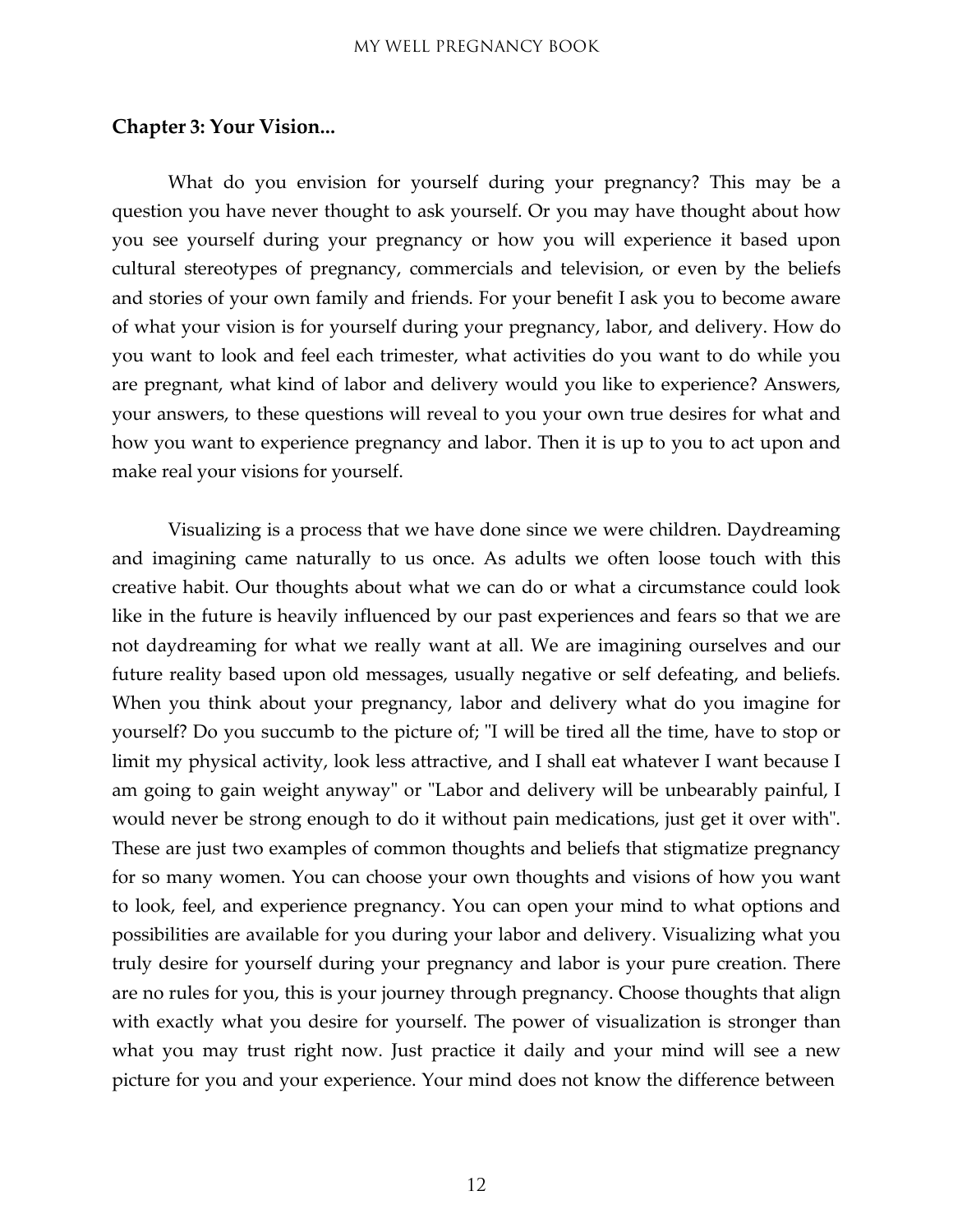#### <span id="page-11-0"></span>**Chapter 3: Your Vision...**

What do you envision for yourself during your pregnancy? This may be a question you have never thought to ask yourself. Or you may have thought about how you see yourself during your pregnancy or how you will experience it based upon cultural stereotypes of pregnancy, commercials and television, or even by the beliefs and stories of your own family and friends. For your benefit I ask you to become aware of what your vision is for yourself during your pregnancy, labor, and delivery. How do you want to look and feel each trimester, what activities do you want to do while you are pregnant, what kind of labor and delivery would you like to experience? Answers, your answers, to these questions will reveal to you your own true desires for what and how you want to experience pregnancy and labor. Then it is up to you to act upon and make real your visions for yourself.

Visualizing is a process that we have done since we were children. Daydreaming and imagining came naturally to us once. As adults we often loose touch with this creative habit. Our thoughts about what we can do or what a circumstance could look like in the future is heavily influenced by our past experiences and fears so that we are not daydreaming for what we really want at all. We are imagining ourselves and our future reality based upon old messages, usually negative or self defeating, and beliefs. When you think about your pregnancy, labor and delivery what do you imagine for yourself? Do you succumb to the picture of; "I will be tired all the time, have to stop or limit my physical activity, look less attractive, and I shall eat whatever I want because I am going to gain weight anyway" or "Labor and delivery will be unbearably painful, I would never be strong enough to do it without pain medications, just get it over with". These are just two examples of common thoughts and beliefs that stigmatize pregnancy for so many women. You can choose your own thoughts and visions of how you want to look, feel, and experience pregnancy. You can open your mind to what options and possibilities are available for you during your labor and delivery. Visualizing what you truly desire for yourself during your pregnancy and labor is your pure creation. There are no rules for you, this is your journey through pregnancy. Choose thoughts that align with exactly what you desire for yourself. The power of visualization is stronger than what you may trust right now. Just practice it daily and your mind will see a new picture for you and your experience. Your mind does not know the difference between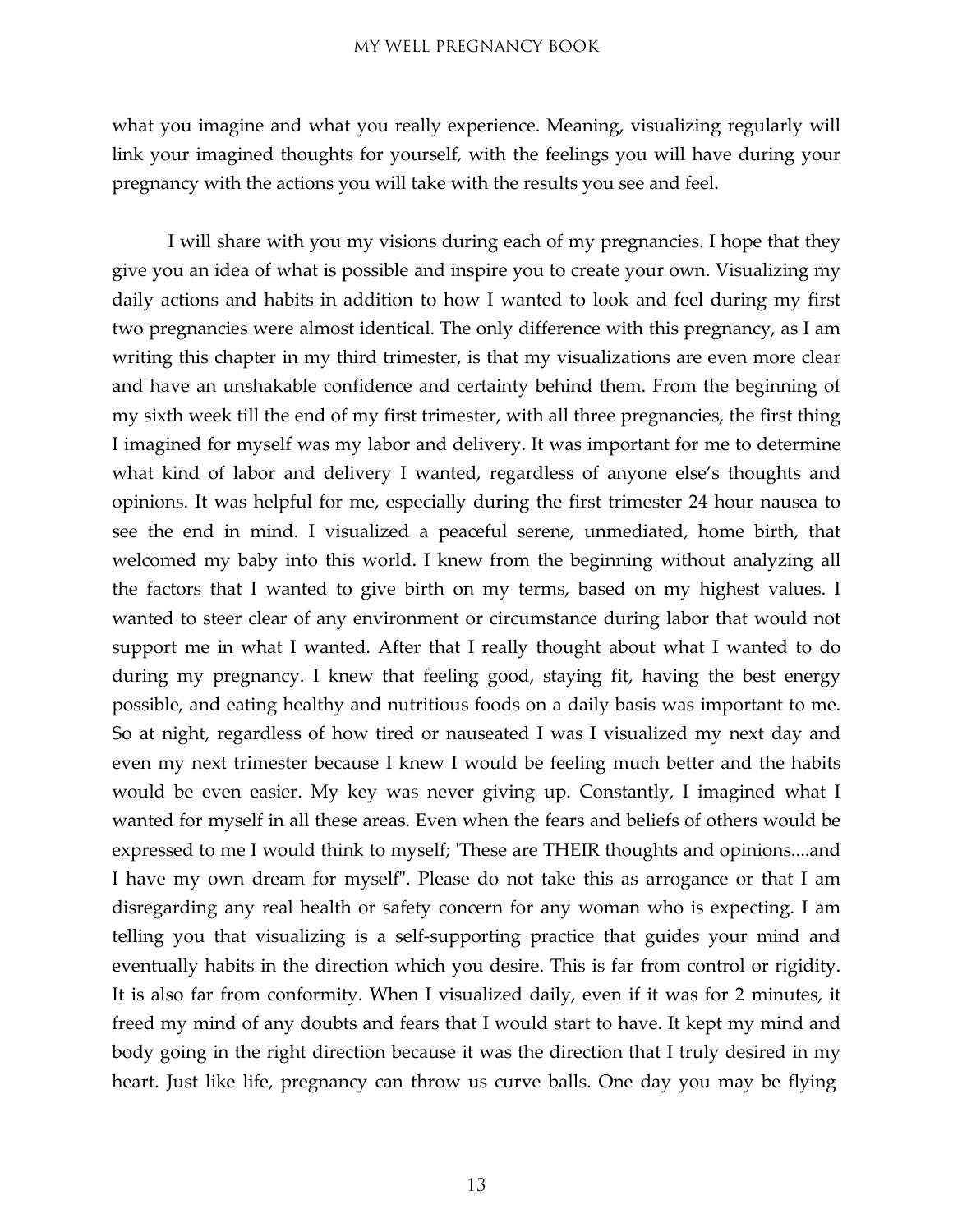what you imagine and what you really experience. Meaning, visualizing regularly will link your imagined thoughts for yourself, with the feelings you will have during your pregnancy with the actions you will take with the results you see and feel.

I will share with you my visions during each of my pregnancies. I hope that they give you an idea of what is possible and inspire you to create your own. Visualizing my daily actions and habits in addition to how I wanted to look and feel during my first two pregnancies were almost identical. The only difference with this pregnancy, as I am writing this chapter in my third trimester, is that my visualizations are even more clear and have an unshakable confidence and certainty behind them. From the beginning of my sixth week till the end of my first trimester, with all three pregnancies, the first thing I imagined for myself was my labor and delivery. It was important for me to determine what kind of labor and delivery I wanted, regardless of anyone else's thoughts and opinions. It was helpful for me, especially during the first trimester 24 hour nausea to see the end in mind. I visualized a peaceful serene, unmediated, home birth, that welcomed my baby into this world. I knew from the beginning without analyzing all the factors that I wanted to give birth on my terms, based on my highest values. I wanted to steer clear of any environment or circumstance during labor that would not support me in what I wanted. After that I really thought about what I wanted to do during my pregnancy. I knew that feeling good, staying fit, having the best energy possible, and eating healthy and nutritious foods on a daily basis was important to me. So at night, regardless of how tired or nauseated I was I visualized my next day and even my next trimester because I knew I would be feeling much better and the habits would be even easier. My key was never giving up. Constantly, I imagined what I wanted for myself in all these areas. Even when the fears and beliefs of others would be expressed to me I would think to myself; 'These are THEIR thoughts and opinions....and I have my own dream for myself". Please do not take this as arrogance or that I am disregarding any real health or safety concern for any woman who is expecting. I am telling you that visualizing is a self-supporting practice that guides your mind and eventually habits in the direction which you desire. This is far from control or rigidity. It is also far from conformity. When I visualized daily, even if it was for 2 minutes, it freed my mind of any doubts and fears that I would start to have. It kept my mind and body going in the right direction because it was the direction that I truly desired in my heart. Just like life, pregnancy can throw us curve balls. One day you may be flying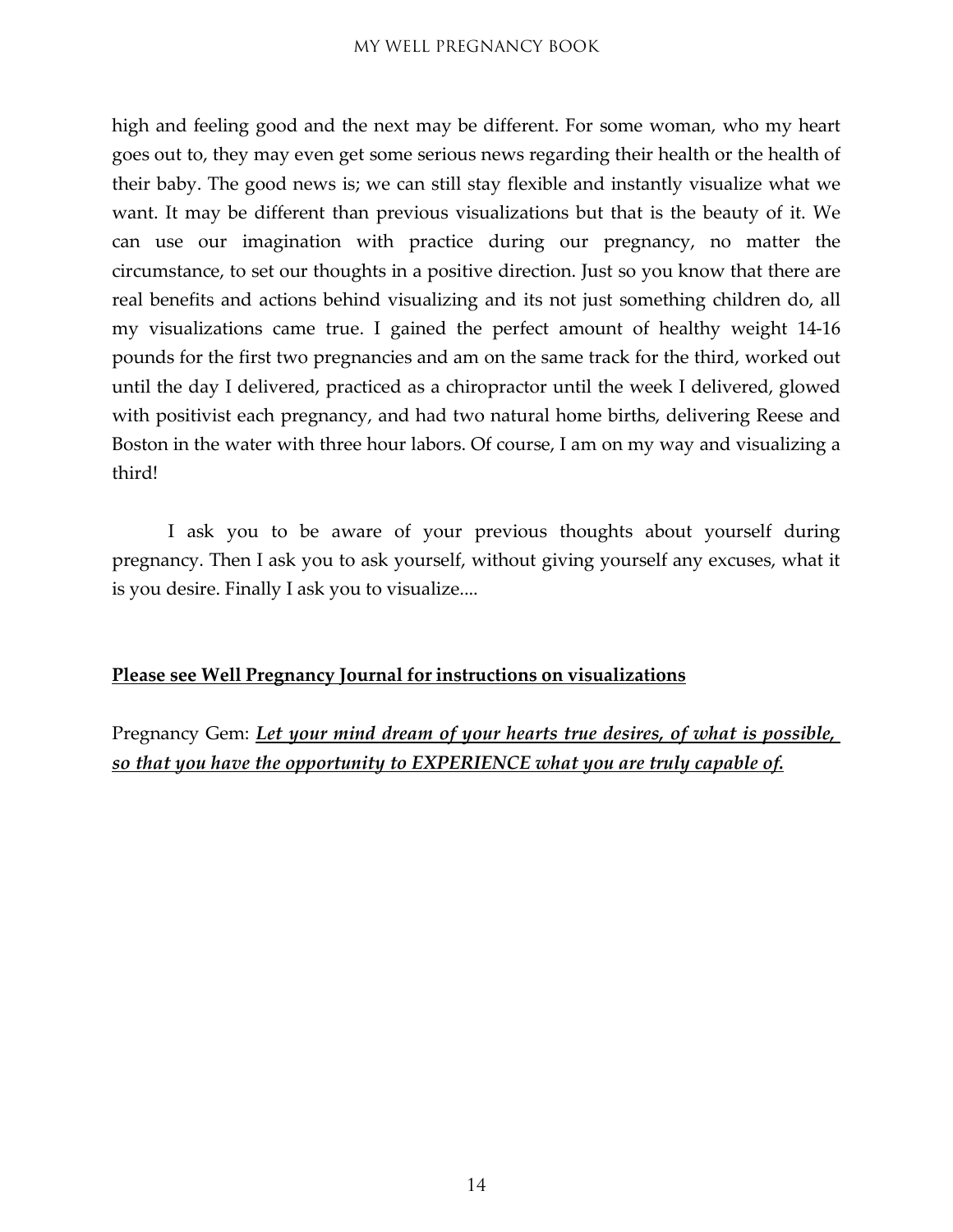high and feeling good and the next may be different. For some woman, who my heart goes out to, they may even get some serious news regarding their health or the health of their baby. The good news is; we can still stay flexible and instantly visualize what we want. It may be different than previous visualizations but that is the beauty of it. We can use our imagination with practice during our pregnancy, no matter the circumstance, to set our thoughts in a positive direction. Just so you know that there are real benefits and actions behind visualizing and its not just something children do, all my visualizations came true. I gained the perfect amount of healthy weight 14-16 pounds for the first two pregnancies and am on the same track for the third, worked out until the day I delivered, practiced as a chiropractor until the week I delivered, glowed with positivist each pregnancy, and had two natural home births, delivering Reese and Boston in the water with three hour labors. Of course, I am on my way and visualizing a third!

I ask you to be aware of your previous thoughts about yourself during pregnancy. Then I ask you to ask yourself, without giving yourself any excuses, what it is you desire. Finally I ask you to visualize....

#### **Please see Well Pregnancy Journal for instructions on visualizations**

Pregnancy Gem: *Let your mind dream of your hearts true desires, of what is possible, so that you have the opportunity to EXPERIENCE what you are truly capable of.*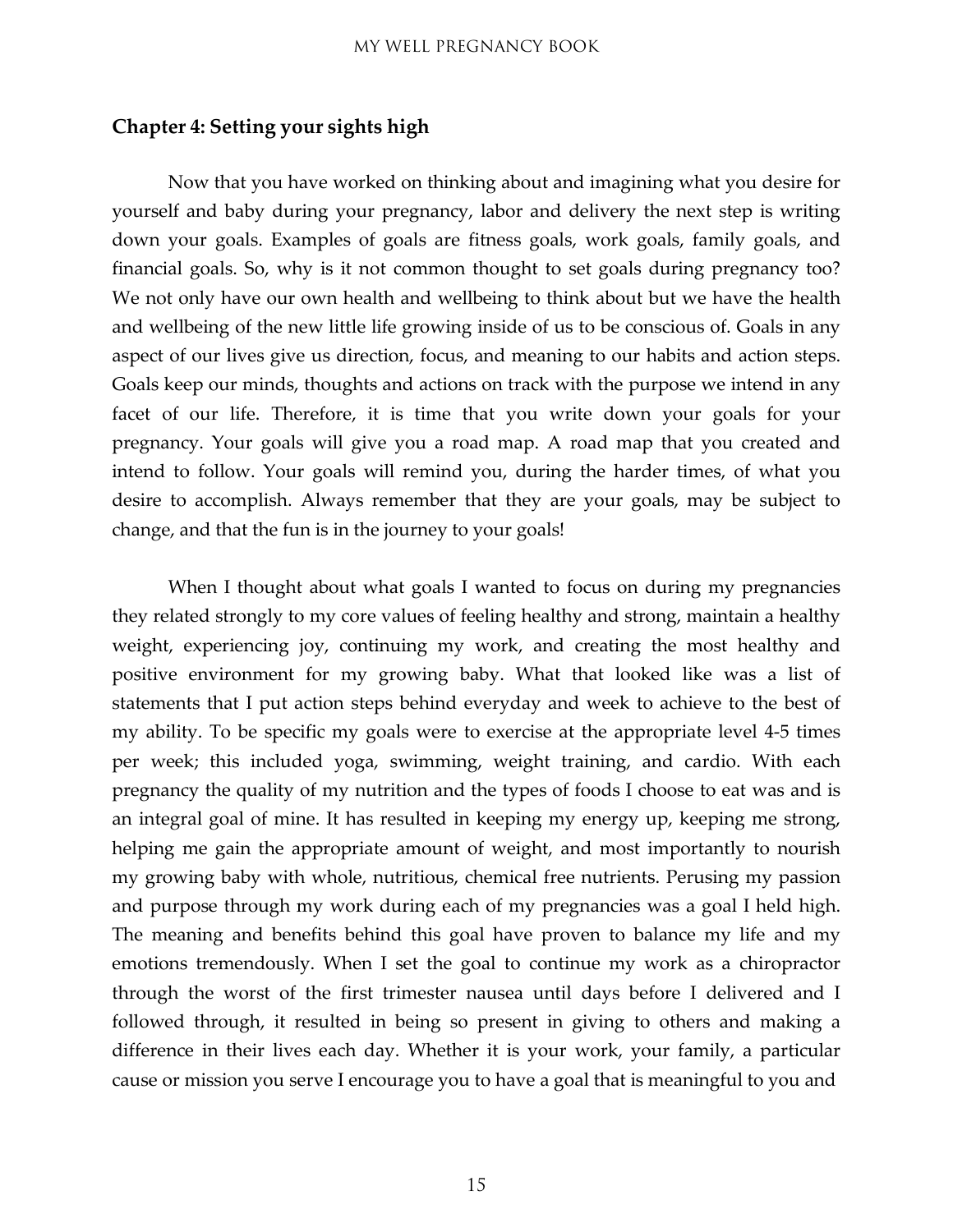#### <span id="page-14-0"></span>**Chapter 4: Setting your sights high**

Now that you have worked on thinking about and imagining what you desire for yourself and baby during your pregnancy, labor and delivery the next step is writing down your goals. Examples of goals are fitness goals, work goals, family goals, and financial goals. So, why is it not common thought to set goals during pregnancy too? We not only have our own health and wellbeing to think about but we have the health and wellbeing of the new little life growing inside of us to be conscious of. Goals in any aspect of our lives give us direction, focus, and meaning to our habits and action steps. Goals keep our minds, thoughts and actions on track with the purpose we intend in any facet of our life. Therefore, it is time that you write down your goals for your pregnancy. Your goals will give you a road map. A road map that you created and intend to follow. Your goals will remind you, during the harder times, of what you desire to accomplish. Always remember that they are your goals, may be subject to change, and that the fun is in the journey to your goals!

When I thought about what goals I wanted to focus on during my pregnancies they related strongly to my core values of feeling healthy and strong, maintain a healthy weight, experiencing joy, continuing my work, and creating the most healthy and positive environment for my growing baby. What that looked like was a list of statements that I put action steps behind everyday and week to achieve to the best of my ability. To be specific my goals were to exercise at the appropriate level 4-5 times per week; this included yoga, swimming, weight training, and cardio. With each pregnancy the quality of my nutrition and the types of foods I choose to eat was and is an integral goal of mine. It has resulted in keeping my energy up, keeping me strong, helping me gain the appropriate amount of weight, and most importantly to nourish my growing baby with whole, nutritious, chemical free nutrients. Perusing my passion and purpose through my work during each of my pregnancies was a goal I held high. The meaning and benefits behind this goal have proven to balance my life and my emotions tremendously. When I set the goal to continue my work as a chiropractor through the worst of the first trimester nausea until days before I delivered and I followed through, it resulted in being so present in giving to others and making a difference in their lives each day. Whether it is your work, your family, a particular cause or mission you serve I encourage you to have a goal that is meaningful to you and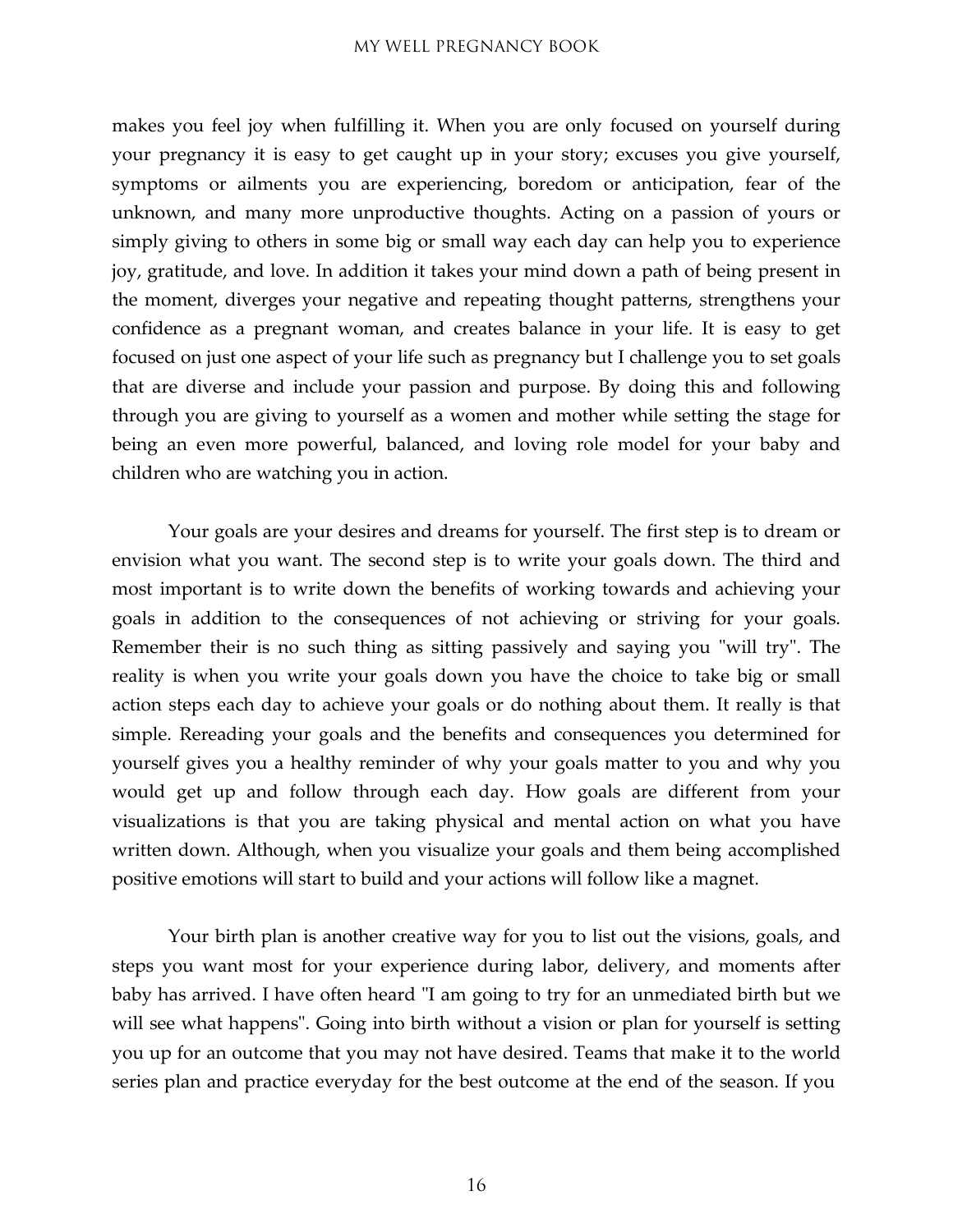makes you feel joy when fulfilling it. When you are only focused on yourself during your pregnancy it is easy to get caught up in your story; excuses you give yourself, symptoms or ailments you are experiencing, boredom or anticipation, fear of the unknown, and many more unproductive thoughts. Acting on a passion of yours or simply giving to others in some big or small way each day can help you to experience joy, gratitude, and love. In addition it takes your mind down a path of being present in the moment, diverges your negative and repeating thought patterns, strengthens your confidence as a pregnant woman, and creates balance in your life. It is easy to get focused on just one aspect of your life such as pregnancy but I challenge you to set goals that are diverse and include your passion and purpose. By doing this and following through you are giving to yourself as a women and mother while setting the stage for being an even more powerful, balanced, and loving role model for your baby and children who are watching you in action.

Your goals are your desires and dreams for yourself. The first step is to dream or envision what you want. The second step is to write your goals down. The third and most important is to write down the benefits of working towards and achieving your goals in addition to the consequences of not achieving or striving for your goals. Remember their is no such thing as sitting passively and saying you "will try". The reality is when you write your goals down you have the choice to take big or small action steps each day to achieve your goals or do nothing about them. It really is that simple. Rereading your goals and the benefits and consequences you determined for yourself gives you a healthy reminder of why your goals matter to you and why you would get up and follow through each day. How goals are different from your visualizations is that you are taking physical and mental action on what you have written down. Although, when you visualize your goals and them being accomplished positive emotions will start to build and your actions will follow like a magnet.

Your birth plan is another creative way for you to list out the visions, goals, and steps you want most for your experience during labor, delivery, and moments after baby has arrived. I have often heard "I am going to try for an unmediated birth but we will see what happens". Going into birth without a vision or plan for yourself is setting you up for an outcome that you may not have desired. Teams that make it to the world series plan and practice everyday for the best outcome at the end of the season. If you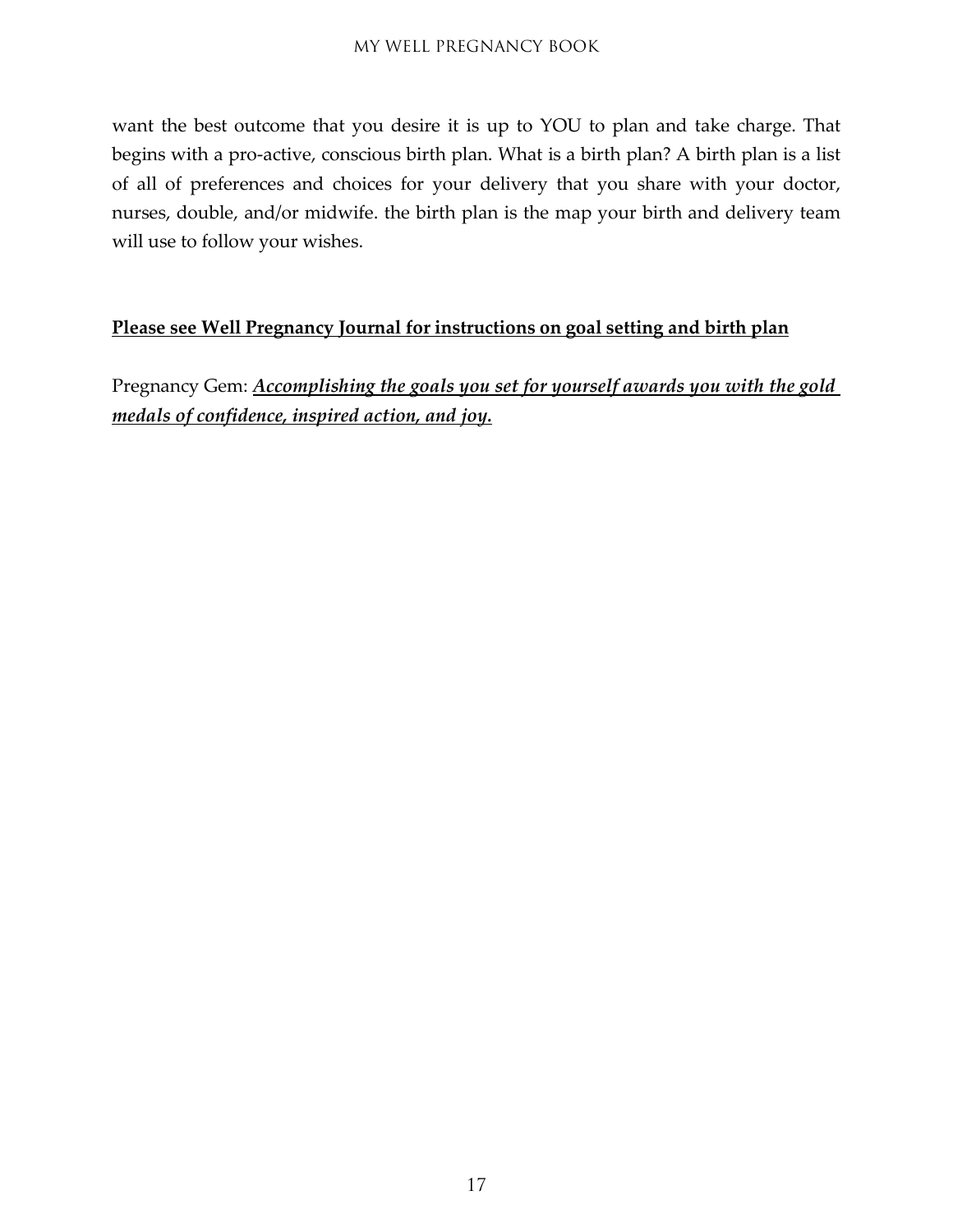want the best outcome that you desire it is up to YOU to plan and take charge. That begins with a pro-active, conscious birth plan. What is a birth plan? A birth plan is a list of all of preferences and choices for your delivery that you share with your doctor, nurses, double, and/or midwife. the birth plan is the map your birth and delivery team will use to follow your wishes.

#### **Please see Well Pregnancy Journal for instructions on goal setting and birth plan**

Pregnancy Gem: *Accomplishing the goals you set for yourself awards you with the gold medals of confidence, inspired action, and joy.*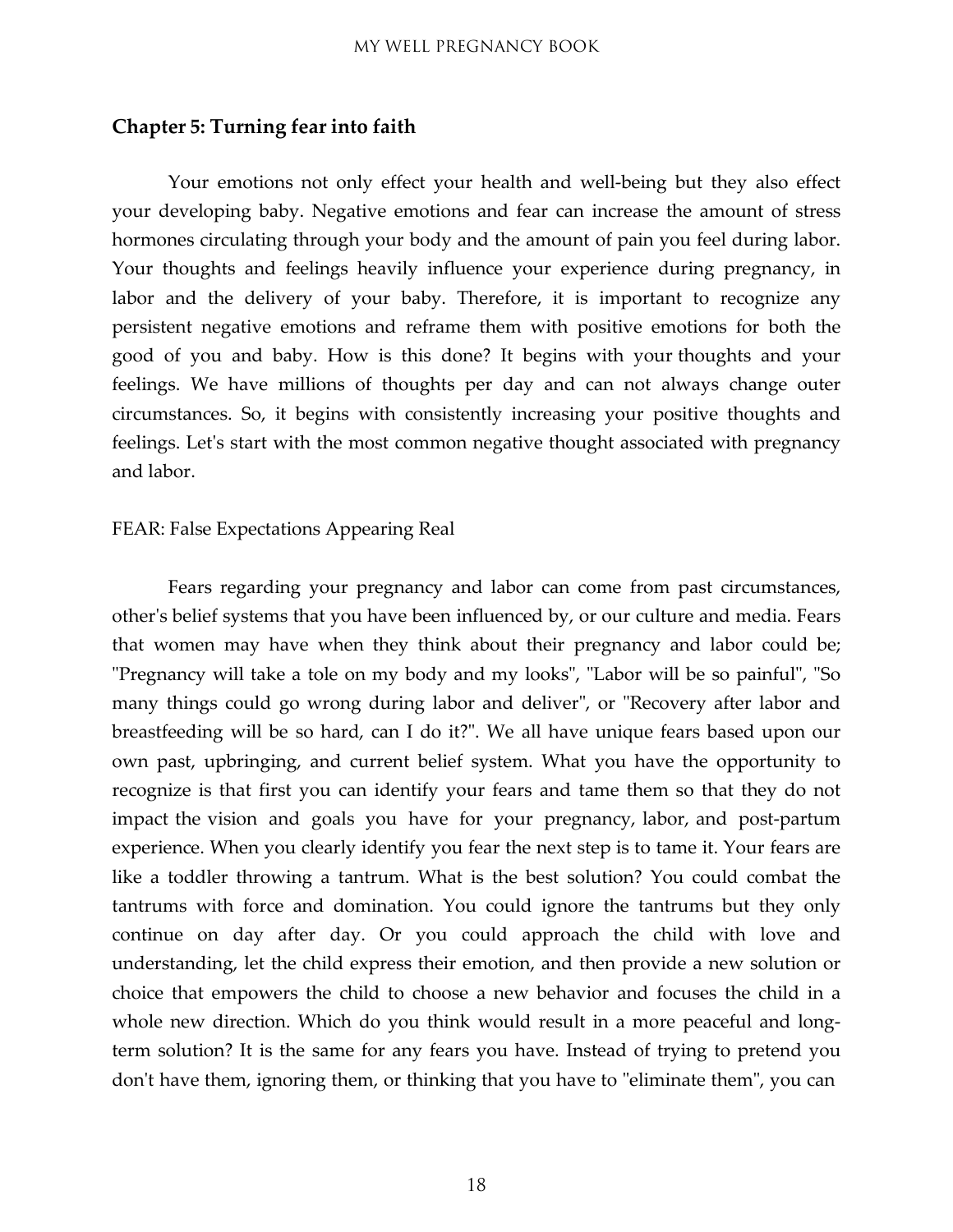#### <span id="page-17-0"></span>**Chapter 5: Turning fear into faith**

Your emotions not only effect your health and well-being but they also effect your developing baby. Negative emotions and fear can increase the amount of stress hormones circulating through your body and the amount of pain you feel during labor. Your thoughts and feelings heavily influence your experience during pregnancy, in labor and the delivery of your baby. Therefore, it is important to recognize any persistent negative emotions and reframe them with positive emotions for both the good of you and baby. How is this done? It begins with your thoughts and your feelings. We have millions of thoughts per day and can not always change outer circumstances. So, it begins with consistently increasing your positive thoughts and feelings. Let's start with the most common negative thought associated with pregnancy and labor.

#### FEAR: False Expectations Appearing Real

Fears regarding your pregnancy and labor can come from past circumstances, other's belief systems that you have been influenced by, or our culture and media. Fears that women may have when they think about their pregnancy and labor could be; "Pregnancy will take a tole on my body and my looks", "Labor will be so painful", "So many things could go wrong during labor and deliver", or "Recovery after labor and breastfeeding will be so hard, can I do it?". We all have unique fears based upon our own past, upbringing, and current belief system. What you have the opportunity to recognize is that first you can identify your fears and tame them so that they do not impact the vision and goals you have for your pregnancy, labor, and post-partum experience. When you clearly identify you fear the next step is to tame it. Your fears are like a toddler throwing a tantrum. What is the best solution? You could combat the tantrums with force and domination. You could ignore the tantrums but they only continue on day after day. Or you could approach the child with love and understanding, let the child express their emotion, and then provide a new solution or choice that empowers the child to choose a new behavior and focuses the child in a whole new direction. Which do you think would result in a more peaceful and longterm solution? It is the same for any fears you have. Instead of trying to pretend you don't have them, ignoring them, or thinking that you have to "eliminate them", you can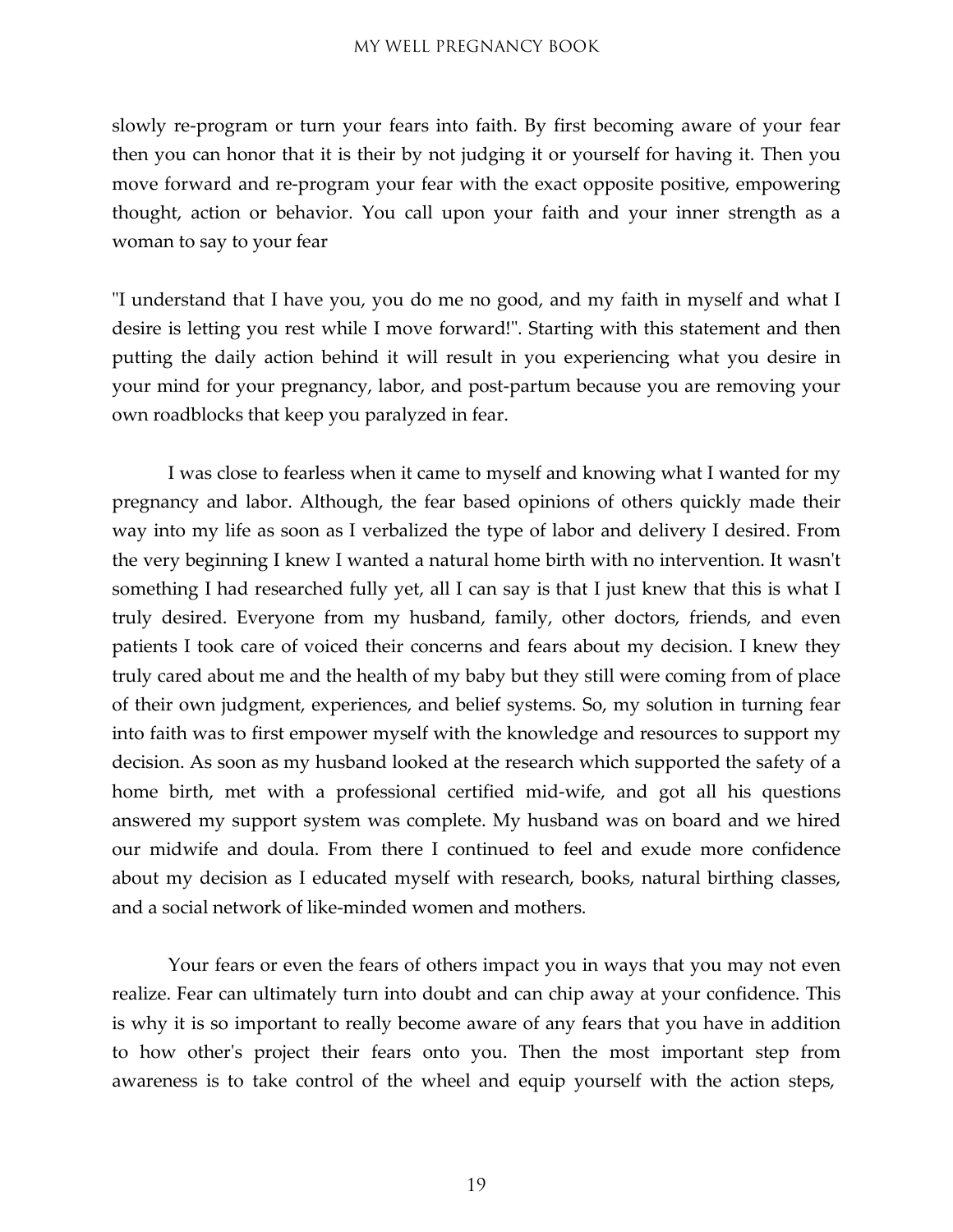slowly re-program or turn your fears into faith. By first becoming aware of your fear then you can honor that it is their by not judging it or yourself for having it. Then you move forward and re-program your fear with the exact opposite positive, empowering thought, action or behavior. You call upon your faith and your inner strength as a woman to say to your fear

"I understand that I have you, you do me no good, and my faith in myself and what I desire is letting you rest while I move forward!". Starting with this statement and then putting the daily action behind it will result in you experiencing what you desire in your mind for your pregnancy, labor, and post-partum because you are removing your own roadblocks that keep you paralyzed in fear.

I was close to fearless when it came to myself and knowing what I wanted for my pregnancy and labor. Although, the fear based opinions of others quickly made their way into my life as soon as I verbalized the type of labor and delivery I desired. From the very beginning I knew I wanted a natural home birth with no intervention. It wasn't something I had researched fully yet, all I can say is that I just knew that this is what I truly desired. Everyone from my husband, family, other doctors, friends, and even patients I took care of voiced their concerns and fears about my decision. I knew they truly cared about me and the health of my baby but they still were coming from of place of their own judgment, experiences, and belief systems. So, my solution in turning fear into faith was to first empower myself with the knowledge and resources to support my decision. As soon as my husband looked at the research which supported the safety of a home birth, met with a professional certified mid-wife, and got all his questions answered my support system was complete. My husband was on board and we hired our midwife and doula. From there I continued to feel and exude more confidence about my decision as I educated myself with research, books, natural birthing classes, and a social network of like-minded women and mothers.

Your fears or even the fears of others impact you in ways that you may not even realize. Fear can ultimately turn into doubt and can chip away at your confidence. This is why it is so important to really become aware of any fears that you have in addition to how other's project their fears onto you. Then the most important step from awareness is to take control of the wheel and equip yourself with the action steps,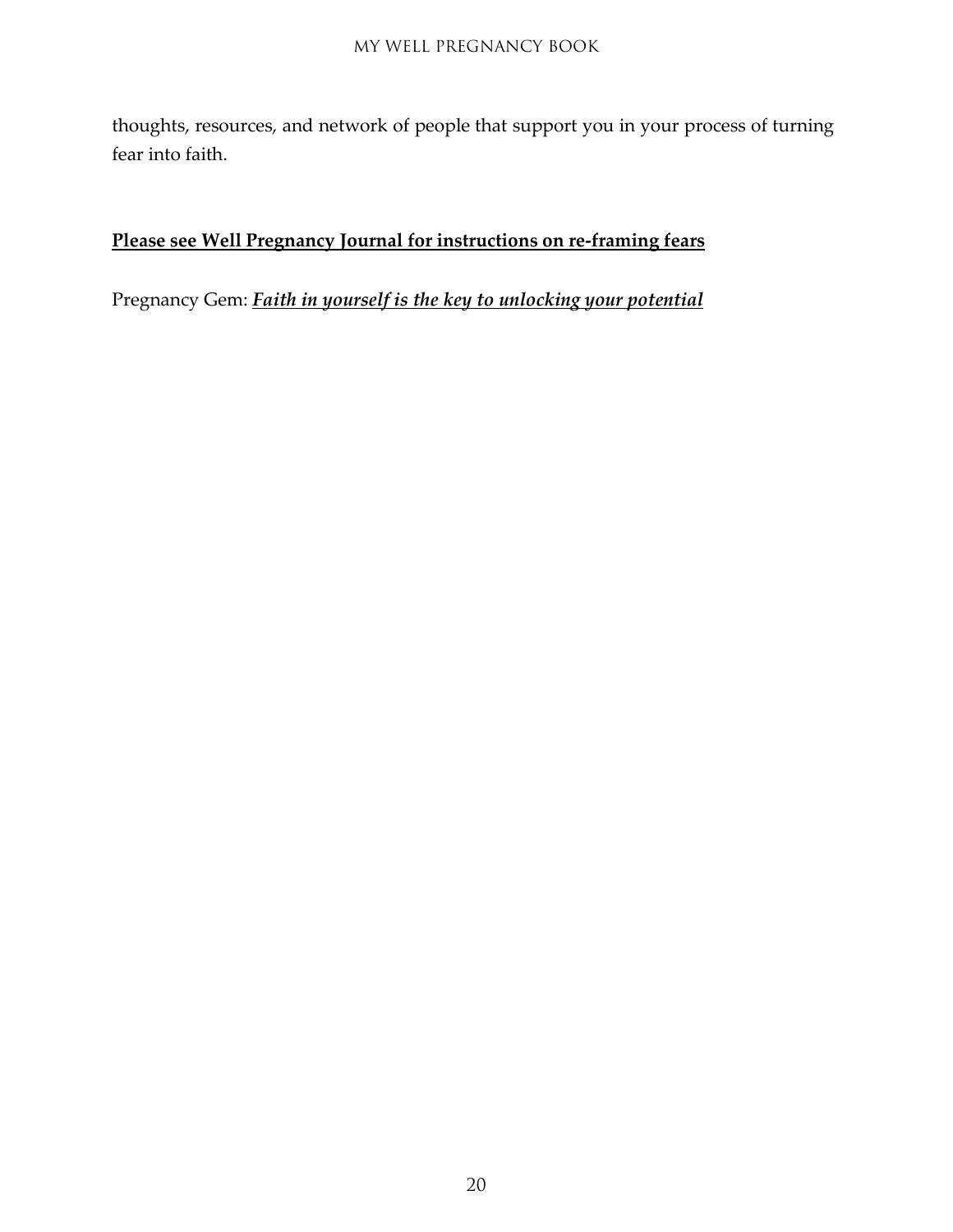thoughts, resources, and network of people that support you in your process of turning fear into faith.

#### **Please see Well Pregnancy Journal for instructions on re-framing fears**

Pregnancy Gem: *Faith in yourself is the key to unlocking your potential*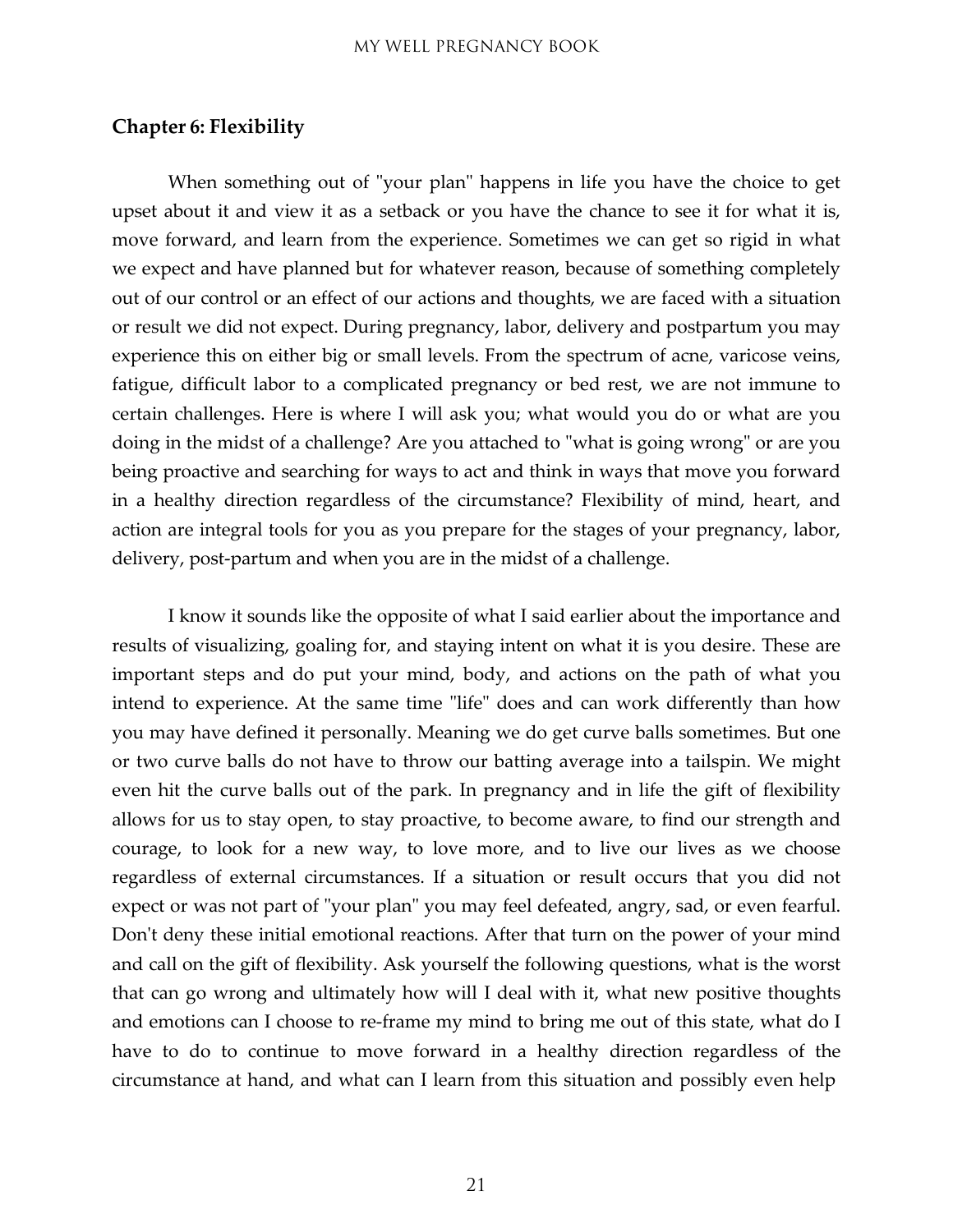#### <span id="page-20-0"></span>**Chapter 6: Flexibility**

When something out of "your plan" happens in life you have the choice to get upset about it and view it as a setback or you have the chance to see it for what it is, move forward, and learn from the experience. Sometimes we can get so rigid in what we expect and have planned but for whatever reason, because of something completely out of our control or an effect of our actions and thoughts, we are faced with a situation or result we did not expect. During pregnancy, labor, delivery and postpartum you may experience this on either big or small levels. From the spectrum of acne, varicose veins, fatigue, difficult labor to a complicated pregnancy or bed rest, we are not immune to certain challenges. Here is where I will ask you; what would you do or what are you doing in the midst of a challenge? Are you attached to "what is going wrong" or are you being proactive and searching for ways to act and think in ways that move you forward in a healthy direction regardless of the circumstance? Flexibility of mind, heart, and action are integral tools for you as you prepare for the stages of your pregnancy, labor, delivery, post-partum and when you are in the midst of a challenge.

I know it sounds like the opposite of what I said earlier about the importance and results of visualizing, goaling for, and staying intent on what it is you desire. These are important steps and do put your mind, body, and actions on the path of what you intend to experience. At the same time "life" does and can work differently than how you may have defined it personally. Meaning we do get curve balls sometimes. But one or two curve balls do not have to throw our batting average into a tailspin. We might even hit the curve balls out of the park. In pregnancy and in life the gift of flexibility allows for us to stay open, to stay proactive, to become aware, to find our strength and courage, to look for a new way, to love more, and to live our lives as we choose regardless of external circumstances. If a situation or result occurs that you did not expect or was not part of "your plan" you may feel defeated, angry, sad, or even fearful. Don't deny these initial emotional reactions. After that turn on the power of your mind and call on the gift of flexibility. Ask yourself the following questions, what is the worst that can go wrong and ultimately how will I deal with it, what new positive thoughts and emotions can I choose to re-frame my mind to bring me out of this state, what do I have to do to continue to move forward in a healthy direction regardless of the circumstance at hand, and what can I learn from this situation and possibly even help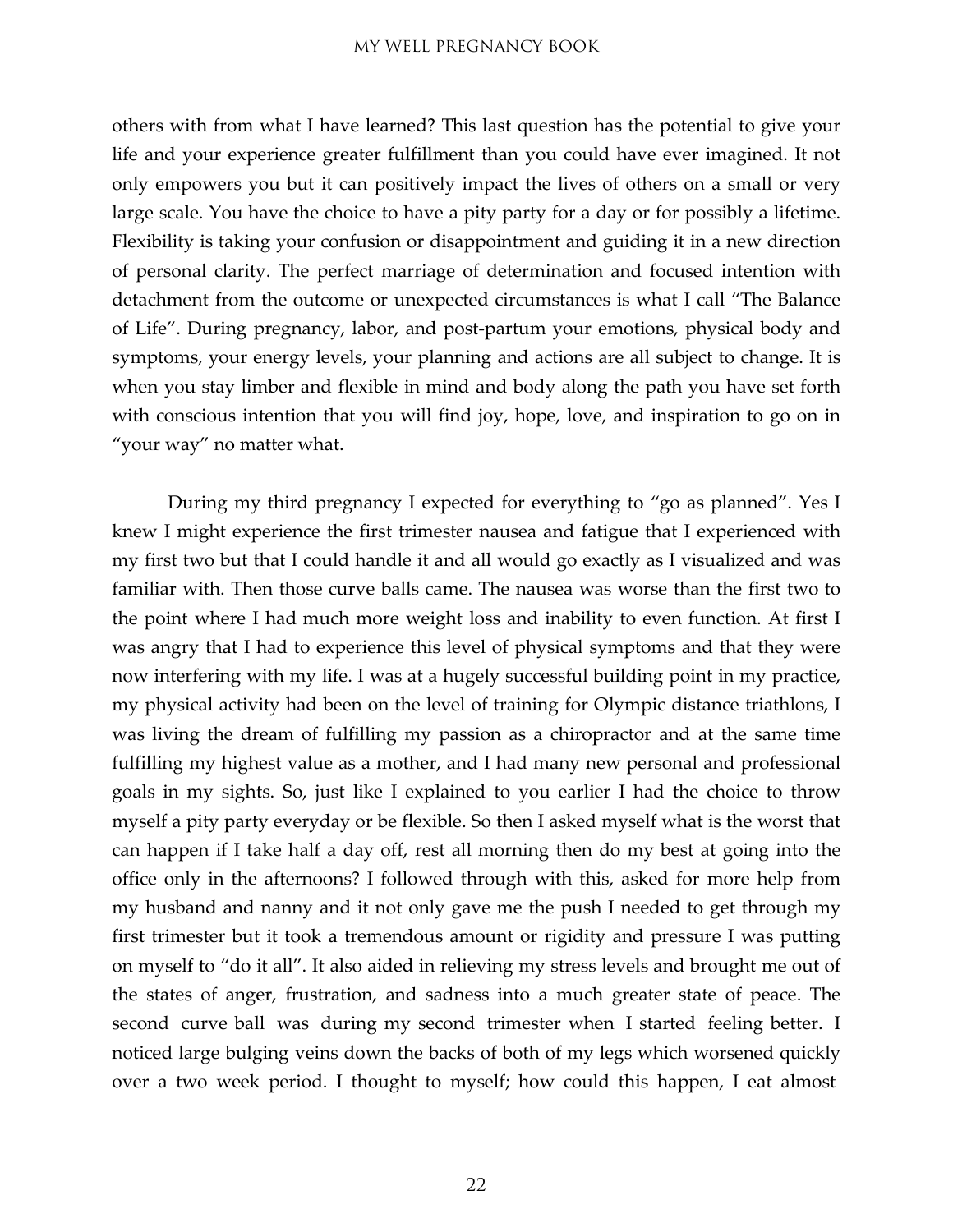others with from what I have learned? This last question has the potential to give your life and your experience greater fulfillment than you could have ever imagined. It not only empowers you but it can positively impact the lives of others on a small or very large scale. You have the choice to have a pity party for a day or for possibly a lifetime. Flexibility is taking your confusion or disappointment and guiding it in a new direction of personal clarity. The perfect marriage of determination and focused intention with detachment from the outcome or unexpected circumstances is what I call "The Balance of Life". During pregnancy, labor, and post-partum your emotions, physical body and symptoms, your energy levels, your planning and actions are all subject to change. It is when you stay limber and flexible in mind and body along the path you have set forth with conscious intention that you will find joy, hope, love, and inspiration to go on in "your way" no matter what.

During my third pregnancy I expected for everything to "go as planned". Yes I knew I might experience the first trimester nausea and fatigue that I experienced with my first two but that I could handle it and all would go exactly as I visualized and was familiar with. Then those curve balls came. The nausea was worse than the first two to the point where I had much more weight loss and inability to even function. At first I was angry that I had to experience this level of physical symptoms and that they were now interfering with my life. I was at a hugely successful building point in my practice, my physical activity had been on the level of training for Olympic distance triathlons, I was living the dream of fulfilling my passion as a chiropractor and at the same time fulfilling my highest value as a mother, and I had many new personal and professional goals in my sights. So, just like I explained to you earlier I had the choice to throw myself a pity party everyday or be flexible. So then I asked myself what is the worst that can happen if I take half a day off, rest all morning then do my best at going into the office only in the afternoons? I followed through with this, asked for more help from my husband and nanny and it not only gave me the push I needed to get through my first trimester but it took a tremendous amount or rigidity and pressure I was putting on myself to "do it all". It also aided in relieving my stress levels and brought me out of the states of anger, frustration, and sadness into a much greater state of peace. The second curve ball was during my second trimester when I started feeling better. I noticed large bulging veins down the backs of both of my legs which worsened quickly over a two week period. I thought to myself; how could this happen, I eat almost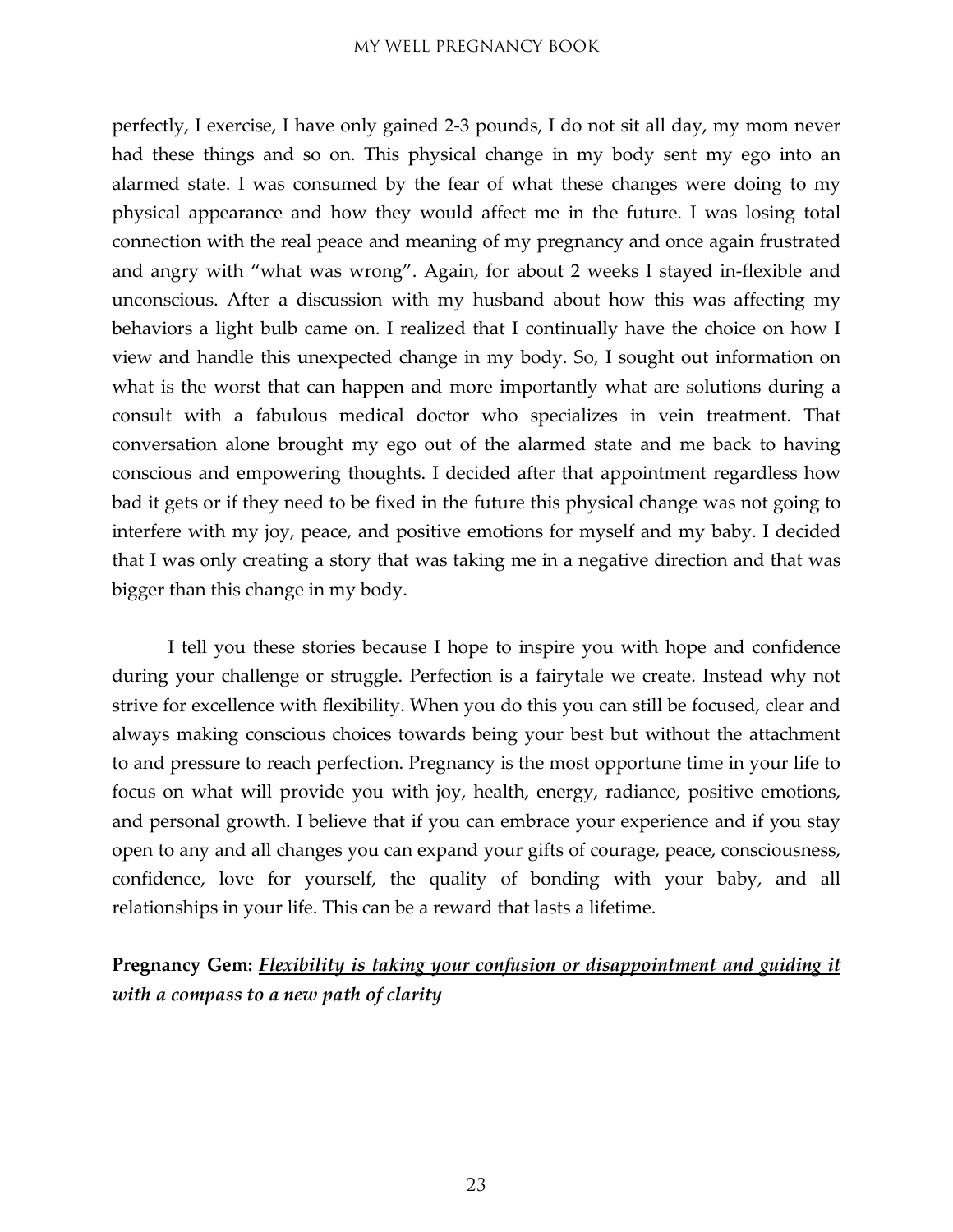perfectly, I exercise, I have only gained 2-3 pounds, I do not sit all day, my mom never had these things and so on. This physical change in my body sent my ego into an alarmed state. I was consumed by the fear of what these changes were doing to my physical appearance and how they would affect me in the future. I was losing total connection with the real peace and meaning of my pregnancy and once again frustrated and angry with "what was wrong". Again, for about 2 weeks I stayed in-flexible and unconscious. After a discussion with my husband about how this was affecting my behaviors a light bulb came on. I realized that I continually have the choice on how I view and handle this unexpected change in my body. So, I sought out information on what is the worst that can happen and more importantly what are solutions during a consult with a fabulous medical doctor who specializes in vein treatment. That conversation alone brought my ego out of the alarmed state and me back to having conscious and empowering thoughts. I decided after that appointment regardless how bad it gets or if they need to be fixed in the future this physical change was not going to interfere with my joy, peace, and positive emotions for myself and my baby. I decided that I was only creating a story that was taking me in a negative direction and that was bigger than this change in my body.

I tell you these stories because I hope to inspire you with hope and confidence during your challenge or struggle. Perfection is a fairytale we create. Instead why not strive for excellence with flexibility. When you do this you can still be focused, clear and always making conscious choices towards being your best but without the attachment to and pressure to reach perfection. Pregnancy is the most opportune time in your life to focus on what will provide you with joy, health, energy, radiance, positive emotions, and personal growth. I believe that if you can embrace your experience and if you stay open to any and all changes you can expand your gifts of courage, peace, consciousness, confidence, love for yourself, the quality of bonding with your baby, and all relationships in your life. This can be a reward that lasts a lifetime.

#### **Pregnancy Gem:** *Flexibility is taking your confusion or disappointment and guiding it with a compass to a new path of clarity*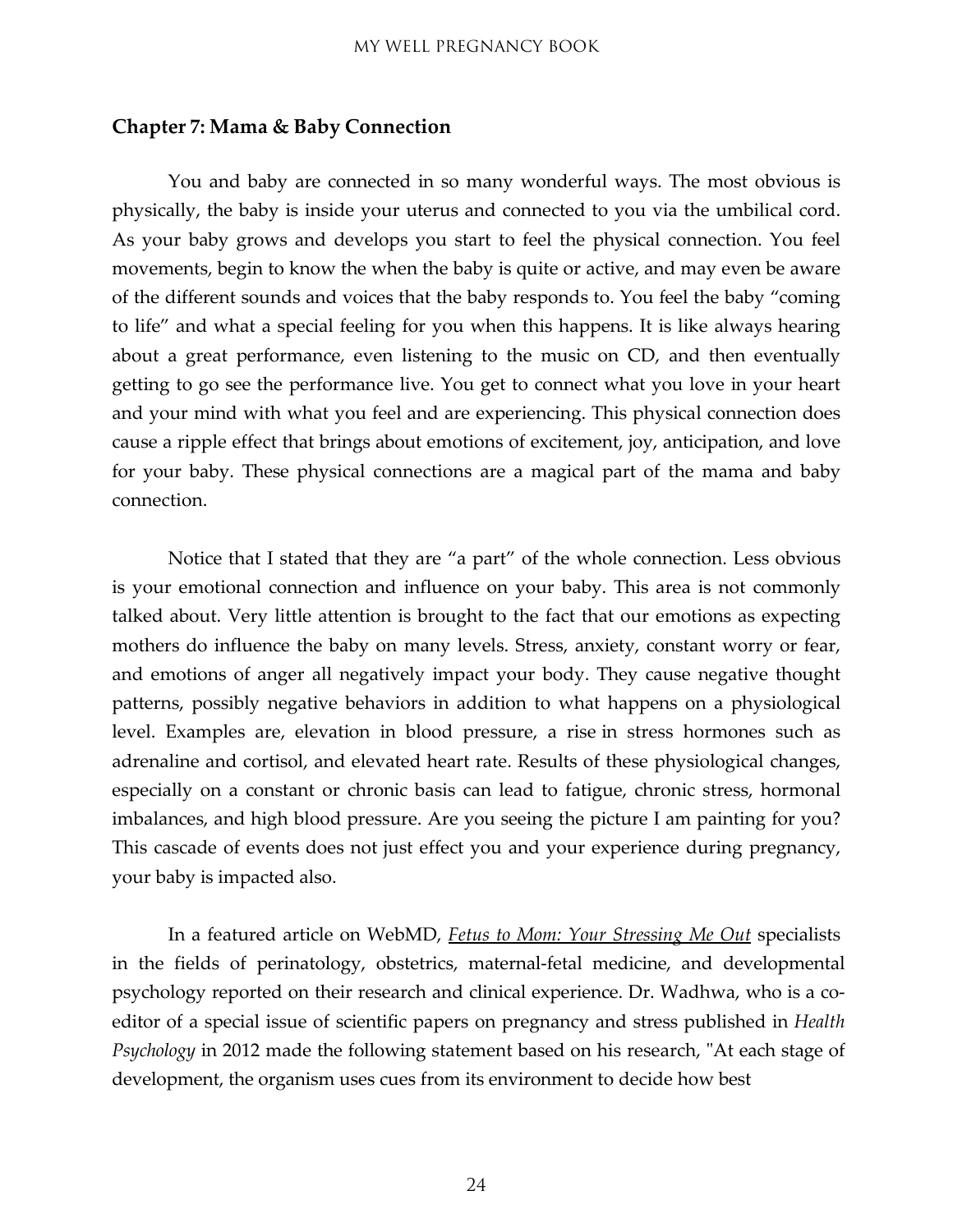#### <span id="page-23-0"></span>**Chapter 7: Mama & Baby Connection**

You and baby are connected in so many wonderful ways. The most obvious is physically, the baby is inside your uterus and connected to you via the umbilical cord. As your baby grows and develops you start to feel the physical connection. You feel movements, begin to know the when the baby is quite or active, and may even be aware of the different sounds and voices that the baby responds to. You feel the baby "coming to life" and what a special feeling for you when this happens. It is like always hearing about a great performance, even listening to the music on CD, and then eventually getting to go see the performance live. You get to connect what you love in your heart and your mind with what you feel and are experiencing. This physical connection does cause a ripple effect that brings about emotions of excitement, joy, anticipation, and love for your baby. These physical connections are a magical part of the mama and baby connection.

Notice that I stated that they are "a part" of the whole connection. Less obvious is your emotional connection and influence on your baby. This area is not commonly talked about. Very little attention is brought to the fact that our emotions as expecting mothers do influence the baby on many levels. Stress, anxiety, constant worry or fear, and emotions of anger all negatively impact your body. They cause negative thought patterns, possibly negative behaviors in addition to what happens on a physiological level. Examples are, elevation in blood pressure, a rise in stress hormones such as adrenaline and cortisol, and elevated heart rate. Results of these physiological changes, especially on a constant or chronic basis can lead to fatigue, chronic stress, hormonal imbalances, and high blood pressure. Are you seeing the picture I am painting for you? This cascade of events does not just effect you and your experience during pregnancy, your baby is impacted also.

In a featured article on WebMD, *Fetus to Mom: Your Stressing Me Out* specialists in the fields of perinatology, obstetrics, maternal-fetal medicine, and developmental psychology reported on their research and clinical experience. Dr. Wadhwa, who is a coeditor of a special issue of scientific papers on pregnancy and stress published in *Health Psychology* in 2012 made the following statement based on his research, "At each stage of development, the organism uses cues from its environment to decide how best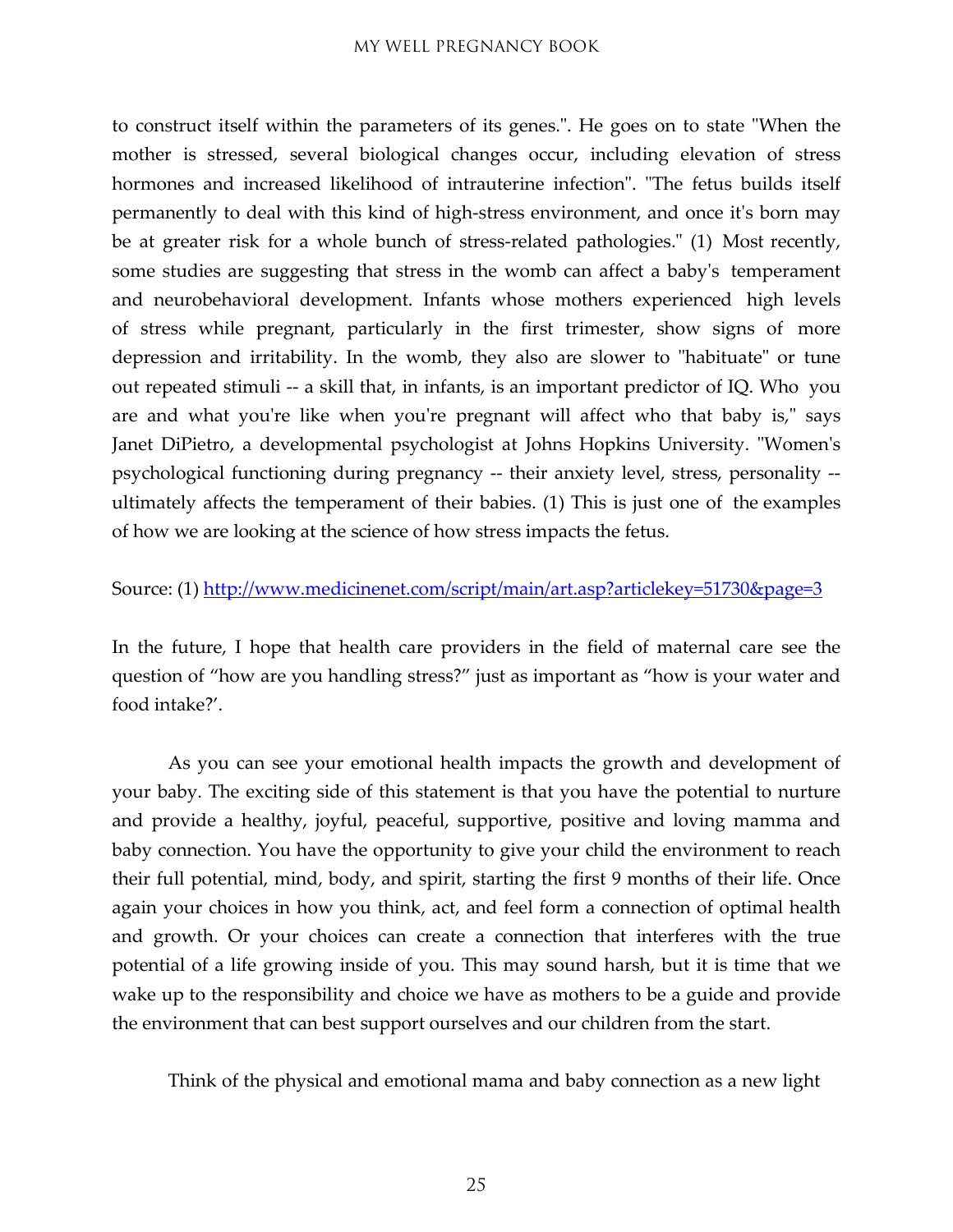to construct itself within the parameters of its genes.". He goes on to state "When the mother is stressed, several biological changes occur, including elevation of stress hormones and increased likelihood of intrauterine infection". "The fetus builds itself permanently to deal with this kind of high-stress environment, and once it's born may be at greater risk for a whole bunch of stress-related pathologies." (1) Most recently, some studies are suggesting that stress in the womb can affect a baby's temperament and neurobehavioral development. Infants whose mothers experienced high levels of stress while pregnant, particularly in the first trimester, show signs of more depression and irritability. In the womb, they also are slower to "habituate" or tune out repeated stimuli -- a skill that, in infants, is an important predictor of IQ. Who you are and what you're like when you're pregnant will affect who that baby is," says Janet DiPietro, a developmental psychologist at Johns Hopkins University. "Women's psychological functioning during pregnancy -- their anxiety level, stress, personality - ultimately affects the temperament of their babies. (1) This is just one of the examples of how we are looking at the science of how stress impacts the fetus.

#### Source: (1) <http://www.medicinenet.com/script/main/art.asp?articlekey=51730&page=3>

In the future, I hope that health care providers in the field of maternal care see the question of "how are you handling stress?" just as important as "how is your water and food intake?'.

As you can see your emotional health impacts the growth and development of your baby. The exciting side of this statement is that you have the potential to nurture and provide a healthy, joyful, peaceful, supportive, positive and loving mamma and baby connection. You have the opportunity to give your child the environment to reach their full potential, mind, body, and spirit, starting the first 9 months of their life. Once again your choices in how you think, act, and feel form a connection of optimal health and growth. Or your choices can create a connection that interferes with the true potential of a life growing inside of you. This may sound harsh, but it is time that we wake up to the responsibility and choice we have as mothers to be a guide and provide the environment that can best support ourselves and our children from the start.

Think of the physical and emotional mama and baby connection as a new light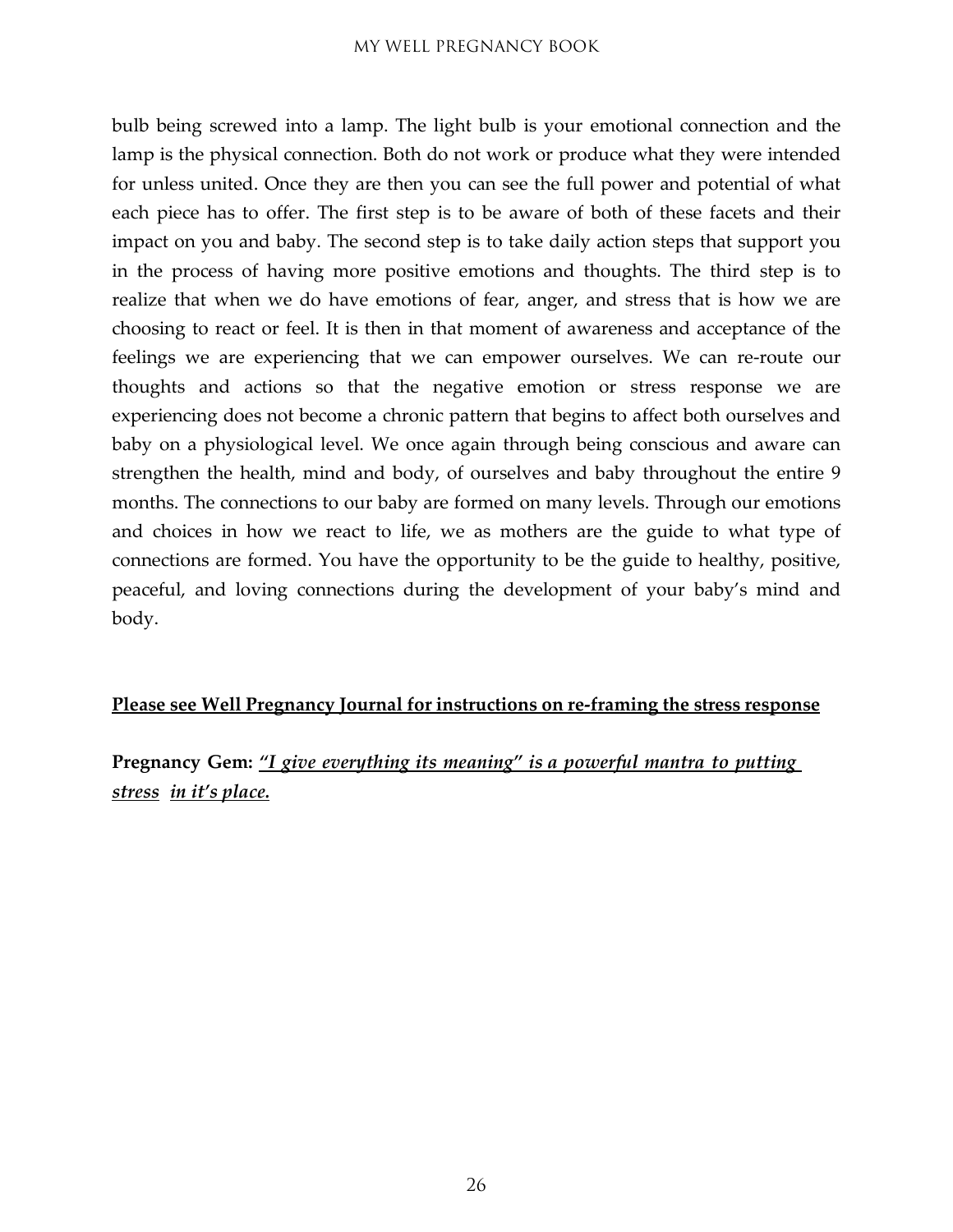bulb being screwed into a lamp. The light bulb is your emotional connection and the lamp is the physical connection. Both do not work or produce what they were intended for unless united. Once they are then you can see the full power and potential of what each piece has to offer. The first step is to be aware of both of these facets and their impact on you and baby. The second step is to take daily action steps that support you in the process of having more positive emotions and thoughts. The third step is to realize that when we do have emotions of fear, anger, and stress that is how we are choosing to react or feel. It is then in that moment of awareness and acceptance of the feelings we are experiencing that we can empower ourselves. We can re-route our thoughts and actions so that the negative emotion or stress response we are experiencing does not become a chronic pattern that begins to affect both ourselves and baby on a physiological level. We once again through being conscious and aware can strengthen the health, mind and body, of ourselves and baby throughout the entire 9 months. The connections to our baby are formed on many levels. Through our emotions and choices in how we react to life, we as mothers are the guide to what type of connections are formed. You have the opportunity to be the guide to healthy, positive, peaceful, and loving connections during the development of your baby's mind and body.

#### **Please see Well Pregnancy Journal for instructions on re-framing the stress response**

**Pregnancy Gem:** *"I give everything its meaning" is a powerful mantra to putting stress in it's place.*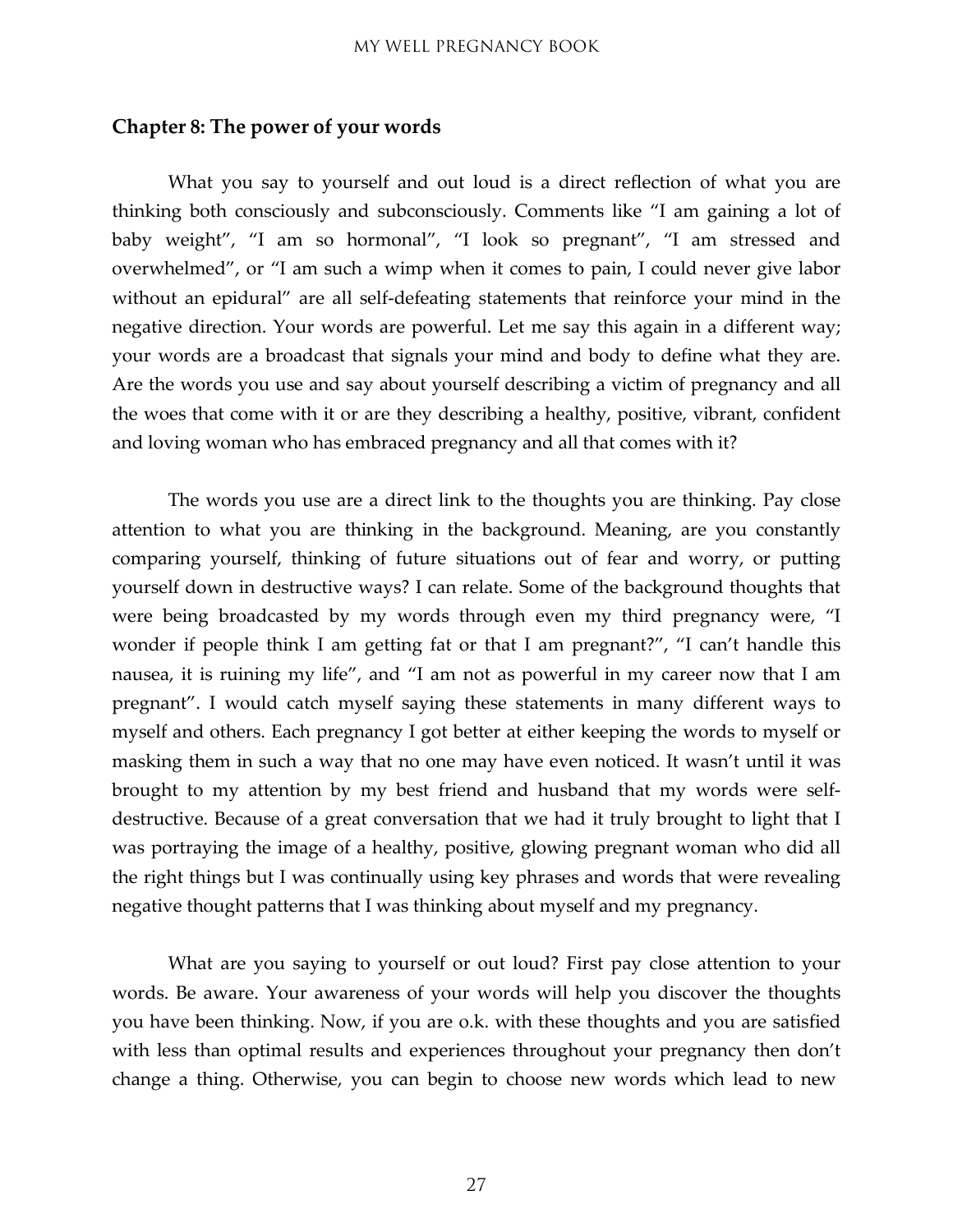#### <span id="page-26-0"></span>**Chapter 8: The power of your words**

What you say to yourself and out loud is a direct reflection of what you are thinking both consciously and subconsciously. Comments like "I am gaining a lot of baby weight", "I am so hormonal", "I look so pregnant", "I am stressed and overwhelmed", or "I am such a wimp when it comes to pain, I could never give labor without an epidural" are all self-defeating statements that reinforce your mind in the negative direction. Your words are powerful. Let me say this again in a different way; your words are a broadcast that signals your mind and body to define what they are. Are the words you use and say about yourself describing a victim of pregnancy and all the woes that come with it or are they describing a healthy, positive, vibrant, confident and loving woman who has embraced pregnancy and all that comes with it?

The words you use are a direct link to the thoughts you are thinking. Pay close attention to what you are thinking in the background. Meaning, are you constantly comparing yourself, thinking of future situations out of fear and worry, or putting yourself down in destructive ways? I can relate. Some of the background thoughts that were being broadcasted by my words through even my third pregnancy were, "I wonder if people think I am getting fat or that I am pregnant?", "I can't handle this nausea, it is ruining my life", and "I am not as powerful in my career now that I am pregnant". I would catch myself saying these statements in many different ways to myself and others. Each pregnancy I got better at either keeping the words to myself or masking them in such a way that no one may have even noticed. It wasn't until it was brought to my attention by my best friend and husband that my words were selfdestructive. Because of a great conversation that we had it truly brought to light that I was portraying the image of a healthy, positive, glowing pregnant woman who did all the right things but I was continually using key phrases and words that were revealing negative thought patterns that I was thinking about myself and my pregnancy.

What are you saying to yourself or out loud? First pay close attention to your words. Be aware. Your awareness of your words will help you discover the thoughts you have been thinking. Now, if you are o.k. with these thoughts and you are satisfied with less than optimal results and experiences throughout your pregnancy then don't change a thing. Otherwise, you can begin to choose new words which lead to new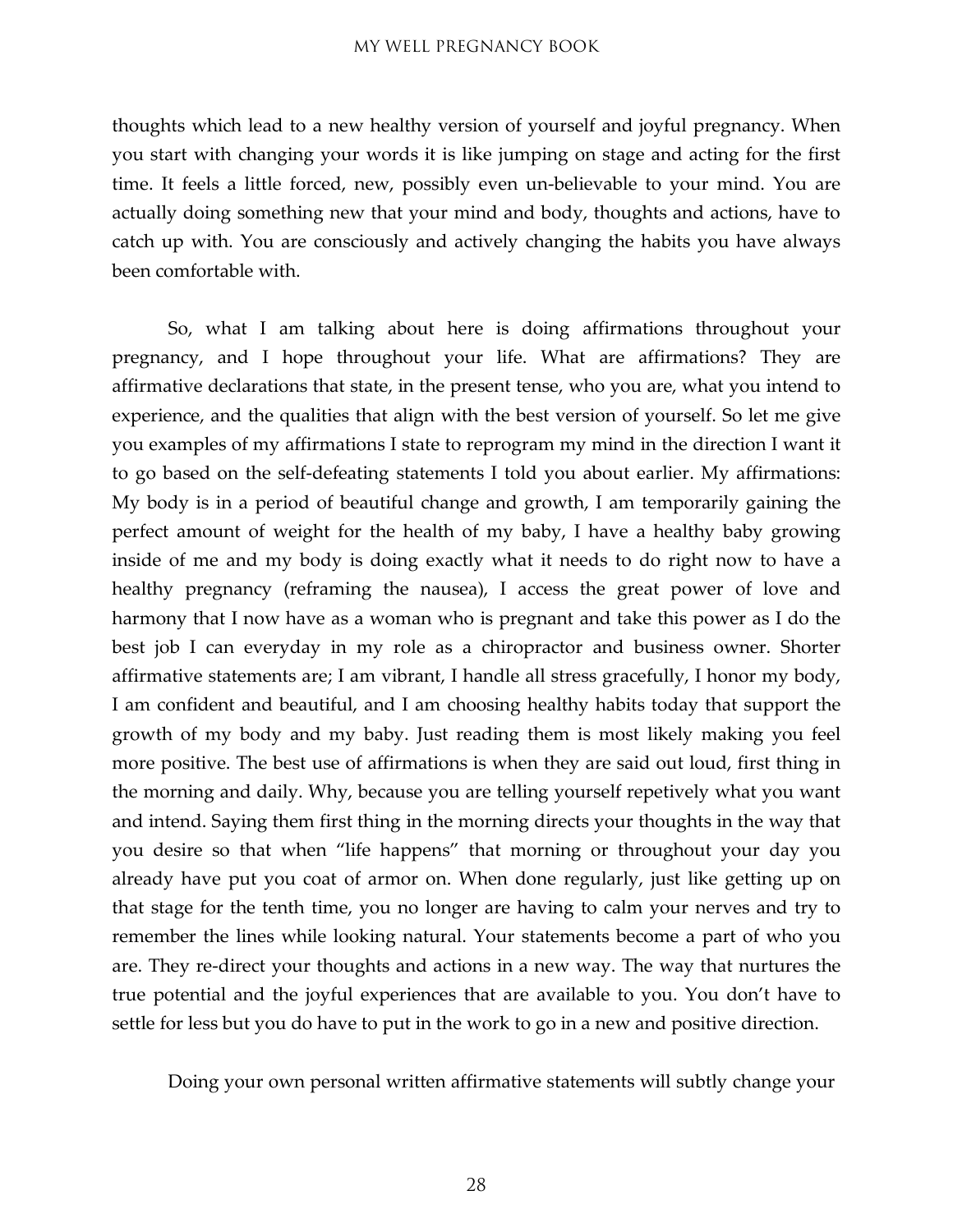thoughts which lead to a new healthy version of yourself and joyful pregnancy. When you start with changing your words it is like jumping on stage and acting for the first time. It feels a little forced, new, possibly even un-believable to your mind. You are actually doing something new that your mind and body, thoughts and actions, have to catch up with. You are consciously and actively changing the habits you have always been comfortable with.

So, what I am talking about here is doing affirmations throughout your pregnancy, and I hope throughout your life. What are affirmations? They are affirmative declarations that state, in the present tense, who you are, what you intend to experience, and the qualities that align with the best version of yourself. So let me give you examples of my affirmations I state to reprogram my mind in the direction I want it to go based on the self-defeating statements I told you about earlier. My affirmations: My body is in a period of beautiful change and growth, I am temporarily gaining the perfect amount of weight for the health of my baby, I have a healthy baby growing inside of me and my body is doing exactly what it needs to do right now to have a healthy pregnancy (reframing the nausea), I access the great power of love and harmony that I now have as a woman who is pregnant and take this power as I do the best job I can everyday in my role as a chiropractor and business owner. Shorter affirmative statements are; I am vibrant, I handle all stress gracefully, I honor my body, I am confident and beautiful, and I am choosing healthy habits today that support the growth of my body and my baby. Just reading them is most likely making you feel more positive. The best use of affirmations is when they are said out loud, first thing in the morning and daily. Why, because you are telling yourself repetively what you want and intend. Saying them first thing in the morning directs your thoughts in the way that you desire so that when "life happens" that morning or throughout your day you already have put you coat of armor on. When done regularly, just like getting up on that stage for the tenth time, you no longer are having to calm your nerves and try to remember the lines while looking natural. Your statements become a part of who you are. They re-direct your thoughts and actions in a new way. The way that nurtures the true potential and the joyful experiences that are available to you. You don't have to settle for less but you do have to put in the work to go in a new and positive direction.

Doing your own personal written affirmative statements will subtly change your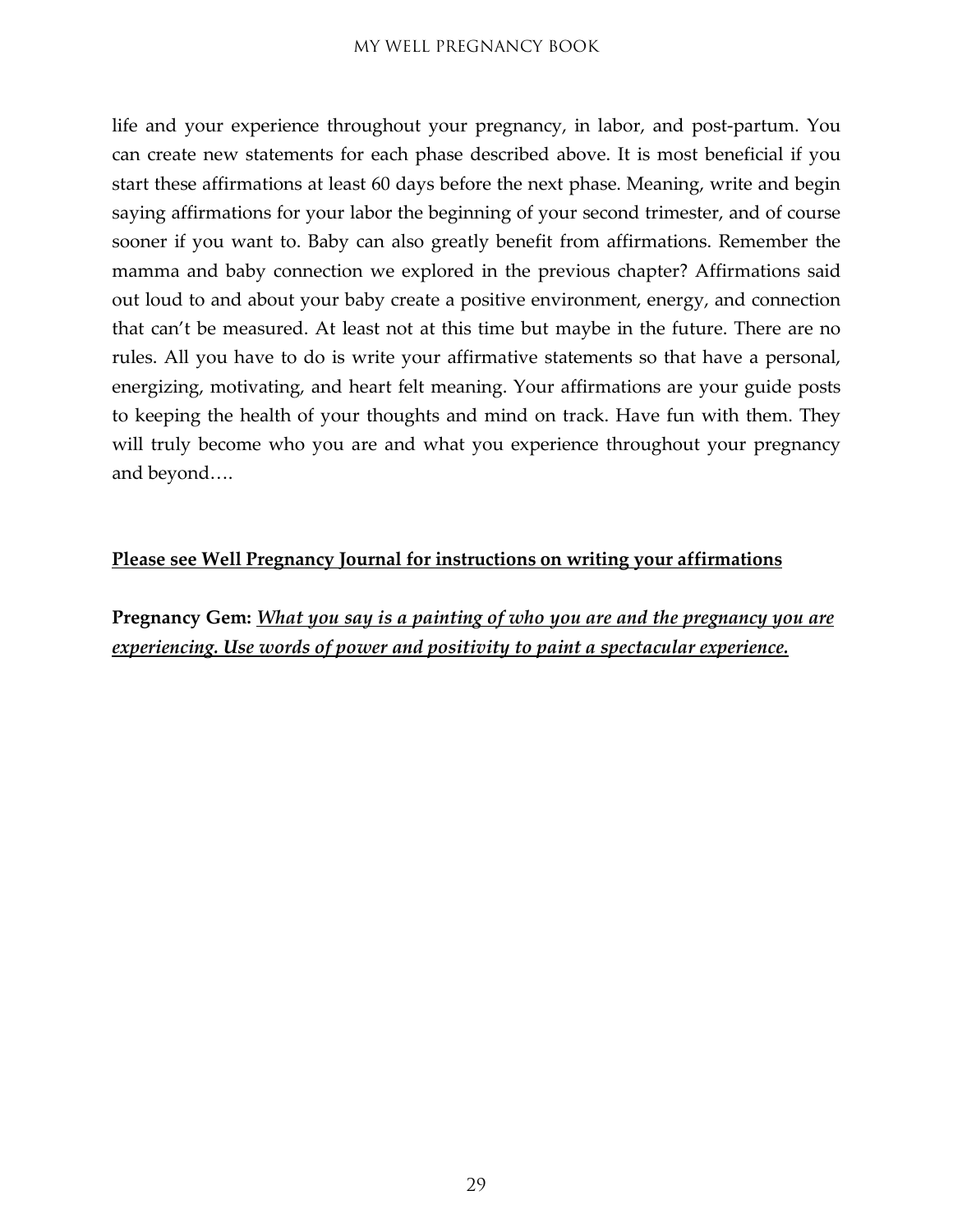life and your experience throughout your pregnancy, in labor, and post-partum. You can create new statements for each phase described above. It is most beneficial if you start these affirmations at least 60 days before the next phase. Meaning, write and begin saying affirmations for your labor the beginning of your second trimester, and of course sooner if you want to. Baby can also greatly benefit from affirmations. Remember the mamma and baby connection we explored in the previous chapter? Affirmations said out loud to and about your baby create a positive environment, energy, and connection that can't be measured. At least not at this time but maybe in the future. There are no rules. All you have to do is write your affirmative statements so that have a personal, energizing, motivating, and heart felt meaning. Your affirmations are your guide posts to keeping the health of your thoughts and mind on track. Have fun with them. They will truly become who you are and what you experience throughout your pregnancy and beyond….

#### **Please see Well Pregnancy Journal for instructions on writing your affirmations**

**Pregnancy Gem:** *What you say is a painting of who you are and the pregnancy you are experiencing. Use words of power and positivity to paint a spectacular experience.*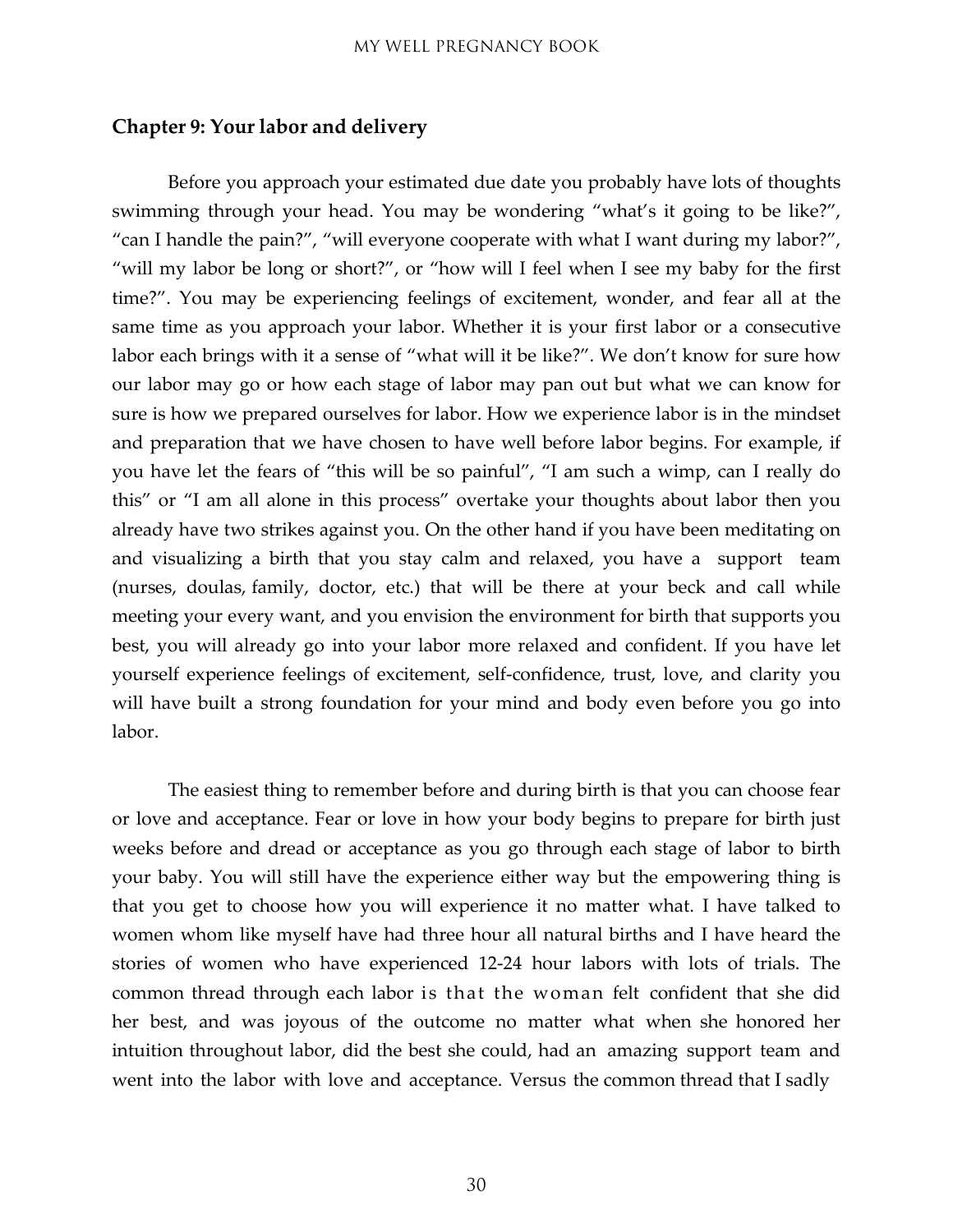#### <span id="page-29-0"></span>**Chapter 9: Your labor and delivery**

Before you approach your estimated due date you probably have lots of thoughts swimming through your head. You may be wondering "what's it going to be like?", "can I handle the pain?", "will everyone cooperate with what I want during my labor?", "will my labor be long or short?", or "how will I feel when I see my baby for the first time?". You may be experiencing feelings of excitement, wonder, and fear all at the same time as you approach your labor. Whether it is your first labor or a consecutive labor each brings with it a sense of "what will it be like?". We don't know for sure how our labor may go or how each stage of labor may pan out but what we can know for sure is how we prepared ourselves for labor. How we experience labor is in the mindset and preparation that we have chosen to have well before labor begins. For example, if you have let the fears of "this will be so painful", "I am such a wimp, can I really do this" or "I am all alone in this process" overtake your thoughts about labor then you already have two strikes against you. On the other hand if you have been meditating on and visualizing a birth that you stay calm and relaxed, you have a support team (nurses, doulas, family, doctor, etc.) that will be there at your beck and call while meeting your every want, and you envision the environment for birth that supports you best, you will already go into your labor more relaxed and confident. If you have let yourself experience feelings of excitement, self-confidence, trust, love, and clarity you will have built a strong foundation for your mind and body even before you go into labor.

The easiest thing to remember before and during birth is that you can choose fear or love and acceptance. Fear or love in how your body begins to prepare for birth just weeks before and dread or acceptance as you go through each stage of labor to birth your baby. You will still have the experience either way but the empowering thing is that you get to choose how you will experience it no matter what. I have talked to women whom like myself have had three hour all natural births and I have heard the stories of women who have experienced 12-24 hour labors with lots of trials. The common thread through each labor is that the woman felt confident that she did her best, and was joyous of the outcome no matter what when she honored her intuition throughout labor, did the best she could, had an amazing support team and went into the labor with love and acceptance. Versus the common thread that I sadly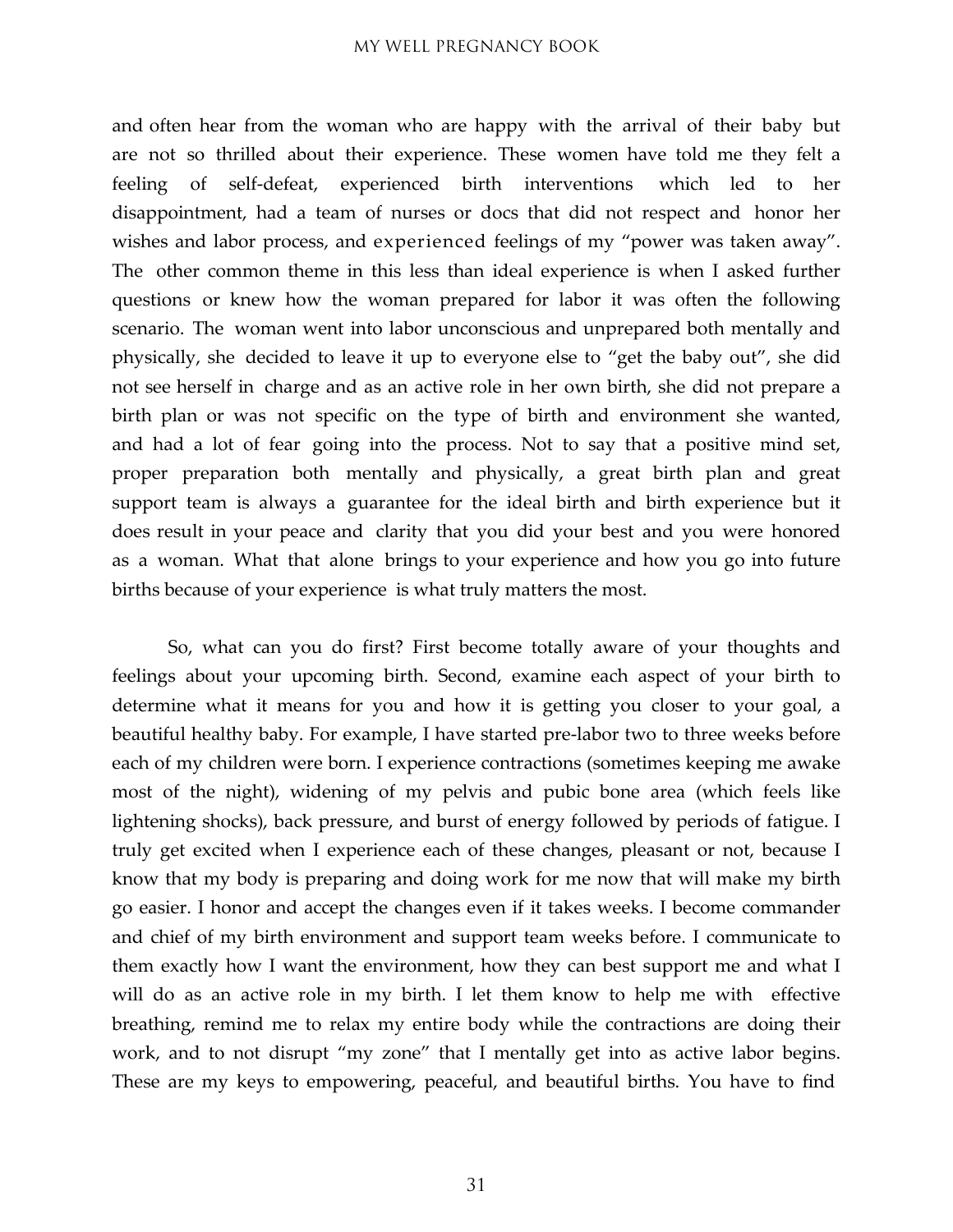and often hear from the woman who are happy with the arrival of their baby but are not so thrilled about their experience. These women have told me they felt a feeling of self-defeat, experienced birth interventions which led to her disappointment, had a team of nurses or docs that did not respect and honor her wishes and labor process, and experienced feelings of my "power was taken away". The other common theme in this less than ideal experience is when I asked further questions or knew how the woman prepared for labor it was often the following scenario. The woman went into labor unconscious and unprepared both mentally and physically, she decided to leave it up to everyone else to "get the baby out", she did not see herself in charge and as an active role in her own birth, she did not prepare a birth plan or was not specific on the type of birth and environment she wanted, and had a lot of fear going into the process. Not to say that a positive mind set, proper preparation both mentally and physically, a great birth plan and great support team is always a guarantee for the ideal birth and birth experience but it does result in your peace and clarity that you did your best and you were honored as a woman. What that alone brings to your experience and how you go into future births because of your experience is what truly matters the most.

So, what can you do first? First become totally aware of your thoughts and feelings about your upcoming birth. Second, examine each aspect of your birth to determine what it means for you and how it is getting you closer to your goal, a beautiful healthy baby. For example, I have started pre-labor two to three weeks before each of my children were born. I experience contractions (sometimes keeping me awake most of the night), widening of my pelvis and pubic bone area (which feels like lightening shocks), back pressure, and burst of energy followed by periods of fatigue. I truly get excited when I experience each of these changes, pleasant or not, because I know that my body is preparing and doing work for me now that will make my birth go easier. I honor and accept the changes even if it takes weeks. I become commander and chief of my birth environment and support team weeks before. I communicate to them exactly how I want the environment, how they can best support me and what I will do as an active role in my birth. I let them know to help me with effective breathing, remind me to relax my entire body while the contractions are doing their work, and to not disrupt "my zone" that I mentally get into as active labor begins. These are my keys to empowering, peaceful, and beautiful births. You have to find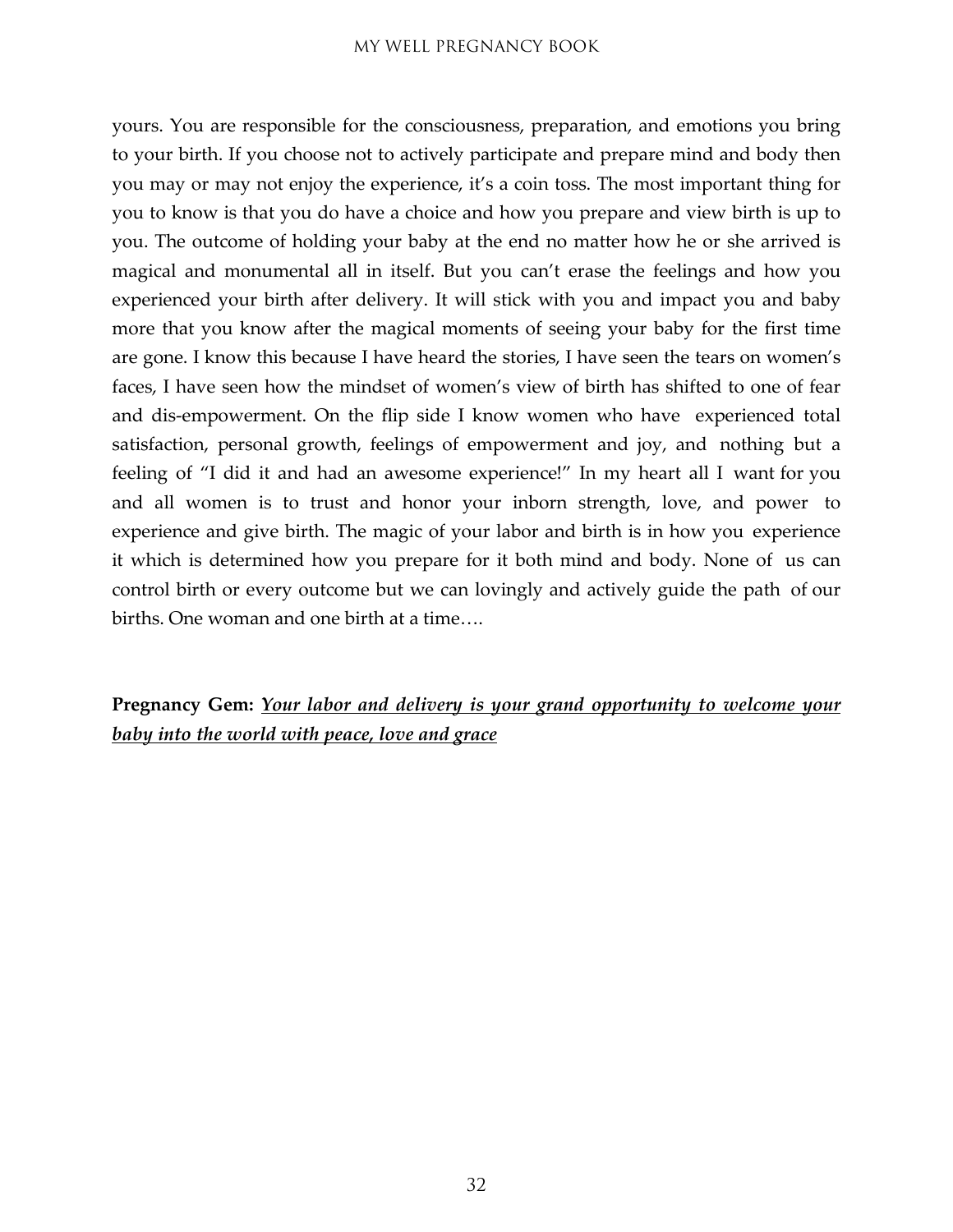yours. You are responsible for the consciousness, preparation, and emotions you bring to your birth. If you choose not to actively participate and prepare mind and body then you may or may not enjoy the experience, it's a coin toss. The most important thing for you to know is that you do have a choice and how you prepare and view birth is up to you. The outcome of holding your baby at the end no matter how he or she arrived is magical and monumental all in itself. But you can't erase the feelings and how you experienced your birth after delivery. It will stick with you and impact you and baby more that you know after the magical moments of seeing your baby for the first time are gone. I know this because I have heard the stories, I have seen the tears on women's faces, I have seen how the mindset of women's view of birth has shifted to one of fear and dis-empowerment. On the flip side I know women who have experienced total satisfaction, personal growth, feelings of empowerment and joy, and nothing but a feeling of "I did it and had an awesome experience!" In my heart all I want for you and all women is to trust and honor your inborn strength, love, and power to experience and give birth. The magic of your labor and birth is in how you experience it which is determined how you prepare for it both mind and body. None of us can control birth or every outcome but we can lovingly and actively guide the path of our births. One woman and one birth at a time….

**Pregnancy Gem:** *Your labor and delivery is your grand opportunity to welcome your baby into the world with peace, love and grace*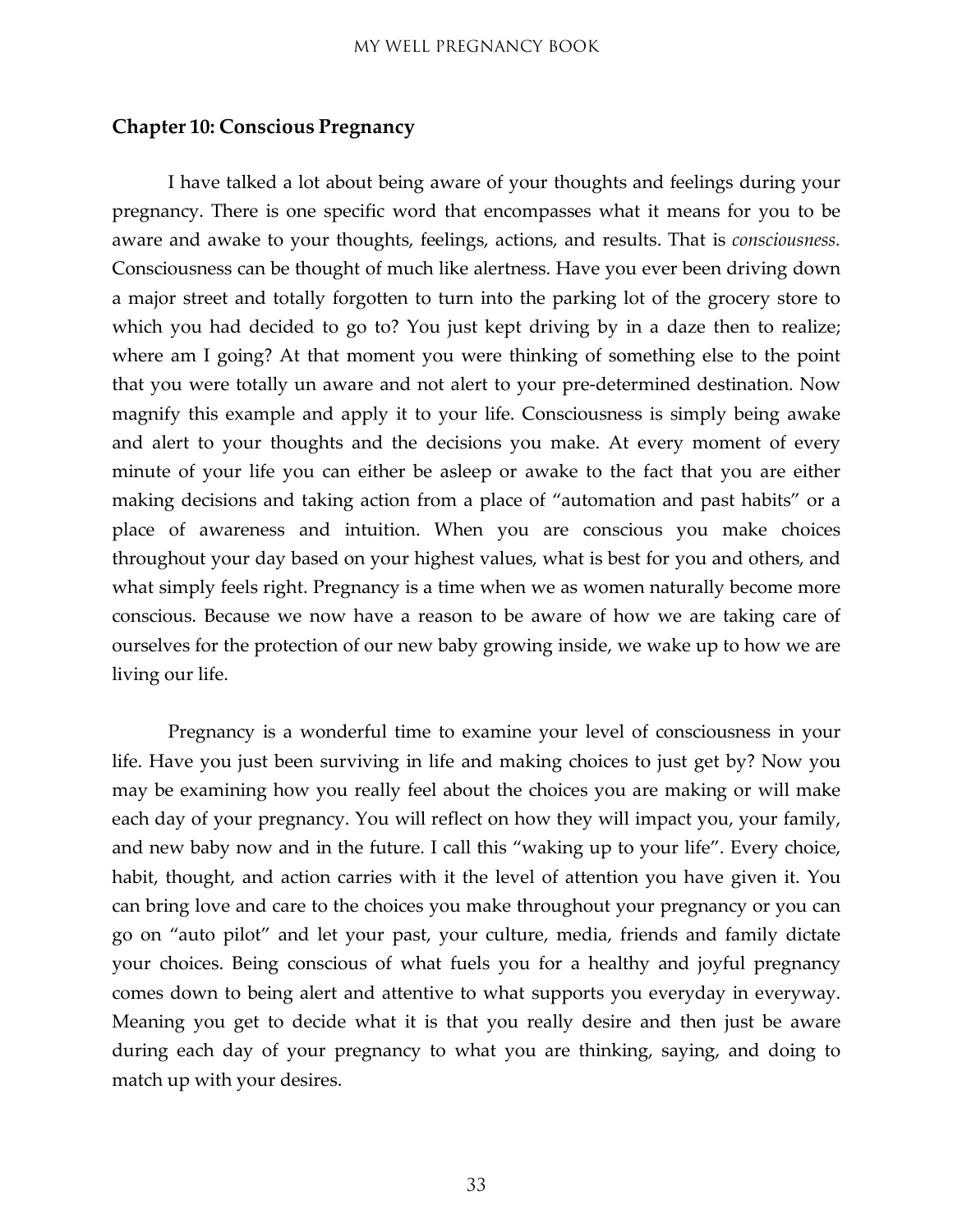#### <span id="page-32-0"></span>**Chapter 10: Conscious Pregnancy**

I have talked a lot about being aware of your thoughts and feelings during your pregnancy. There is one specific word that encompasses what it means for you to be aware and awake to your thoughts, feelings, actions, and results. That is *consciousness.* Consciousness can be thought of much like alertness. Have you ever been driving down a major street and totally forgotten to turn into the parking lot of the grocery store to which you had decided to go to? You just kept driving by in a daze then to realize; where am I going? At that moment you were thinking of something else to the point that you were totally un aware and not alert to your pre-determined destination. Now magnify this example and apply it to your life. Consciousness is simply being awake and alert to your thoughts and the decisions you make. At every moment of every minute of your life you can either be asleep or awake to the fact that you are either making decisions and taking action from a place of "automation and past habits" or a place of awareness and intuition. When you are conscious you make choices throughout your day based on your highest values, what is best for you and others, and what simply feels right. Pregnancy is a time when we as women naturally become more conscious. Because we now have a reason to be aware of how we are taking care of ourselves for the protection of our new baby growing inside, we wake up to how we are living our life.

Pregnancy is a wonderful time to examine your level of consciousness in your life. Have you just been surviving in life and making choices to just get by? Now you may be examining how you really feel about the choices you are making or will make each day of your pregnancy. You will reflect on how they will impact you, your family, and new baby now and in the future. I call this "waking up to your life". Every choice, habit, thought, and action carries with it the level of attention you have given it. You can bring love and care to the choices you make throughout your pregnancy or you can go on "auto pilot" and let your past, your culture, media, friends and family dictate your choices. Being conscious of what fuels you for a healthy and joyful pregnancy comes down to being alert and attentive to what supports you everyday in everyway. Meaning you get to decide what it is that you really desire and then just be aware during each day of your pregnancy to what you are thinking, saying, and doing to match up with your desires.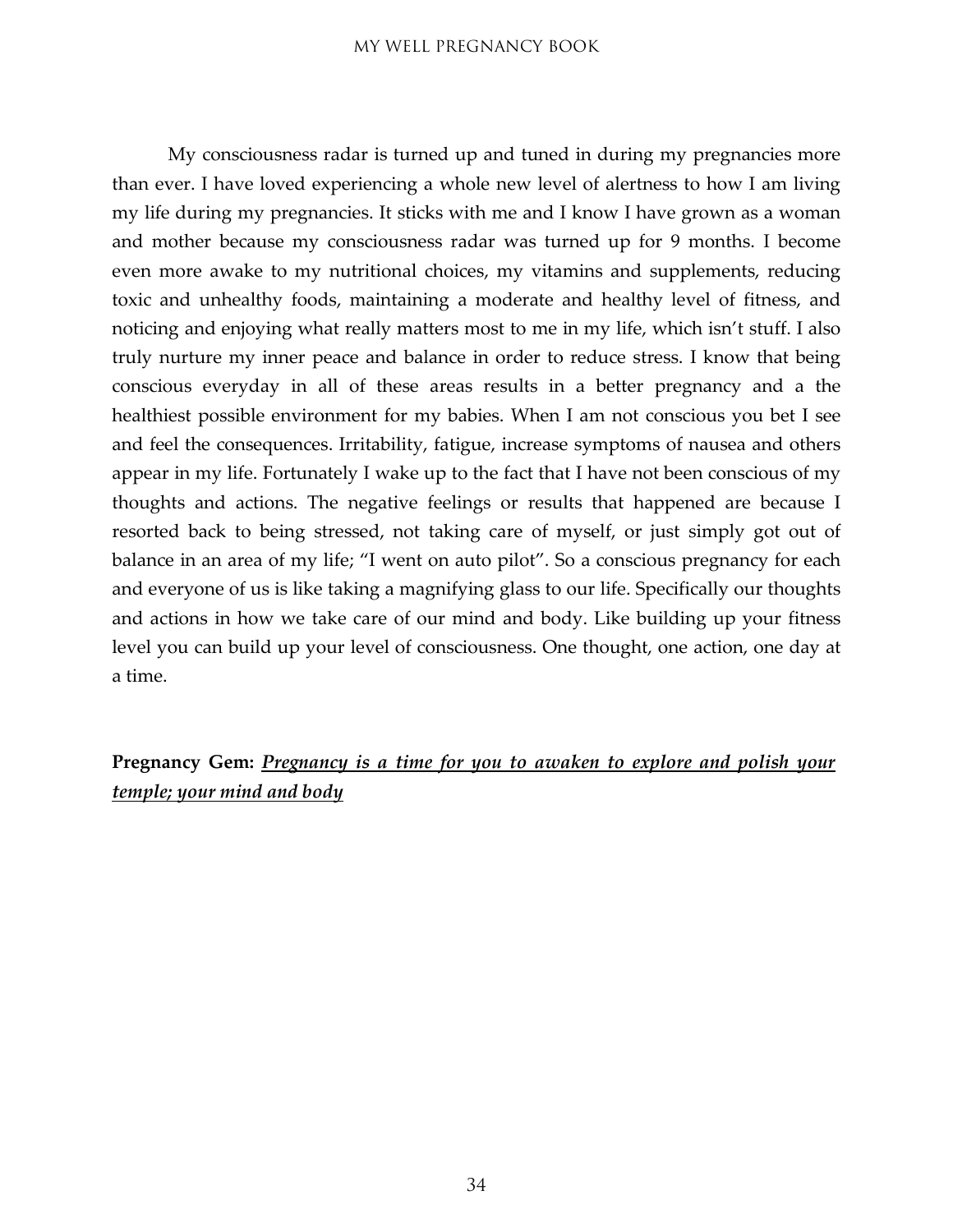My consciousness radar is turned up and tuned in during my pregnancies more than ever. I have loved experiencing a whole new level of alertness to how I am living my life during my pregnancies. It sticks with me and I know I have grown as a woman and mother because my consciousness radar was turned up for 9 months. I become even more awake to my nutritional choices, my vitamins and supplements, reducing toxic and unhealthy foods, maintaining a moderate and healthy level of fitness, and noticing and enjoying what really matters most to me in my life, which isn't stuff. I also truly nurture my inner peace and balance in order to reduce stress. I know that being conscious everyday in all of these areas results in a better pregnancy and a the healthiest possible environment for my babies. When I am not conscious you bet I see and feel the consequences. Irritability, fatigue, increase symptoms of nausea and others appear in my life. Fortunately I wake up to the fact that I have not been conscious of my thoughts and actions. The negative feelings or results that happened are because I resorted back to being stressed, not taking care of myself, or just simply got out of balance in an area of my life; "I went on auto pilot". So a conscious pregnancy for each and everyone of us is like taking a magnifying glass to our life. Specifically our thoughts and actions in how we take care of our mind and body. Like building up your fitness level you can build up your level of consciousness. One thought, one action, one day at a time.

**Pregnancy Gem:** *Pregnancy is a time for you to awaken to explore and polish your temple; your mind and body*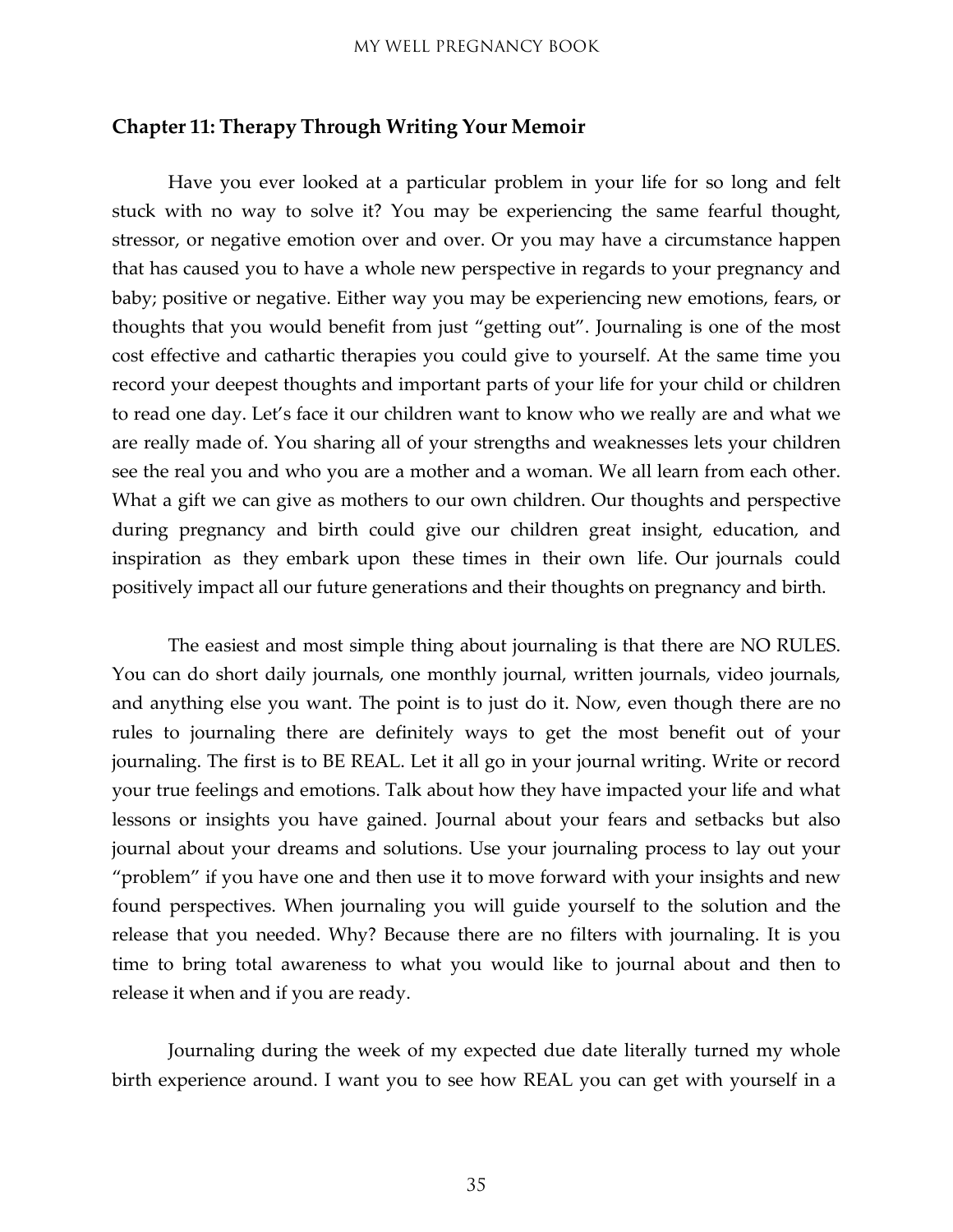#### <span id="page-34-0"></span>**Chapter 11: Therapy Through Writing Your Memoir**

Have you ever looked at a particular problem in your life for so long and felt stuck with no way to solve it? You may be experiencing the same fearful thought, stressor, or negative emotion over and over. Or you may have a circumstance happen that has caused you to have a whole new perspective in regards to your pregnancy and baby; positive or negative. Either way you may be experiencing new emotions, fears, or thoughts that you would benefit from just "getting out". Journaling is one of the most cost effective and cathartic therapies you could give to yourself. At the same time you record your deepest thoughts and important parts of your life for your child or children to read one day. Let's face it our children want to know who we really are and what we are really made of. You sharing all of your strengths and weaknesses lets your children see the real you and who you are a mother and a woman. We all learn from each other. What a gift we can give as mothers to our own children. Our thoughts and perspective during pregnancy and birth could give our children great insight, education, and inspiration as they embark upon these times in their own life. Our journals could positively impact all our future generations and their thoughts on pregnancy and birth.

The easiest and most simple thing about journaling is that there are NO RULES. You can do short daily journals, one monthly journal, written journals, video journals, and anything else you want. The point is to just do it. Now, even though there are no rules to journaling there are definitely ways to get the most benefit out of your journaling. The first is to BE REAL. Let it all go in your journal writing. Write or record your true feelings and emotions. Talk about how they have impacted your life and what lessons or insights you have gained. Journal about your fears and setbacks but also journal about your dreams and solutions. Use your journaling process to lay out your "problem" if you have one and then use it to move forward with your insights and new found perspectives. When journaling you will guide yourself to the solution and the release that you needed. Why? Because there are no filters with journaling. It is you time to bring total awareness to what you would like to journal about and then to release it when and if you are ready.

Journaling during the week of my expected due date literally turned my whole birth experience around. I want you to see how REAL you can get with yourself in a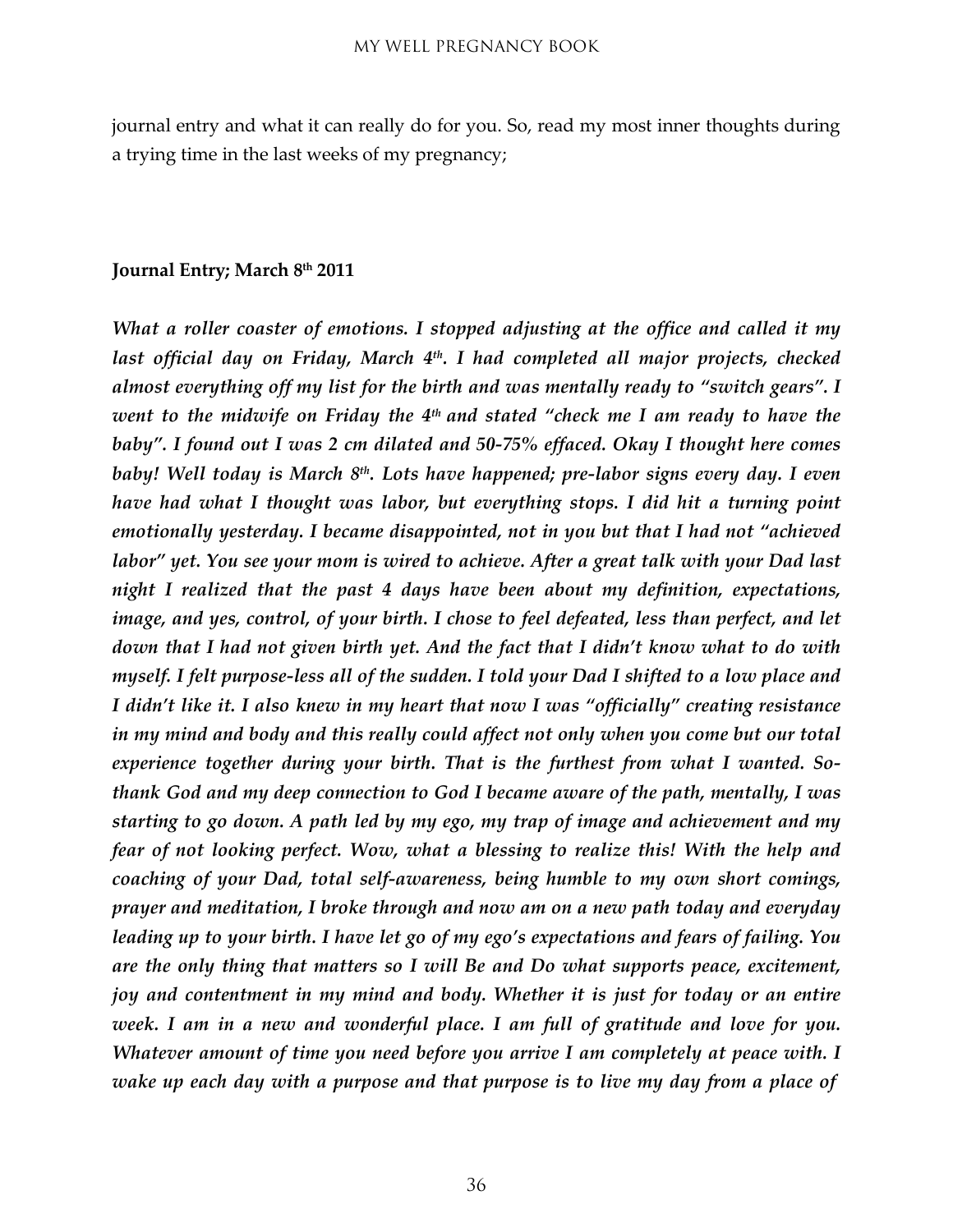journal entry and what it can really do for you. So, read my most inner thoughts during a trying time in the last weeks of my pregnancy;

#### **Journal Entry; March 8th 2011**

*What a roller coaster of emotions. I stopped adjusting at the office and called it my last official day on Friday, March 4th. I had completed all major projects, checked almost everything off my list for the birth and was mentally ready to "switch gears". I went to the midwife on Friday the 4th and stated "check me I am ready to have the baby". I found out I was 2 cm dilated and 50-75% effaced. Okay I thought here comes baby! Well today is March 8th. Lots have happened; pre-labor signs every day. I even have had what I thought was labor, but everything stops. I did hit a turning point emotionally yesterday. I became disappointed, not in you but that I had not "achieved labor" yet. You see your mom is wired to achieve. After a great talk with your Dad last night I realized that the past 4 days have been about my definition, expectations, image, and yes, control, of your birth. I chose to feel defeated, less than perfect, and let down that I had not given birth yet. And the fact that I didn't know what to do with myself. I felt purpose-less all of the sudden. I told your Dad I shifted to a low place and I didn't like it. I also knew in my heart that now I was "officially" creating resistance in my mind and body and this really could affect not only when you come but our total experience together during your birth. That is the furthest from what I wanted. Sothank God and my deep connection to God I became aware of the path, mentally, I was starting to go down. A path led by my ego, my trap of image and achievement and my fear of not looking perfect. Wow, what a blessing to realize this! With the help and coaching of your Dad, total self-awareness, being humble to my own short comings, prayer and meditation, I broke through and now am on a new path today and everyday leading up to your birth. I have let go of my ego's expectations and fears of failing. You are the only thing that matters so I will Be and Do what supports peace, excitement, joy and contentment in my mind and body. Whether it is just for today or an entire week. I am in a new and wonderful place. I am full of gratitude and love for you. Whatever amount of time you need before you arrive I am completely at peace with. I wake up each day with a purpose and that purpose is to live my day from a place of*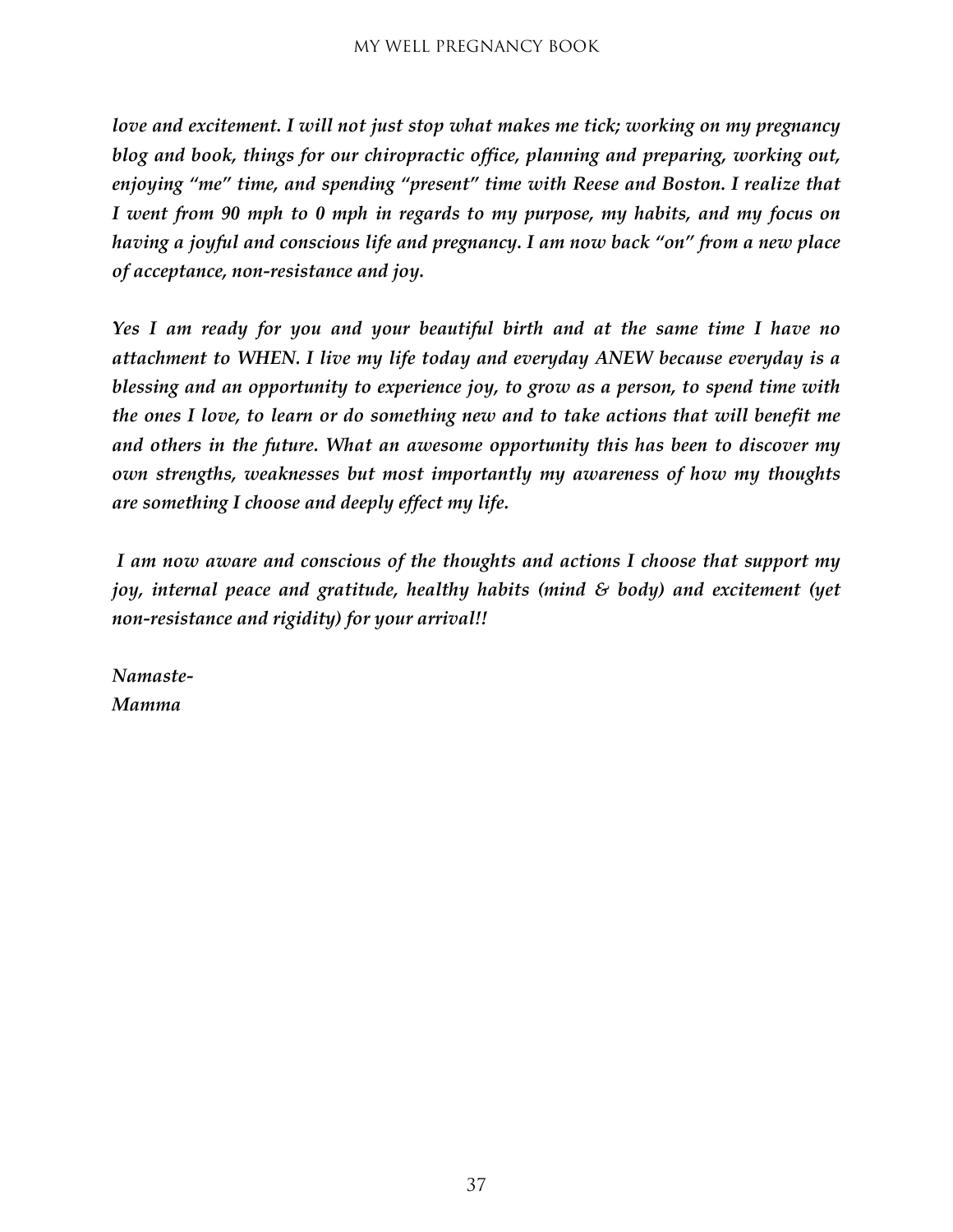*love and excitement. I will not just stop what makes me tick; working on my pregnancy blog and book, things for our chiropractic office, planning and preparing, working out, enjoying "me" time, and spending "present" time with Reese and Boston. I realize that I went from 90 mph to 0 mph in regards to my purpose, my habits, and my focus on having a joyful and conscious life and pregnancy. I am now back "on" from a new place of acceptance, non-resistance and joy.*

*Yes I am ready for you and your beautiful birth and at the same time I have no attachment to WHEN. I live my life today and everyday ANEW because everyday is a blessing and an opportunity to experience joy, to grow as a person, to spend time with the ones I love, to learn or do something new and to take actions that will benefit me and others in the future. What an awesome opportunity this has been to discover my own strengths, weaknesses but most importantly my awareness of how my thoughts are something I choose and deeply effect my life.*

*I am now aware and conscious of the thoughts and actions I choose that support my joy, internal peace and gratitude, healthy habits (mind & body) and excitement (yet non-resistance and rigidity) for your arrival!!*

*Namaste-Mamma*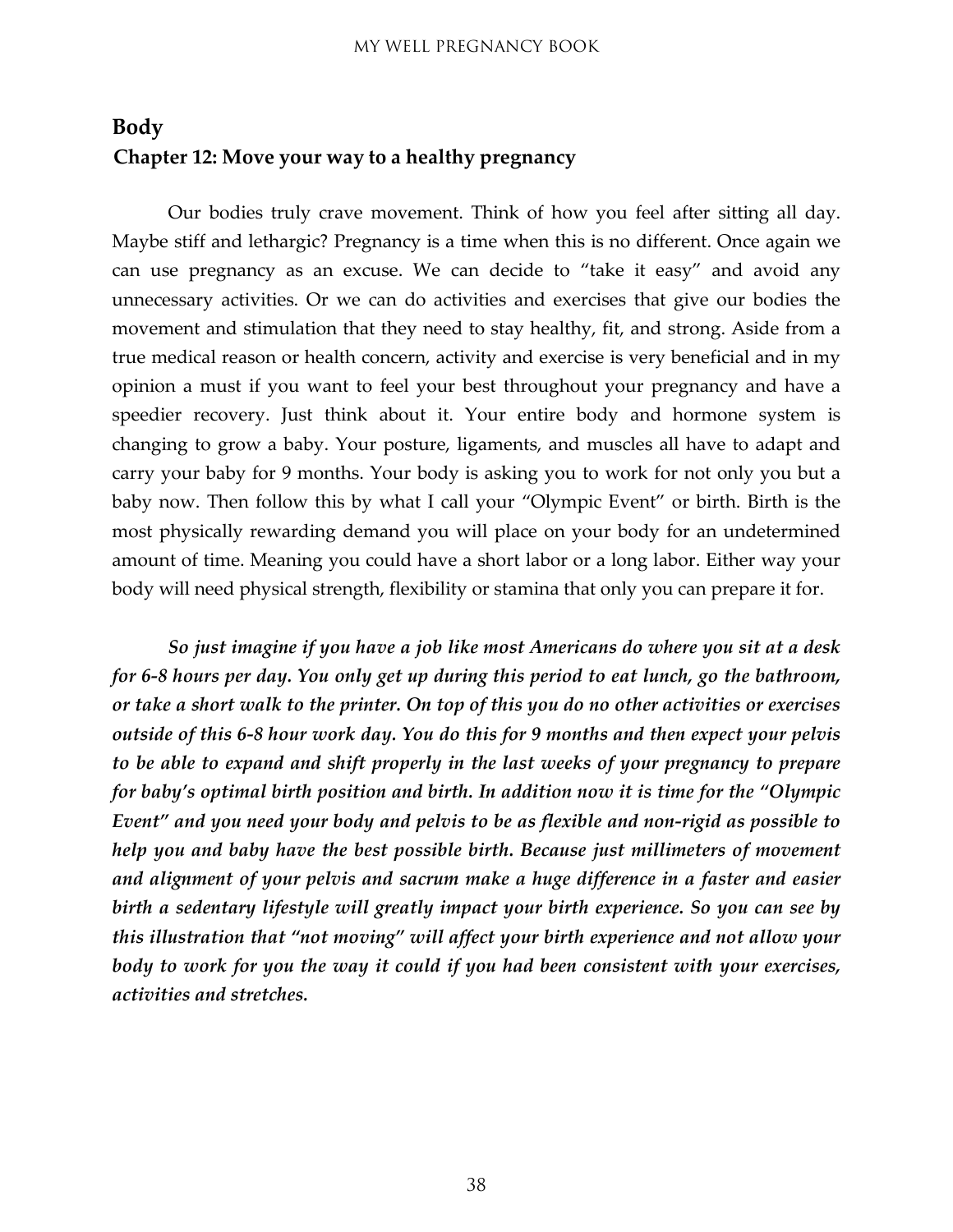#### <span id="page-37-1"></span><span id="page-37-0"></span>**Body Chapter 12: Move your way to a healthy pregnancy**

Our bodies truly crave movement. Think of how you feel after sitting all day. Maybe stiff and lethargic? Pregnancy is a time when this is no different. Once again we can use pregnancy as an excuse. We can decide to "take it easy" and avoid any unnecessary activities. Or we can do activities and exercises that give our bodies the movement and stimulation that they need to stay healthy, fit, and strong. Aside from a true medical reason or health concern, activity and exercise is very beneficial and in my opinion a must if you want to feel your best throughout your pregnancy and have a speedier recovery. Just think about it. Your entire body and hormone system is changing to grow a baby. Your posture, ligaments, and muscles all have to adapt and carry your baby for 9 months. Your body is asking you to work for not only you but a baby now. Then follow this by what I call your "Olympic Event" or birth. Birth is the most physically rewarding demand you will place on your body for an undetermined amount of time. Meaning you could have a short labor or a long labor. Either way your body will need physical strength, flexibility or stamina that only you can prepare it for.

*So just imagine if you have a job like most Americans do where you sit at a desk for 6-8 hours per day. You only get up during this period to eat lunch, go the bathroom, or take a short walk to the printer. On top of this you do no other activities or exercises outside of this 6-8 hour work day. You do this for 9 months and then expect your pelvis to be able to expand and shift properly in the last weeks of your pregnancy to prepare for baby's optimal birth position and birth. In addition now it is time for the "Olympic Event" and you need your body and pelvis to be as flexible and non-rigid as possible to help you and baby have the best possible birth. Because just millimeters of movement and alignment of your pelvis and sacrum make a huge difference in a faster and easier birth a sedentary lifestyle will greatly impact your birth experience. So you can see by this illustration that "not moving" will affect your birth experience and not allow your body to work for you the way it could if you had been consistent with your exercises, activities and stretches.*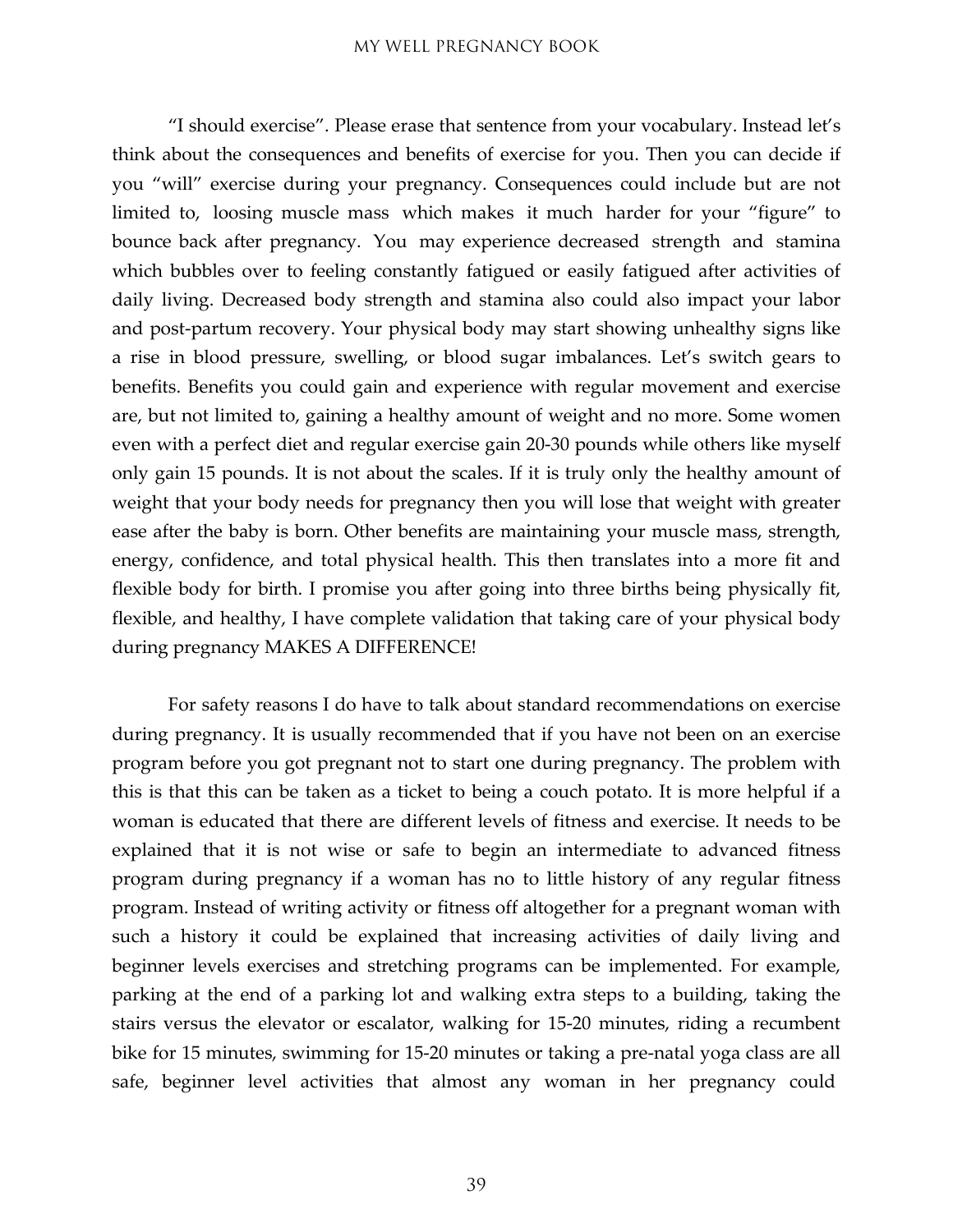"I should exercise". Please erase that sentence from your vocabulary. Instead let's think about the consequences and benefits of exercise for you. Then you can decide if you "will" exercise during your pregnancy. Consequences could include but are not limited to, loosing muscle mass which makes it much harder for your "figure" to bounce back after pregnancy. You may experience decreased strength and stamina which bubbles over to feeling constantly fatigued or easily fatigued after activities of daily living. Decreased body strength and stamina also could also impact your labor and post-partum recovery. Your physical body may start showing unhealthy signs like a rise in blood pressure, swelling, or blood sugar imbalances. Let's switch gears to benefits. Benefits you could gain and experience with regular movement and exercise are, but not limited to, gaining a healthy amount of weight and no more. Some women even with a perfect diet and regular exercise gain 20-30 pounds while others like myself only gain 15 pounds. It is not about the scales. If it is truly only the healthy amount of weight that your body needs for pregnancy then you will lose that weight with greater ease after the baby is born. Other benefits are maintaining your muscle mass, strength, energy, confidence, and total physical health. This then translates into a more fit and flexible body for birth. I promise you after going into three births being physically fit, flexible, and healthy, I have complete validation that taking care of your physical body during pregnancy MAKES A DIFFERENCE!

For safety reasons I do have to talk about standard recommendations on exercise during pregnancy. It is usually recommended that if you have not been on an exercise program before you got pregnant not to start one during pregnancy. The problem with this is that this can be taken as a ticket to being a couch potato. It is more helpful if a woman is educated that there are different levels of fitness and exercise. It needs to be explained that it is not wise or safe to begin an intermediate to advanced fitness program during pregnancy if a woman has no to little history of any regular fitness program. Instead of writing activity or fitness off altogether for a pregnant woman with such a history it could be explained that increasing activities of daily living and beginner levels exercises and stretching programs can be implemented. For example, parking at the end of a parking lot and walking extra steps to a building, taking the stairs versus the elevator or escalator, walking for 15-20 minutes, riding a recumbent bike for 15 minutes, swimming for 15-20 minutes or taking a pre-natal yoga class are all safe, beginner level activities that almost any woman in her pregnancy could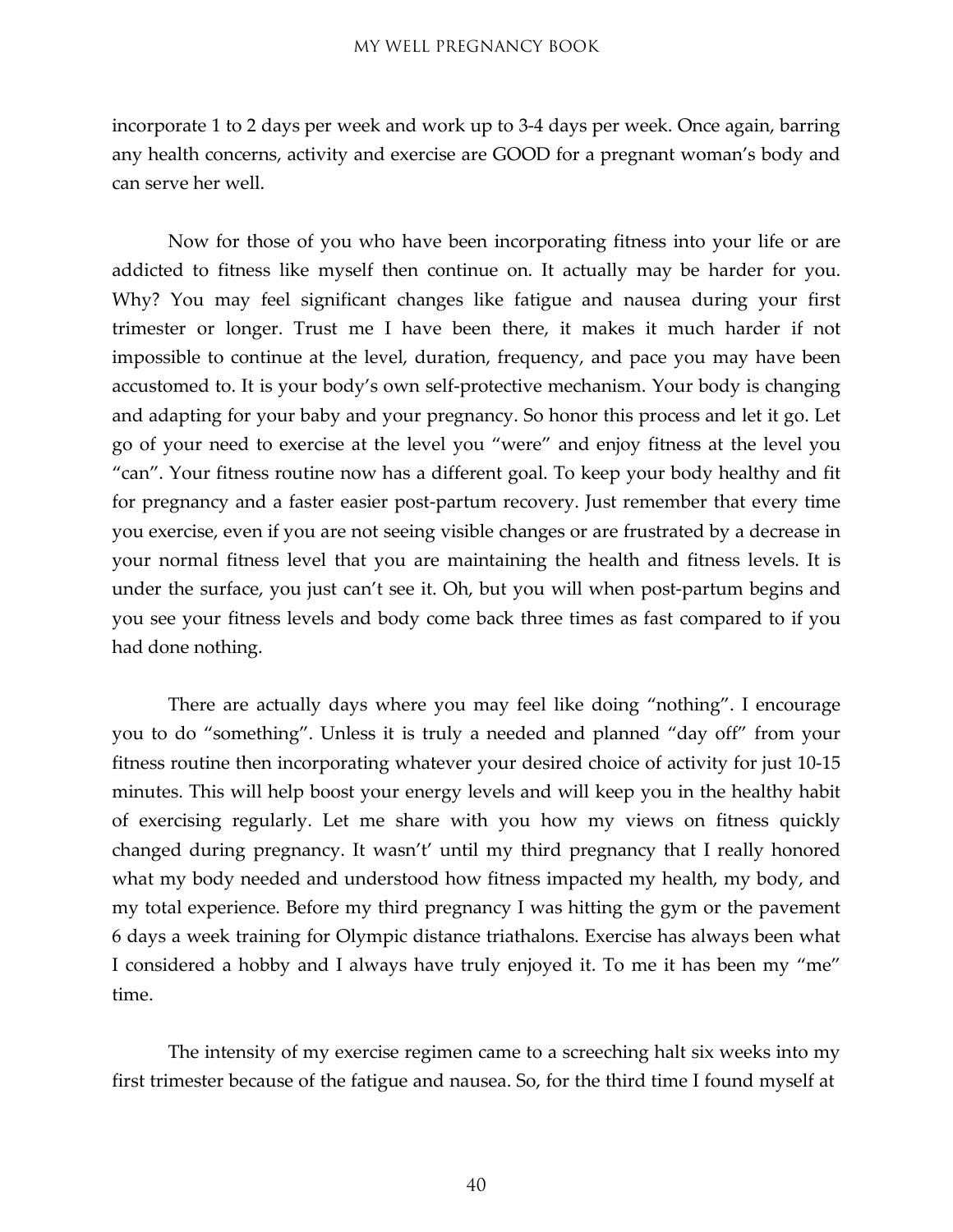incorporate 1 to 2 days per week and work up to 3-4 days per week. Once again, barring any health concerns, activity and exercise are GOOD for a pregnant woman's body and can serve her well.

Now for those of you who have been incorporating fitness into your life or are addicted to fitness like myself then continue on. It actually may be harder for you. Why? You may feel significant changes like fatigue and nausea during your first trimester or longer. Trust me I have been there, it makes it much harder if not impossible to continue at the level, duration, frequency, and pace you may have been accustomed to. It is your body's own self-protective mechanism. Your body is changing and adapting for your baby and your pregnancy. So honor this process and let it go. Let go of your need to exercise at the level you "were" and enjoy fitness at the level you "can". Your fitness routine now has a different goal. To keep your body healthy and fit for pregnancy and a faster easier post-partum recovery. Just remember that every time you exercise, even if you are not seeing visible changes or are frustrated by a decrease in your normal fitness level that you are maintaining the health and fitness levels. It is under the surface, you just can't see it. Oh, but you will when post-partum begins and you see your fitness levels and body come back three times as fast compared to if you had done nothing.

There are actually days where you may feel like doing "nothing". I encourage you to do "something". Unless it is truly a needed and planned "day off" from your fitness routine then incorporating whatever your desired choice of activity for just 10-15 minutes. This will help boost your energy levels and will keep you in the healthy habit of exercising regularly. Let me share with you how my views on fitness quickly changed during pregnancy. It wasn't' until my third pregnancy that I really honored what my body needed and understood how fitness impacted my health, my body, and my total experience. Before my third pregnancy I was hitting the gym or the pavement 6 days a week training for Olympic distance triathalons. Exercise has always been what I considered a hobby and I always have truly enjoyed it. To me it has been my "me" time.

The intensity of my exercise regimen came to a screeching halt six weeks into my first trimester because of the fatigue and nausea. So, for the third time I found myself at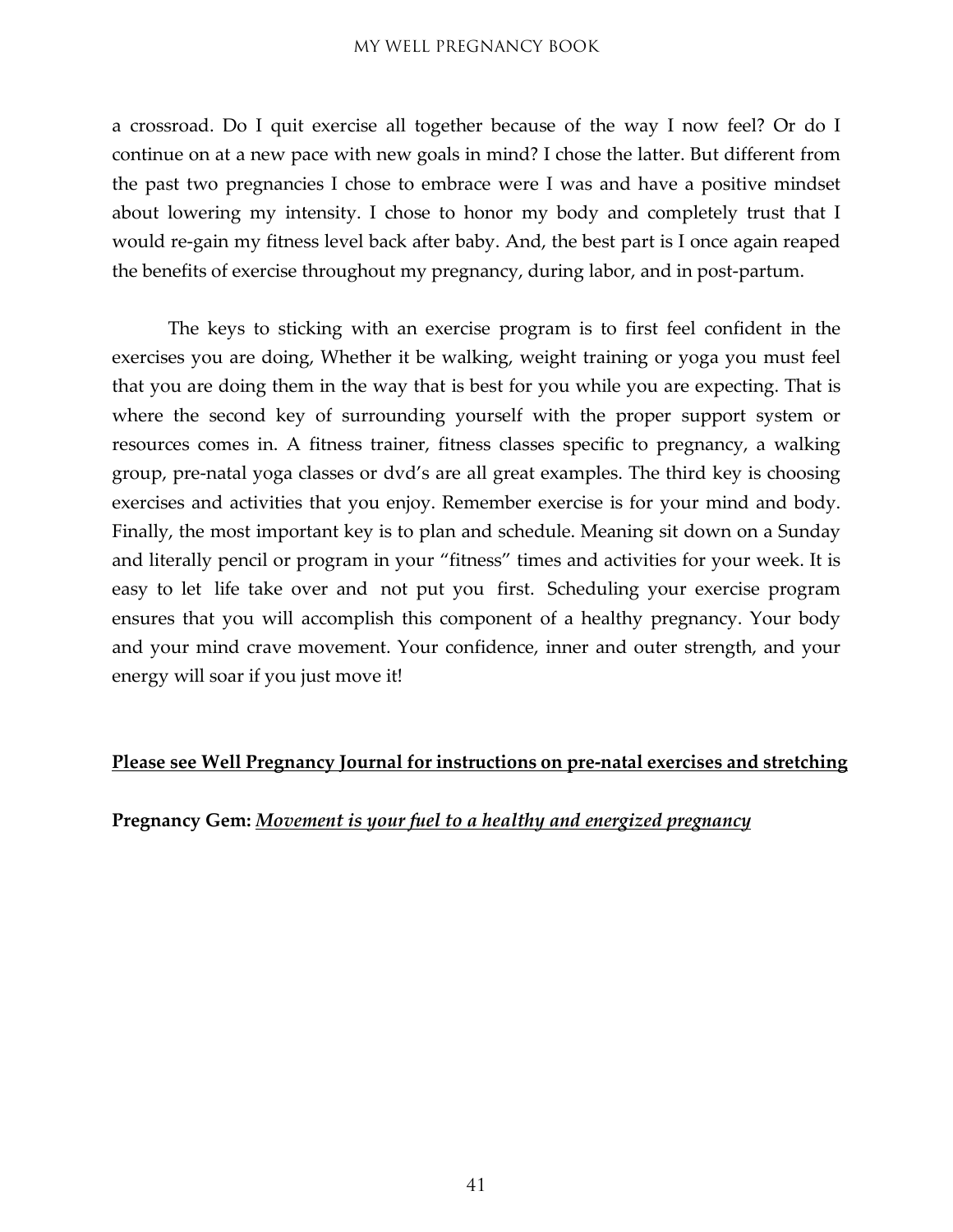a crossroad. Do I quit exercise all together because of the way I now feel? Or do I continue on at a new pace with new goals in mind? I chose the latter. But different from the past two pregnancies I chose to embrace were I was and have a positive mindset about lowering my intensity. I chose to honor my body and completely trust that I would re-gain my fitness level back after baby. And, the best part is I once again reaped the benefits of exercise throughout my pregnancy, during labor, and in post-partum.

The keys to sticking with an exercise program is to first feel confident in the exercises you are doing, Whether it be walking, weight training or yoga you must feel that you are doing them in the way that is best for you while you are expecting. That is where the second key of surrounding yourself with the proper support system or resources comes in. A fitness trainer, fitness classes specific to pregnancy, a walking group, pre-natal yoga classes or dvd's are all great examples. The third key is choosing exercises and activities that you enjoy. Remember exercise is for your mind and body. Finally, the most important key is to plan and schedule. Meaning sit down on a Sunday and literally pencil or program in your "fitness" times and activities for your week. It is easy to let life take over and not put you first. Scheduling your exercise program ensures that you will accomplish this component of a healthy pregnancy. Your body and your mind crave movement. Your confidence, inner and outer strength, and your energy will soar if you just move it!

#### **Please see Well Pregnancy Journal for instructions on pre-natal exercises and stretching**

#### **Pregnancy Gem:** *Movement is your fuel to a healthy and energized pregnancy*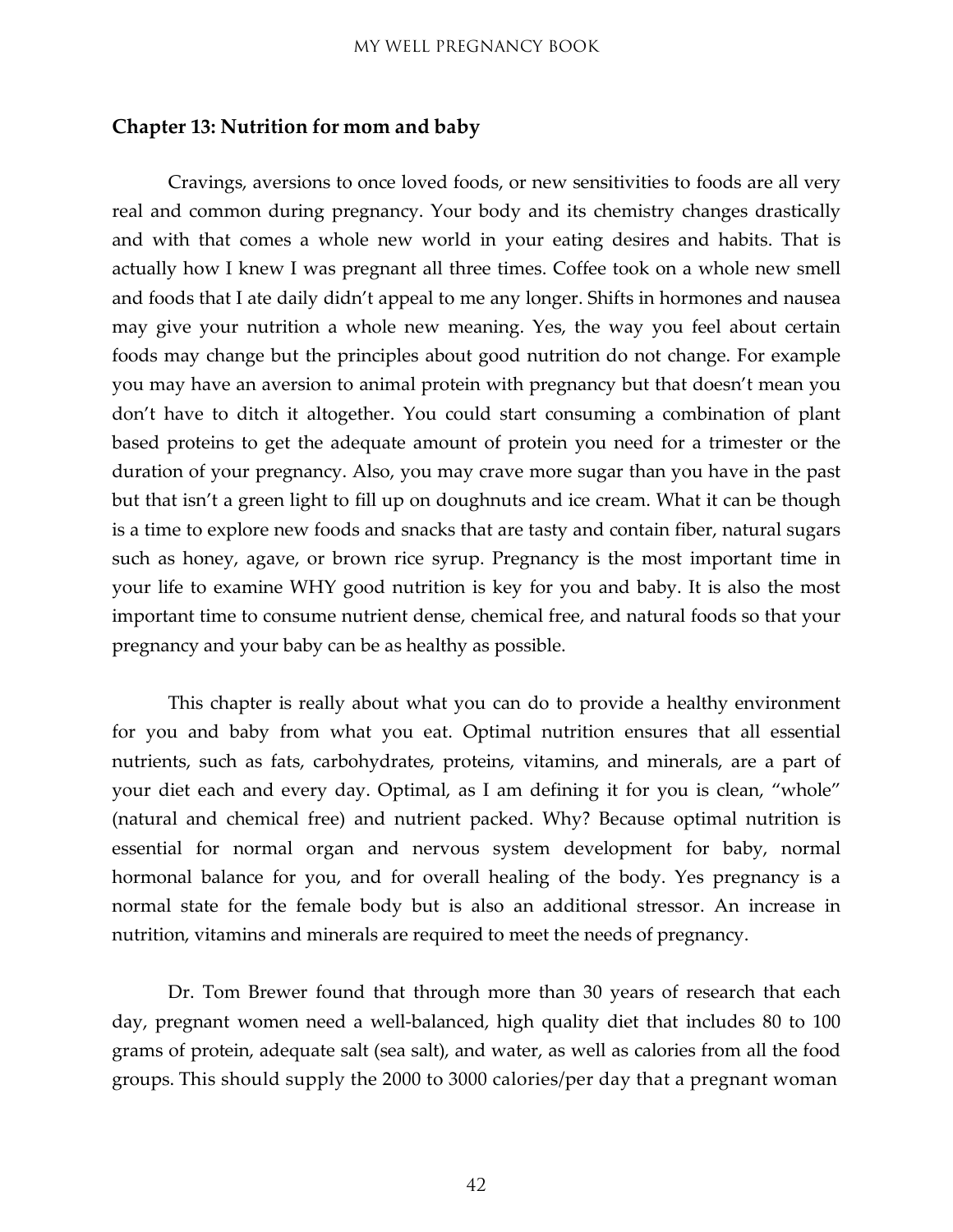#### <span id="page-41-0"></span>**Chapter 13: Nutrition for mom and baby**

Cravings, aversions to once loved foods, or new sensitivities to foods are all very real and common during pregnancy. Your body and its chemistry changes drastically and with that comes a whole new world in your eating desires and habits. That is actually how I knew I was pregnant all three times. Coffee took on a whole new smell and foods that I ate daily didn't appeal to me any longer. Shifts in hormones and nausea may give your nutrition a whole new meaning. Yes, the way you feel about certain foods may change but the principles about good nutrition do not change. For example you may have an aversion to animal protein with pregnancy but that doesn't mean you don't have to ditch it altogether. You could start consuming a combination of plant based proteins to get the adequate amount of protein you need for a trimester or the duration of your pregnancy. Also, you may crave more sugar than you have in the past but that isn't a green light to fill up on doughnuts and ice cream. What it can be though is a time to explore new foods and snacks that are tasty and contain fiber, natural sugars such as honey, agave, or brown rice syrup. Pregnancy is the most important time in your life to examine WHY good nutrition is key for you and baby. It is also the most important time to consume nutrient dense, chemical free, and natural foods so that your pregnancy and your baby can be as healthy as possible.

This chapter is really about what you can do to provide a healthy environment for you and baby from what you eat. Optimal nutrition ensures that all essential nutrients, such as fats, carbohydrates, proteins, vitamins, and minerals, are a part of your diet each and every day. Optimal, as I am defining it for you is clean, "whole" (natural and chemical free) and nutrient packed. Why? Because optimal nutrition is essential for normal organ and nervous system development for baby, normal hormonal balance for you, and for overall healing of the body. Yes pregnancy is a normal state for the female body but is also an additional stressor. An increase in nutrition, vitamins and minerals are required to meet the needs of pregnancy.

Dr. Tom Brewer found that through more than 30 years of research that each day, pregnant women need a well-balanced, high quality diet that includes 80 to 100 grams of protein, adequate salt (sea salt), and water, as well as calories from all the food groups. This should supply the 2000 to 3000 calories/per day that a pregnant woman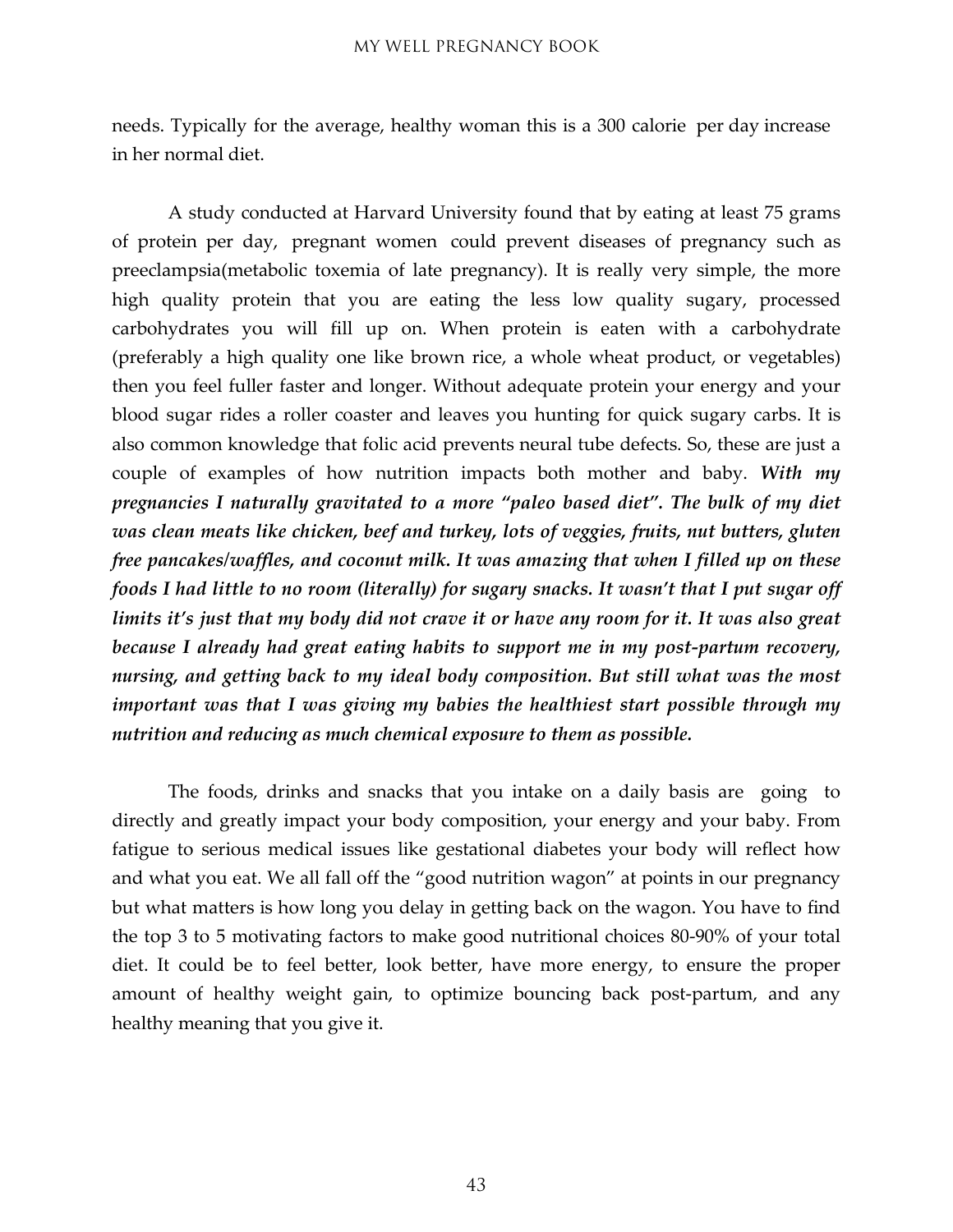needs. Typically for the average, healthy woman this is a 300 calorie per day increase in her normal diet.

A study conducted at Harvard University found that by eating at least 75 grams of protein per day, pregnant women could prevent diseases of pregnancy such as preeclampsia(metabolic toxemia of late pregnancy). It is really very simple, the more high quality protein that you are eating the less low quality sugary, processed carbohydrates you will fill up on. When protein is eaten with a carbohydrate (preferably a high quality one like brown rice, a whole wheat product, or vegetables) then you feel fuller faster and longer. Without adequate protein your energy and your blood sugar rides a roller coaster and leaves you hunting for quick sugary carbs. It is also common knowledge that folic acid prevents neural tube defects. So, these are just a couple of examples of how nutrition impacts both mother and baby. *With my pregnancies I naturally gravitated to a more "paleo based diet". The bulk of my diet was clean meats like chicken, beef and turkey, lots of veggies, fruits, nut butters, gluten free pancakes/waffles, and coconut milk. It was amazing that when I filled up on these foods I had little to no room (literally) for sugary snacks. It wasn't that I put sugar off* limits it's just that my body did not crave it or have any room for it. It was also great *because I already had great eating habits to support me in my post-partum recovery, nursing, and getting back to my ideal body composition. But still what was the most important was that I was giving my babies the healthiest start possible through my nutrition and reducing as much chemical exposure to them as possible.*

The foods, drinks and snacks that you intake on a daily basis are going to directly and greatly impact your body composition, your energy and your baby. From fatigue to serious medical issues like gestational diabetes your body will reflect how and what you eat. We all fall off the "good nutrition wagon" at points in our pregnancy but what matters is how long you delay in getting back on the wagon. You have to find the top 3 to 5 motivating factors to make good nutritional choices 80-90% of your total diet. It could be to feel better, look better, have more energy, to ensure the proper amount of healthy weight gain, to optimize bouncing back post-partum, and any healthy meaning that you give it.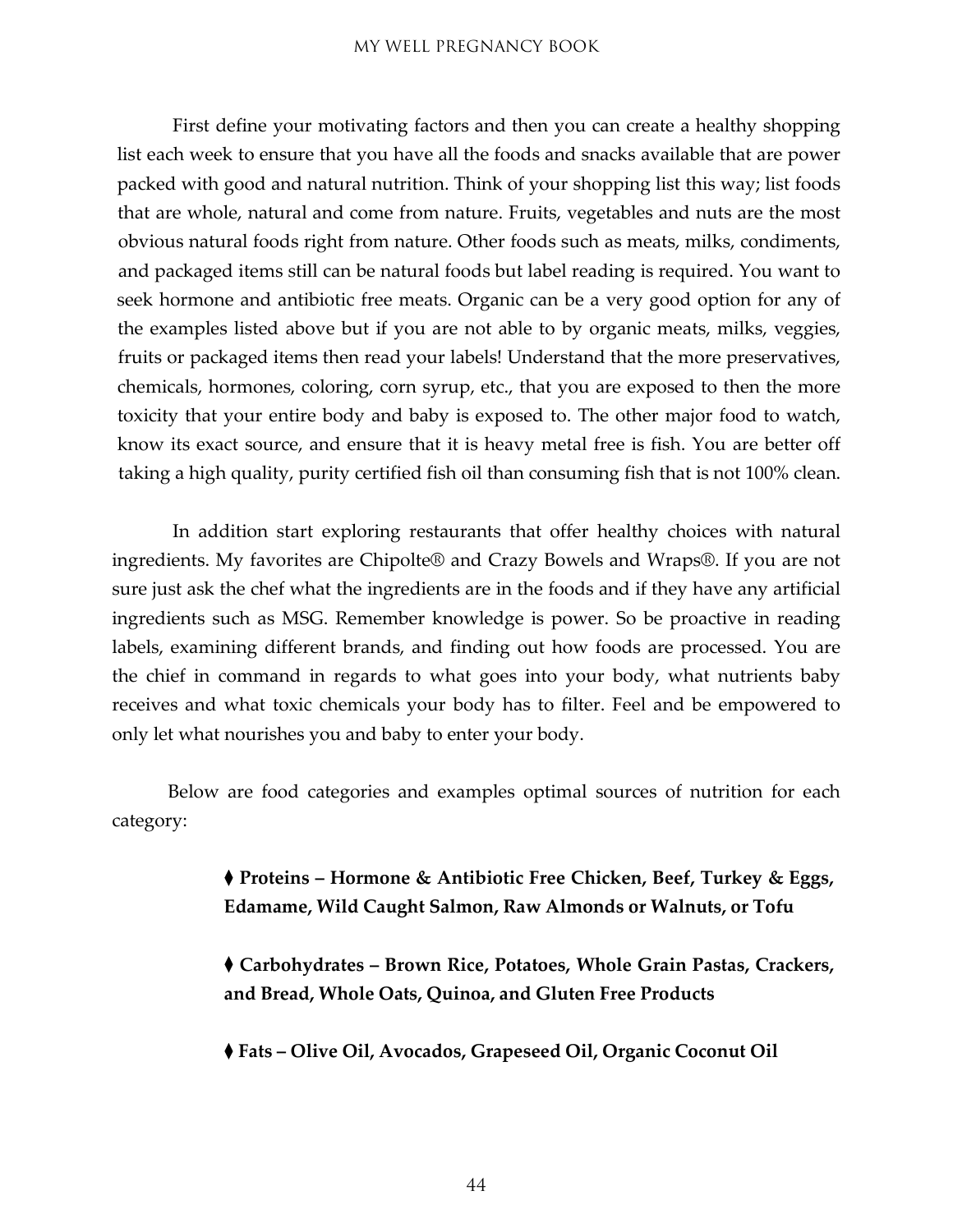First define your motivating factors and then you can create a healthy shopping list each week to ensure that you have all the foods and snacks available that are power packed with good and natural nutrition. Think of your shopping list this way; list foods that are whole, natural and come from nature. Fruits, vegetables and nuts are the most obvious natural foods right from nature. Other foods such as meats, milks, condiments, and packaged items still can be natural foods but label reading is required. You want to seek hormone and antibiotic free meats. Organic can be a very good option for any of the examples listed above but if you are not able to by organic meats, milks, veggies, fruits or packaged items then read your labels! Understand that the more preservatives, chemicals, hormones, coloring, corn syrup, etc., that you are exposed to then the more toxicity that your entire body and baby is exposed to. The other major food to watch, know its exact source, and ensure that it is heavy metal free is fish. You are better off taking a high quality, purity certified fish oil than consuming fish that is not 100% clean.

In addition start exploring restaurants that offer healthy choices with natural ingredients. My favorites are Chipolte® and Crazy Bowels and Wraps®. If you are not sure just ask the chef what the ingredients are in the foods and if they have any artificial ingredients such as MSG. Remember knowledge is power. So be proactive in reading labels, examining different brands, and finding out how foods are processed. You are the chief in command in regards to what goes into your body, what nutrients baby receives and what toxic chemicals your body has to filter. Feel and be empowered to only let what nourishes you and baby to enter your body.

Below are food categories and examples optimal sources of nutrition for each category:

> ◆ **Proteins – Hormone & Antibiotic Free Chicken, Beef, Turkey & Eggs, Edamame, Wild Caught Salmon, Raw Almonds or Walnuts, or Tofu**

> ◆ **Carbohydrates – Brown Rice, Potatoes, Whole Grain Pastas, Crackers, and Bread, Whole Oats, Quinoa, and Gluten Free Products**

◆ **Fats – Olive Oil, Avocados, Grapeseed Oil, Organic Coconut Oil**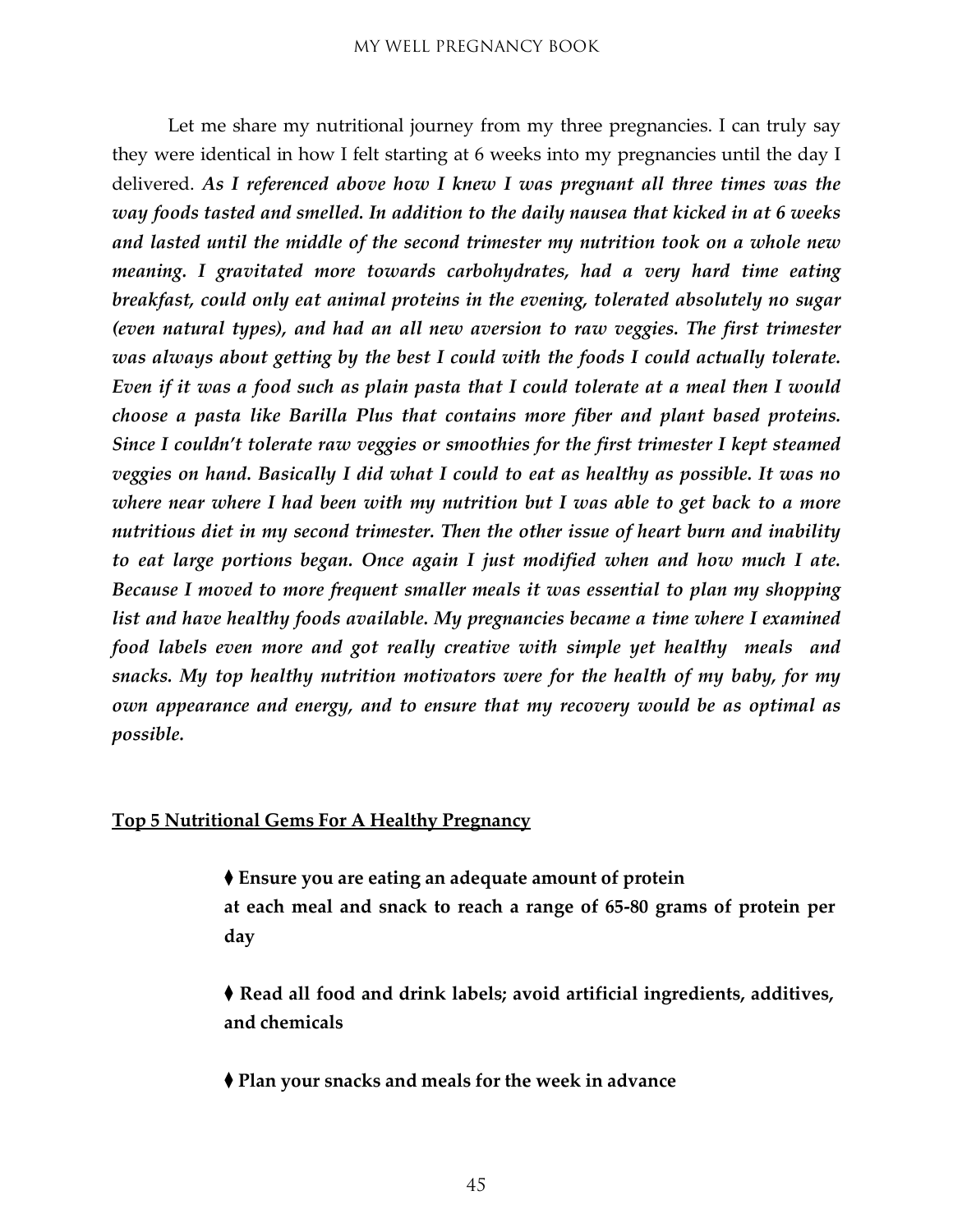Let me share my nutritional journey from my three pregnancies. I can truly say they were identical in how I felt starting at 6 weeks into my pregnancies until the day I delivered. *As I referenced above how I knew I was pregnant all three times was the way foods tasted and smelled. In addition to the daily nausea that kicked in at 6 weeks and lasted until the middle of the second trimester my nutrition took on a whole new meaning. I gravitated more towards carbohydrates, had a very hard time eating breakfast, could only eat animal proteins in the evening, tolerated absolutely no sugar (even natural types), and had an all new aversion to raw veggies. The first trimester was always about getting by the best I could with the foods I could actually tolerate. Even if it was a food such as plain pasta that I could tolerate at a meal then I would choose a pasta like Barilla Plus that contains more fiber and plant based proteins. Since I couldn't tolerate raw veggies or smoothies for the first trimester I kept steamed veggies on hand. Basically I did what I could to eat as healthy as possible. It was no where near where I had been with my nutrition but I was able to get back to a more nutritious diet in my second trimester. Then the other issue of heart burn and inability to eat large portions began. Once again I just modified when and how much I ate. Because I moved to more frequent smaller meals it was essential to plan my shopping list and have healthy foods available. My pregnancies became a time where I examined food labels even more and got really creative with simple yet healthy meals and snacks. My top healthy nutrition motivators were for the health of my baby, for my own appearance and energy, and to ensure that my recovery would be as optimal as possible.*

#### **Top 5 Nutritional Gems For A Healthy Pregnancy**

- ◆ **Ensure you are eating an adequate amount of protein at each meal and snack to reach a range of 65-80 grams of protein per day**
- ◆ **Read all food and drink labels; avoid artificial ingredients, additives, and chemicals**
- ◆ **Plan your snacks and meals for the week in advance**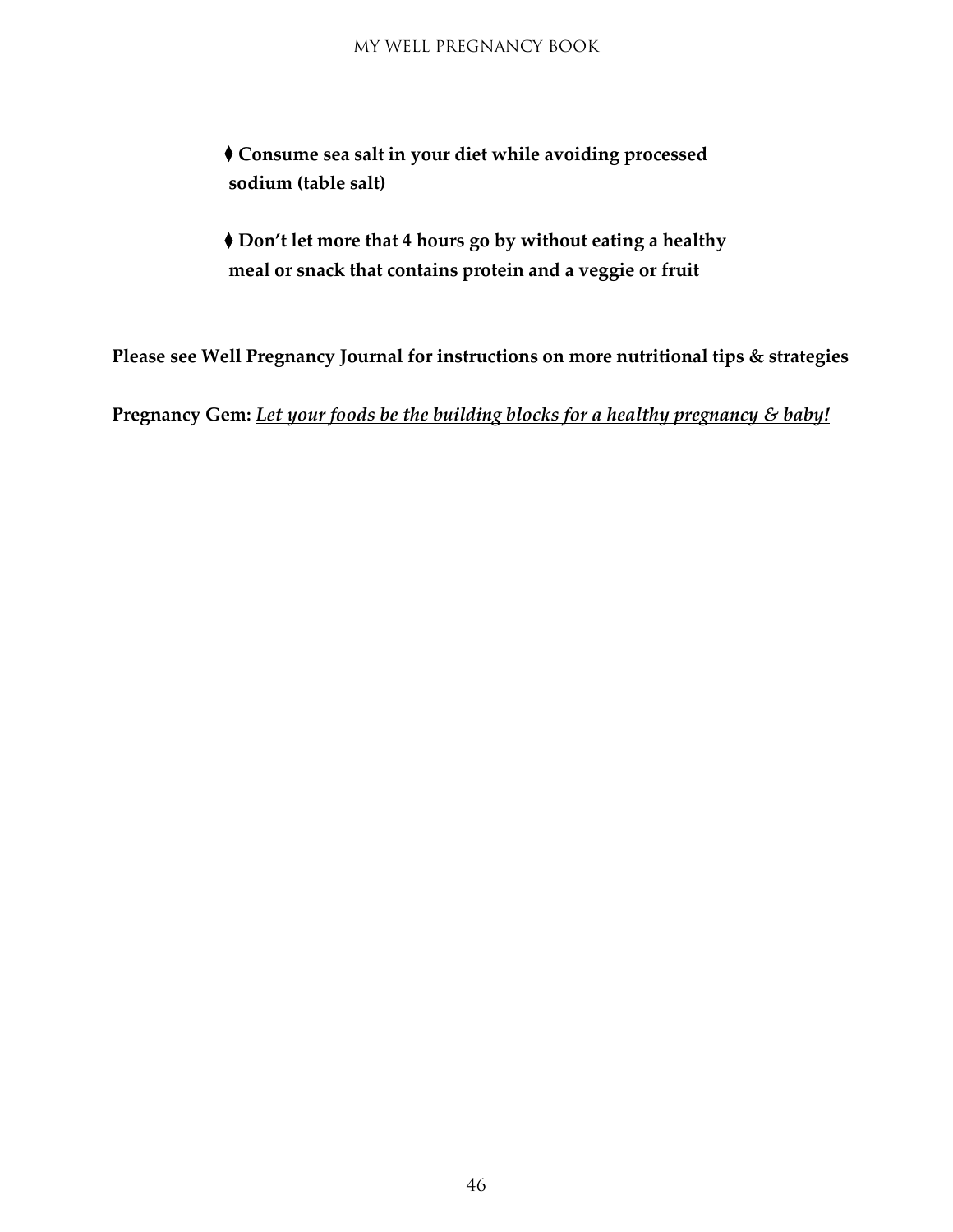◆ **Consume sea salt in your diet while avoiding processed sodium (table salt)**

◆ **Don't let more that 4 hours go by without eating a healthy meal or snack that contains protein and a veggie or fruit**

**Please see Well Pregnancy Journal for instructions on more nutritional tips & strategies**

**Pregnancy Gem:** *Let your foods be the building blocks for a healthy pregnancy & baby!*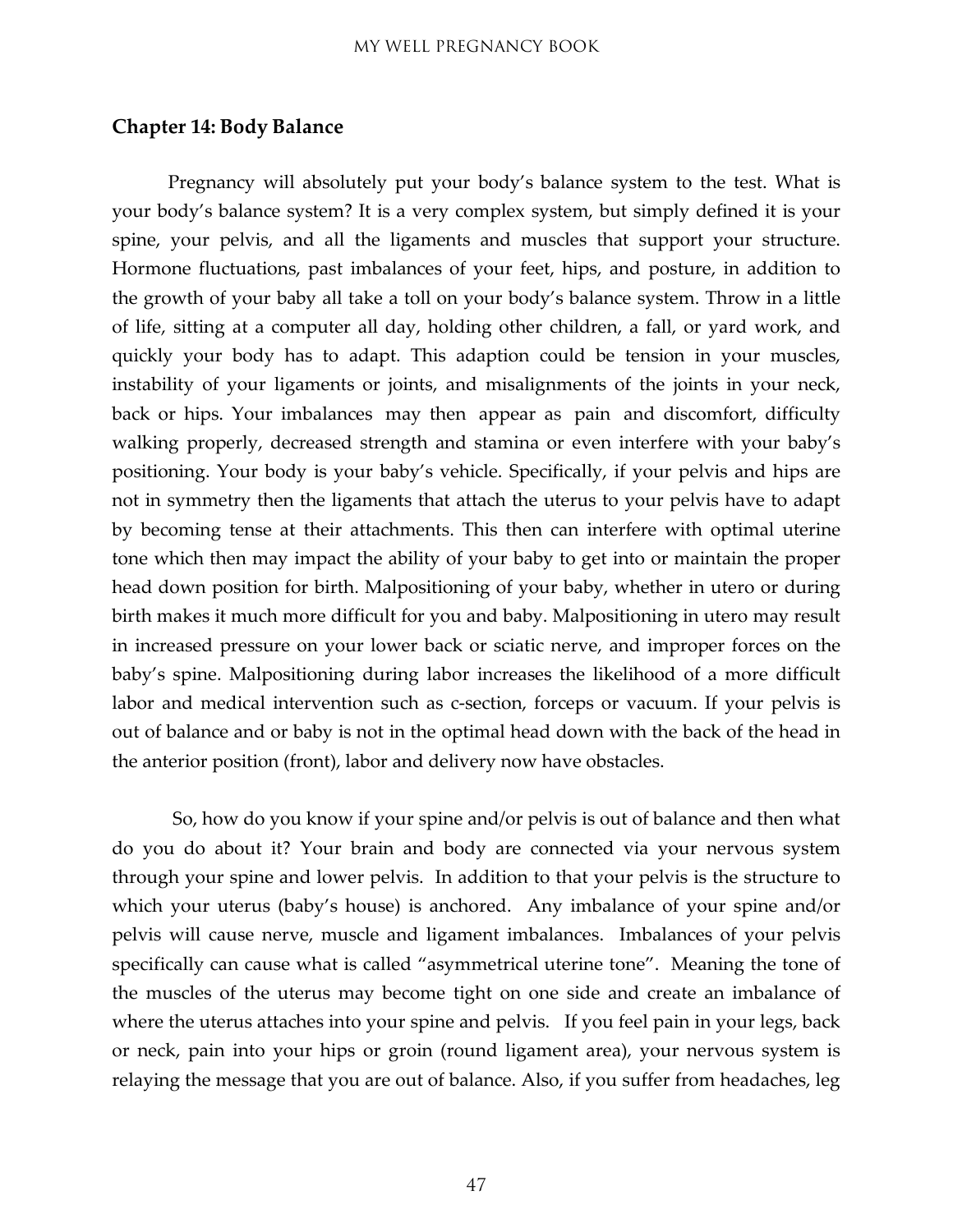#### <span id="page-46-0"></span>**Chapter 14: Body Balance**

Pregnancy will absolutely put your body's balance system to the test. What is your body's balance system? It is a very complex system, but simply defined it is your spine, your pelvis, and all the ligaments and muscles that support your structure. Hormone fluctuations, past imbalances of your feet, hips, and posture, in addition to the growth of your baby all take a toll on your body's balance system. Throw in a little of life, sitting at a computer all day, holding other children, a fall, or yard work, and quickly your body has to adapt. This adaption could be tension in your muscles, instability of your ligaments or joints, and misalignments of the joints in your neck, back or hips. Your imbalances may then appear as pain and discomfort, difficulty walking properly, decreased strength and stamina or even interfere with your baby's positioning. Your body is your baby's vehicle. Specifically, if your pelvis and hips are not in symmetry then the ligaments that attach the uterus to your pelvis have to adapt by becoming tense at their attachments. This then can interfere with optimal uterine tone which then may impact the ability of your baby to get into or maintain the proper head down position for birth. Malpositioning of your baby, whether in utero or during birth makes it much more difficult for you and baby. Malpositioning in utero may result in increased pressure on your lower back or sciatic nerve, and improper forces on the baby's spine. Malpositioning during labor increases the likelihood of a more difficult labor and medical intervention such as c-section, forceps or vacuum. If your pelvis is out of balance and or baby is not in the optimal head down with the back of the head in the anterior position (front), labor and delivery now have obstacles.

So, how do you know if your spine and/or pelvis is out of balance and then what do you do about it? Your brain and body are connected via your nervous system through your spine and lower pelvis. In addition to that your pelvis is the structure to which your uterus (baby's house) is anchored. Any imbalance of your spine and/or pelvis will cause nerve, muscle and ligament imbalances. Imbalances of your pelvis specifically can cause what is called "asymmetrical uterine tone". Meaning the tone of the muscles of the uterus may become tight on one side and create an imbalance of where the uterus attaches into your spine and pelvis. If you feel pain in your legs, back or neck, pain into your hips or groin (round ligament area), your nervous system is relaying the message that you are out of balance. Also, if you suffer from headaches, leg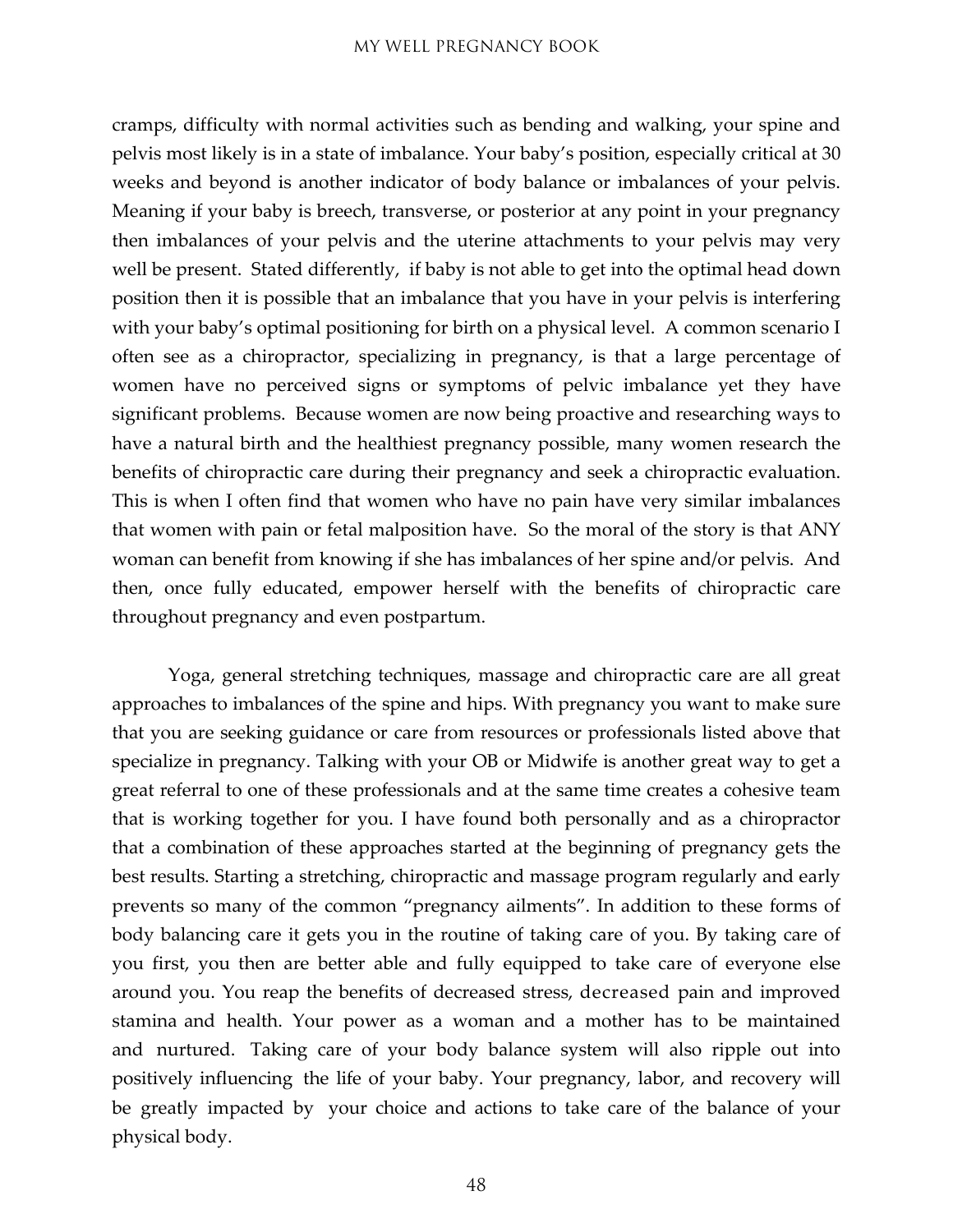cramps, difficulty with normal activities such as bending and walking, your spine and pelvis most likely is in a state of imbalance. Your baby's position, especially critical at 30 weeks and beyond is another indicator of body balance or imbalances of your pelvis. Meaning if your baby is breech, transverse, or posterior at any point in your pregnancy then imbalances of your pelvis and the uterine attachments to your pelvis may very well be present. Stated differently, if baby is not able to get into the optimal head down position then it is possible that an imbalance that you have in your pelvis is interfering with your baby's optimal positioning for birth on a physical level. A common scenario I often see as a chiropractor, specializing in pregnancy, is that a large percentage of women have no perceived signs or symptoms of pelvic imbalance yet they have significant problems. Because women are now being proactive and researching ways to have a natural birth and the healthiest pregnancy possible, many women research the benefits of chiropractic care during their pregnancy and seek a chiropractic evaluation. This is when I often find that women who have no pain have very similar imbalances that women with pain or fetal malposition have. So the moral of the story is that ANY woman can benefit from knowing if she has imbalances of her spine and/or pelvis. And then, once fully educated, empower herself with the benefits of chiropractic care throughout pregnancy and even postpartum.

Yoga, general stretching techniques, massage and chiropractic care are all great approaches to imbalances of the spine and hips. With pregnancy you want to make sure that you are seeking guidance or care from resources or professionals listed above that specialize in pregnancy. Talking with your OB or Midwife is another great way to get a great referral to one of these professionals and at the same time creates a cohesive team that is working together for you. I have found both personally and as a chiropractor that a combination of these approaches started at the beginning of pregnancy gets the best results. Starting a stretching, chiropractic and massage program regularly and early prevents so many of the common "pregnancy ailments". In addition to these forms of body balancing care it gets you in the routine of taking care of you. By taking care of you first, you then are better able and fully equipped to take care of everyone else around you. You reap the benefits of decreased stress, decreased pain and improved stamina and health. Your power as a woman and a mother has to be maintained and nurtured. Taking care of your body balance system will also ripple out into positively influencing the life of your baby. Your pregnancy, labor, and recovery will be greatly impacted by your choice and actions to take care of the balance of your physical body.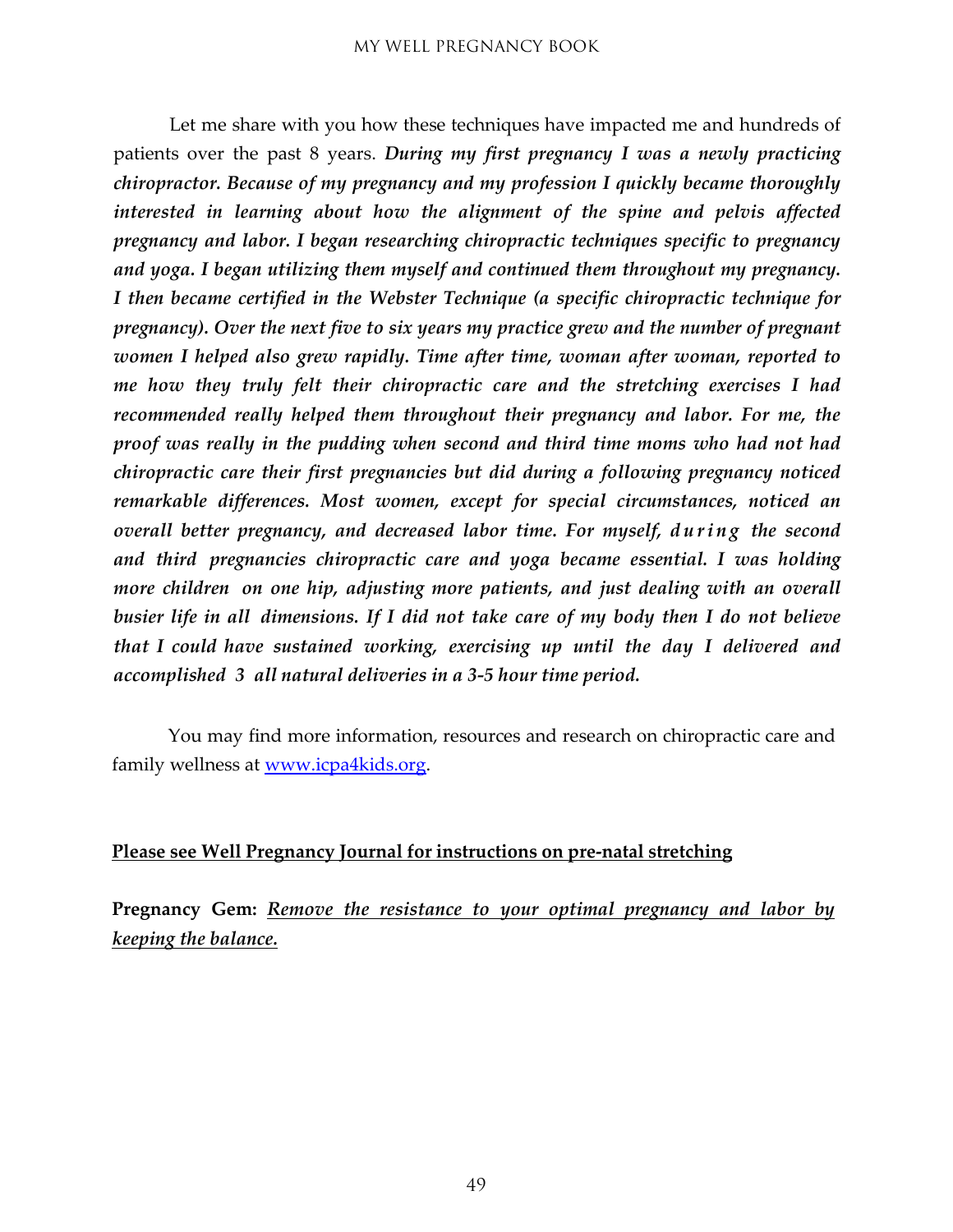Let me share with you how these techniques have impacted me and hundreds of patients over the past 8 years. *During my first pregnancy I was a newly practicing chiropractor. Because of my pregnancy and my profession I quickly became thoroughly interested in learning about how the alignment of the spine and pelvis affected pregnancy and labor. I began researching chiropractic techniques specific to pregnancy and yoga. I began utilizing them myself and continued them throughout my pregnancy. I then became certified in the Webster Technique (a specific chiropractic technique for pregnancy). Over the next five to six years my practice grew and the number of pregnant women I helped also grew rapidly. Time after time, woman after woman, reported to me how they truly felt their chiropractic care and the stretching exercises I had recommended really helped them throughout their pregnancy and labor. For me, the proof was really in the pudding when second and third time moms who had not had chiropractic care their first pregnancies but did during a following pregnancy noticed remarkable differences. Most women, except for special circumstances, noticed an overall better pregnancy, and decreased labor time. For myself, during the second and third pregnancies chiropractic care and yoga became essential. I was holding more children on one hip, adjusting more patients, and just dealing with an overall busier life in all dimensions. If I did not take care of my body then I do not believe that I could have sustained working, exercising up until the day I delivered and accomplished 3 all natural deliveries in a 3-5 hour time period.*

You may find more information, resources and research on chiropractic care and family wellness at [www.icpa4kids.org.](http://www.icpa4kids.org/)

#### **Please see Well Pregnancy Journal for instructions on pre-natal stretching**

**Pregnancy Gem:** *Remove the resistance to your optimal pregnancy and labor by keeping the balance.*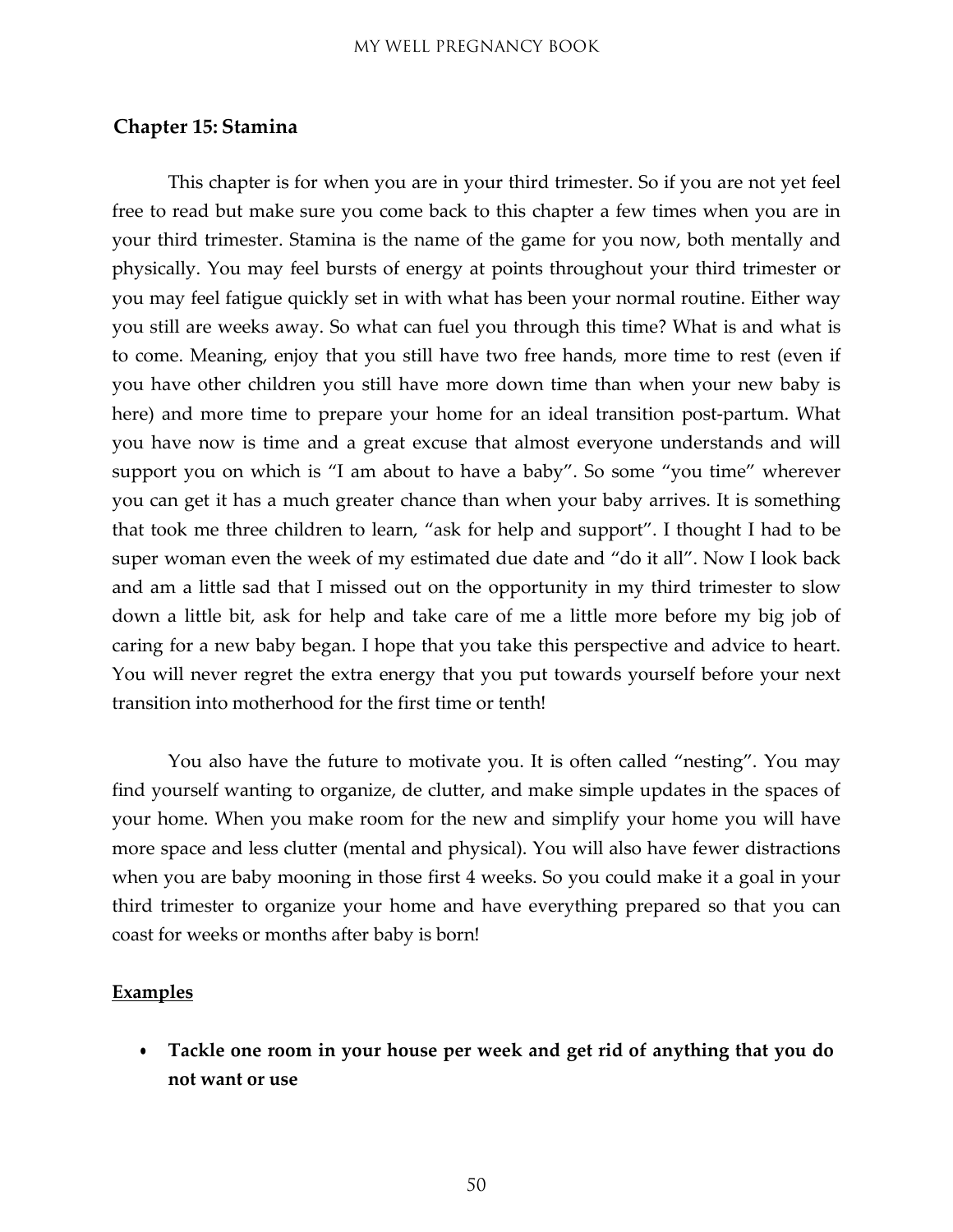#### <span id="page-49-0"></span>**Chapter 15: Stamina**

This chapter is for when you are in your third trimester. So if you are not yet feel free to read but make sure you come back to this chapter a few times when you are in your third trimester. Stamina is the name of the game for you now, both mentally and physically. You may feel bursts of energy at points throughout your third trimester or you may feel fatigue quickly set in with what has been your normal routine. Either way you still are weeks away. So what can fuel you through this time? What is and what is to come. Meaning, enjoy that you still have two free hands, more time to rest (even if you have other children you still have more down time than when your new baby is here) and more time to prepare your home for an ideal transition post-partum. What you have now is time and a great excuse that almost everyone understands and will support you on which is "I am about to have a baby". So some "you time" wherever you can get it has a much greater chance than when your baby arrives. It is something that took me three children to learn, "ask for help and support". I thought I had to be super woman even the week of my estimated due date and "do it all". Now I look back and am a little sad that I missed out on the opportunity in my third trimester to slow down a little bit, ask for help and take care of me a little more before my big job of caring for a new baby began. I hope that you take this perspective and advice to heart. You will never regret the extra energy that you put towards yourself before your next transition into motherhood for the first time or tenth!

You also have the future to motivate you. It is often called "nesting". You may find yourself wanting to organize, de clutter, and make simple updates in the spaces of your home. When you make room for the new and simplify your home you will have more space and less clutter (mental and physical). You will also have fewer distractions when you are baby mooning in those first 4 weeks. So you could make it a goal in your third trimester to organize your home and have everything prepared so that you can coast for weeks or months after baby is born!

#### **Examples**

• **Tackle one room in your house per week and get rid of anything that you do not want or use**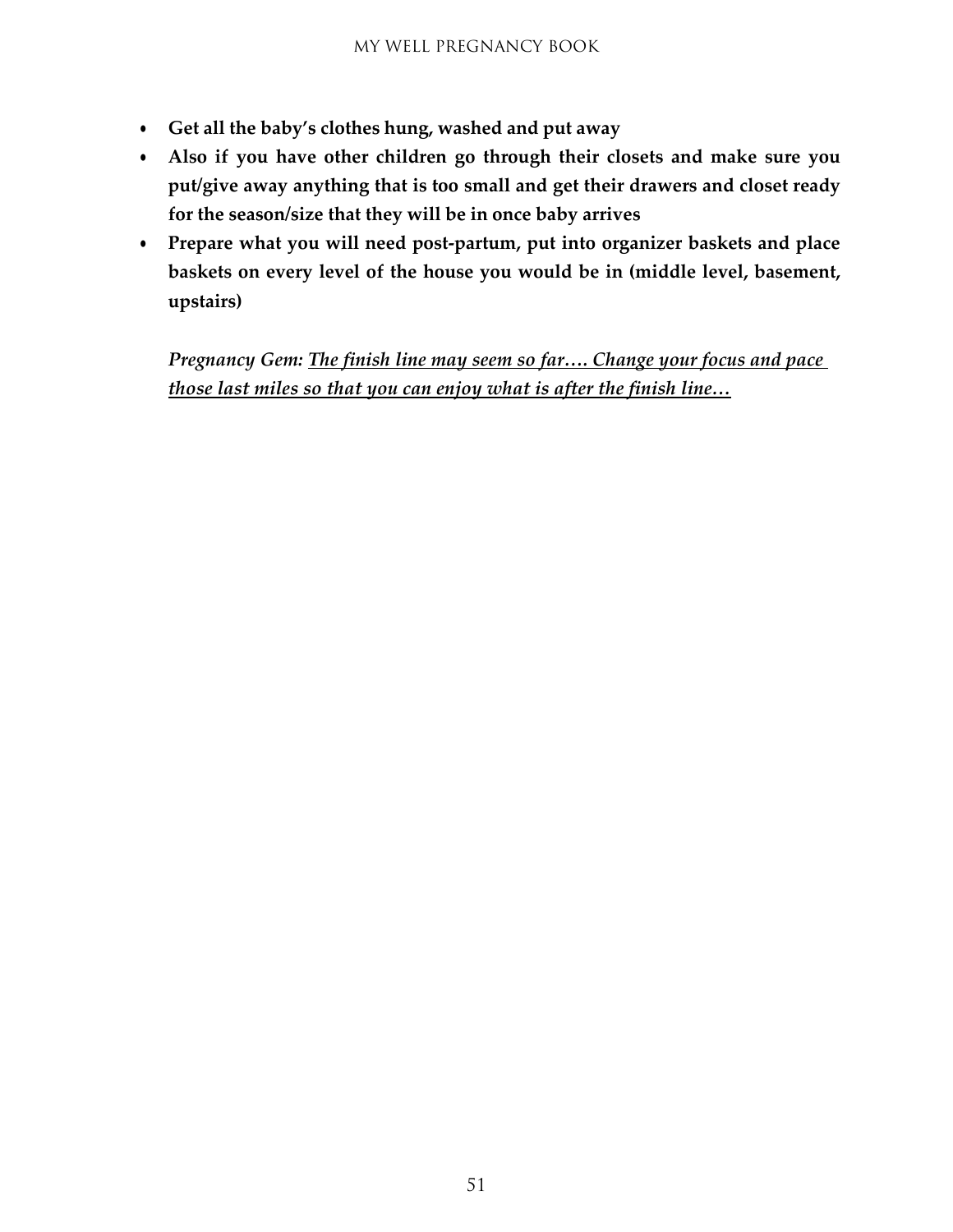- **Get all the baby's clothes hung, washed and put away**
- **Also if you have other children go through their closets and make sure you put/give away anything that is too small and get their drawers and closet ready for the season/size that they will be in once baby arrives**
- **Prepare what you will need post-partum, put into organizer baskets and place baskets on every level of the house you would be in (middle level, basement, upstairs)**

*Pregnancy Gem: The finish line may seem so far…. Change your focus and pace those last miles so that you can enjoy what is after the finish line…*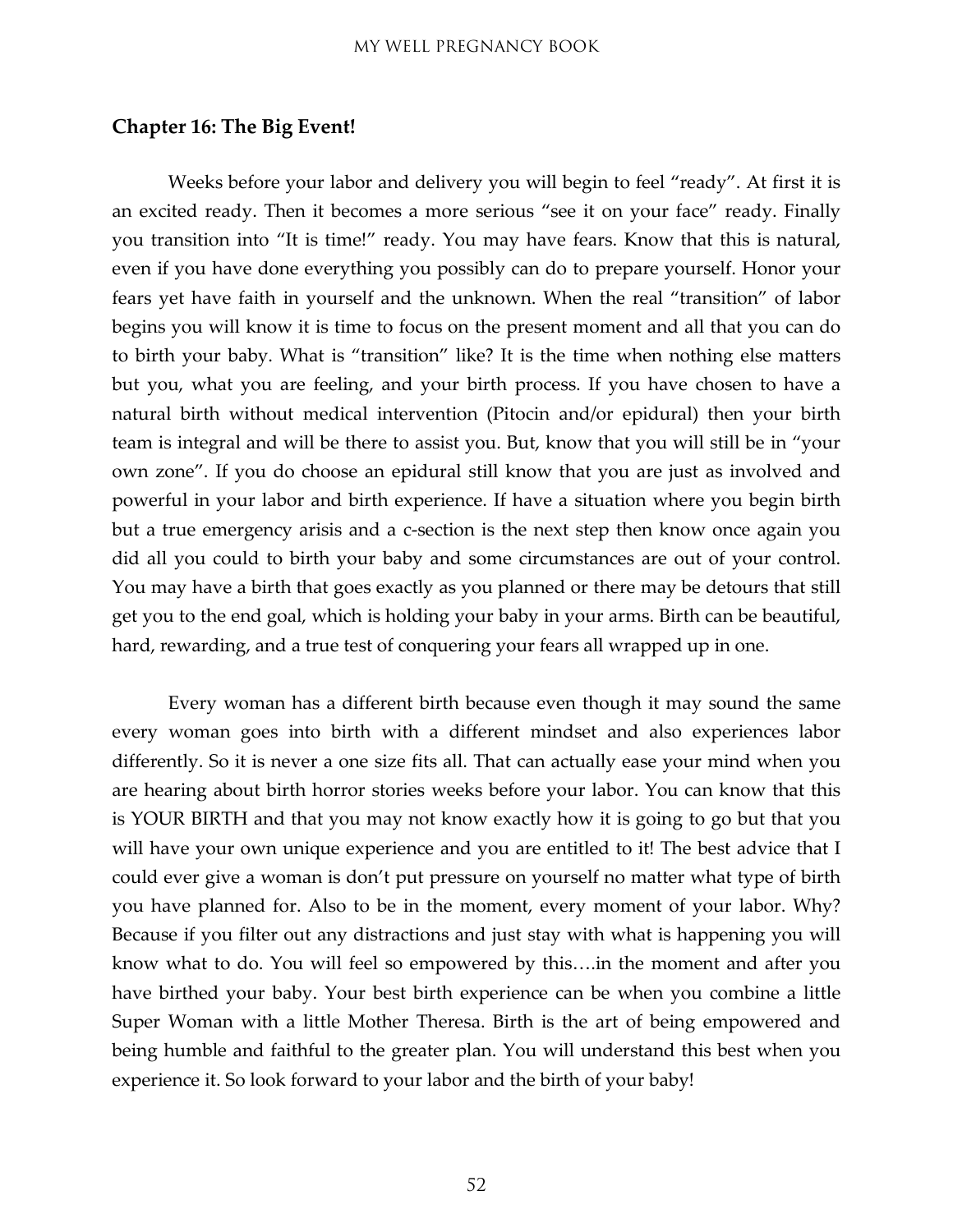#### <span id="page-51-0"></span>**Chapter 16: The Big Event!**

Weeks before your labor and delivery you will begin to feel "ready". At first it is an excited ready. Then it becomes a more serious "see it on your face" ready. Finally you transition into "It is time!" ready. You may have fears. Know that this is natural, even if you have done everything you possibly can do to prepare yourself. Honor your fears yet have faith in yourself and the unknown. When the real "transition" of labor begins you will know it is time to focus on the present moment and all that you can do to birth your baby. What is "transition" like? It is the time when nothing else matters but you, what you are feeling, and your birth process. If you have chosen to have a natural birth without medical intervention (Pitocin and/or epidural) then your birth team is integral and will be there to assist you. But, know that you will still be in "your own zone". If you do choose an epidural still know that you are just as involved and powerful in your labor and birth experience. If have a situation where you begin birth but a true emergency arisis and a c-section is the next step then know once again you did all you could to birth your baby and some circumstances are out of your control. You may have a birth that goes exactly as you planned or there may be detours that still get you to the end goal, which is holding your baby in your arms. Birth can be beautiful, hard, rewarding, and a true test of conquering your fears all wrapped up in one.

Every woman has a different birth because even though it may sound the same every woman goes into birth with a different mindset and also experiences labor differently. So it is never a one size fits all. That can actually ease your mind when you are hearing about birth horror stories weeks before your labor. You can know that this is YOUR BIRTH and that you may not know exactly how it is going to go but that you will have your own unique experience and you are entitled to it! The best advice that I could ever give a woman is don't put pressure on yourself no matter what type of birth you have planned for. Also to be in the moment, every moment of your labor. Why? Because if you filter out any distractions and just stay with what is happening you will know what to do. You will feel so empowered by this….in the moment and after you have birthed your baby. Your best birth experience can be when you combine a little Super Woman with a little Mother Theresa. Birth is the art of being empowered and being humble and faithful to the greater plan. You will understand this best when you experience it. So look forward to your labor and the birth of your baby!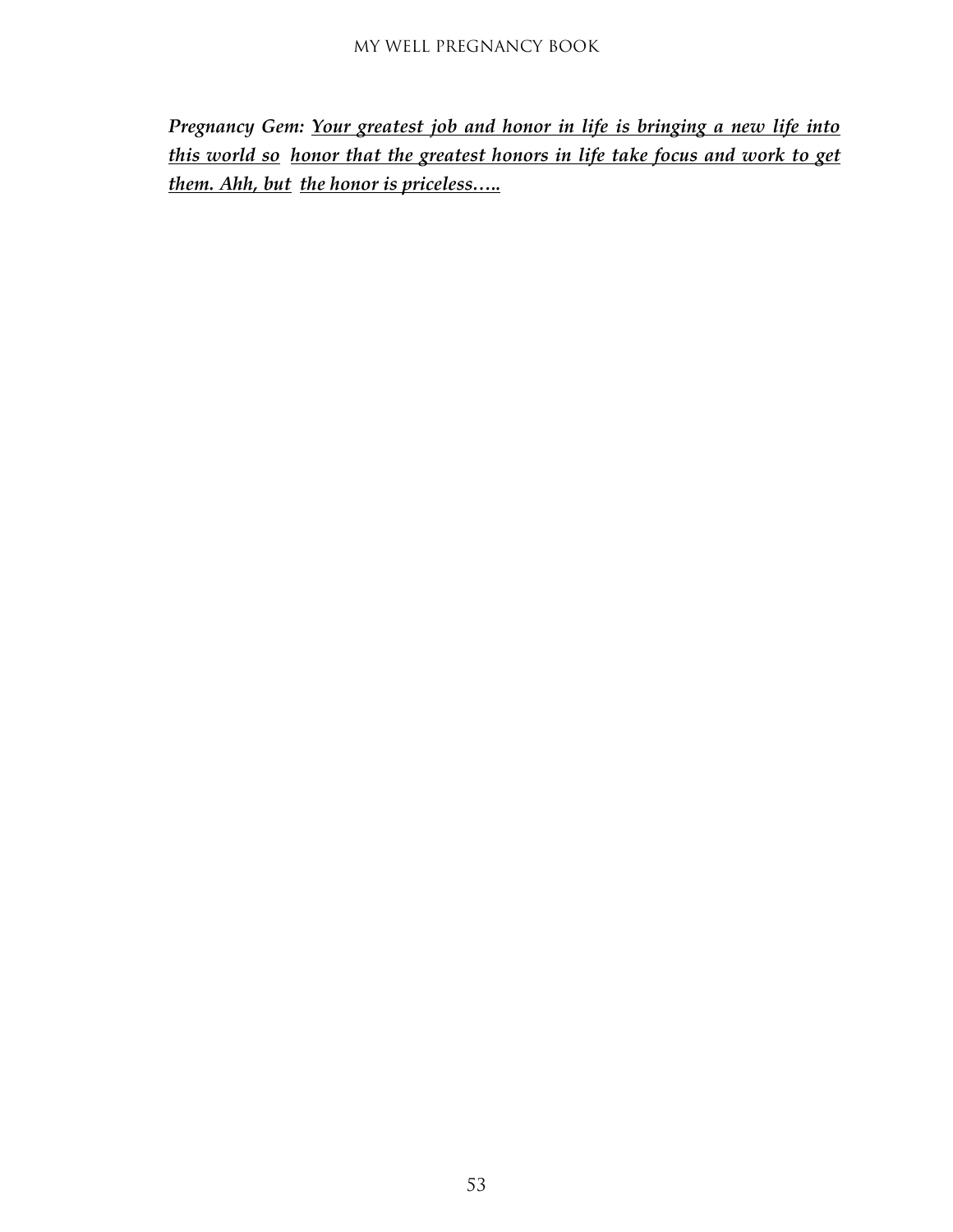*Pregnancy Gem: Your greatest job and honor in life is bringing a new life into this world so honor that the greatest honors in life take focus and work to get them. Ahh, but the honor is priceless…..*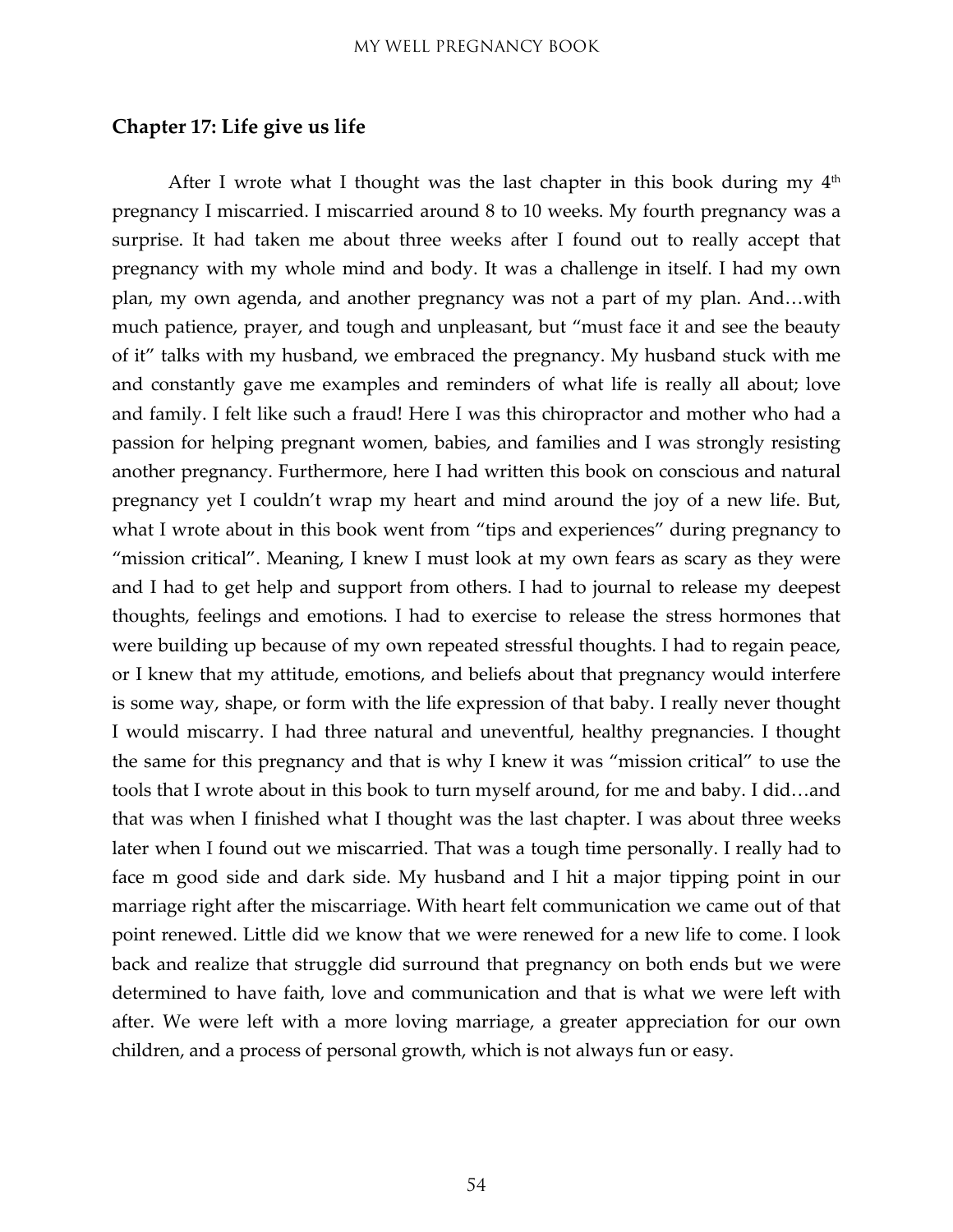#### <span id="page-53-0"></span>**Chapter 17: Life give us life**

After I wrote what I thought was the last chapter in this book during my  $4<sup>th</sup>$ pregnancy I miscarried. I miscarried around 8 to 10 weeks. My fourth pregnancy was a surprise. It had taken me about three weeks after I found out to really accept that pregnancy with my whole mind and body. It was a challenge in itself. I had my own plan, my own agenda, and another pregnancy was not a part of my plan. And…with much patience, prayer, and tough and unpleasant, but "must face it and see the beauty of it" talks with my husband, we embraced the pregnancy. My husband stuck with me and constantly gave me examples and reminders of what life is really all about; love and family. I felt like such a fraud! Here I was this chiropractor and mother who had a passion for helping pregnant women, babies, and families and I was strongly resisting another pregnancy. Furthermore, here I had written this book on conscious and natural pregnancy yet I couldn't wrap my heart and mind around the joy of a new life. But, what I wrote about in this book went from "tips and experiences" during pregnancy to "mission critical". Meaning, I knew I must look at my own fears as scary as they were and I had to get help and support from others. I had to journal to release my deepest thoughts, feelings and emotions. I had to exercise to release the stress hormones that were building up because of my own repeated stressful thoughts. I had to regain peace, or I knew that my attitude, emotions, and beliefs about that pregnancy would interfere is some way, shape, or form with the life expression of that baby. I really never thought I would miscarry. I had three natural and uneventful, healthy pregnancies. I thought the same for this pregnancy and that is why I knew it was "mission critical" to use the tools that I wrote about in this book to turn myself around, for me and baby. I did…and that was when I finished what I thought was the last chapter. I was about three weeks later when I found out we miscarried. That was a tough time personally. I really had to face m good side and dark side. My husband and I hit a major tipping point in our marriage right after the miscarriage. With heart felt communication we came out of that point renewed. Little did we know that we were renewed for a new life to come. I look back and realize that struggle did surround that pregnancy on both ends but we were determined to have faith, love and communication and that is what we were left with after. We were left with a more loving marriage, a greater appreciation for our own children, and a process of personal growth, which is not always fun or easy.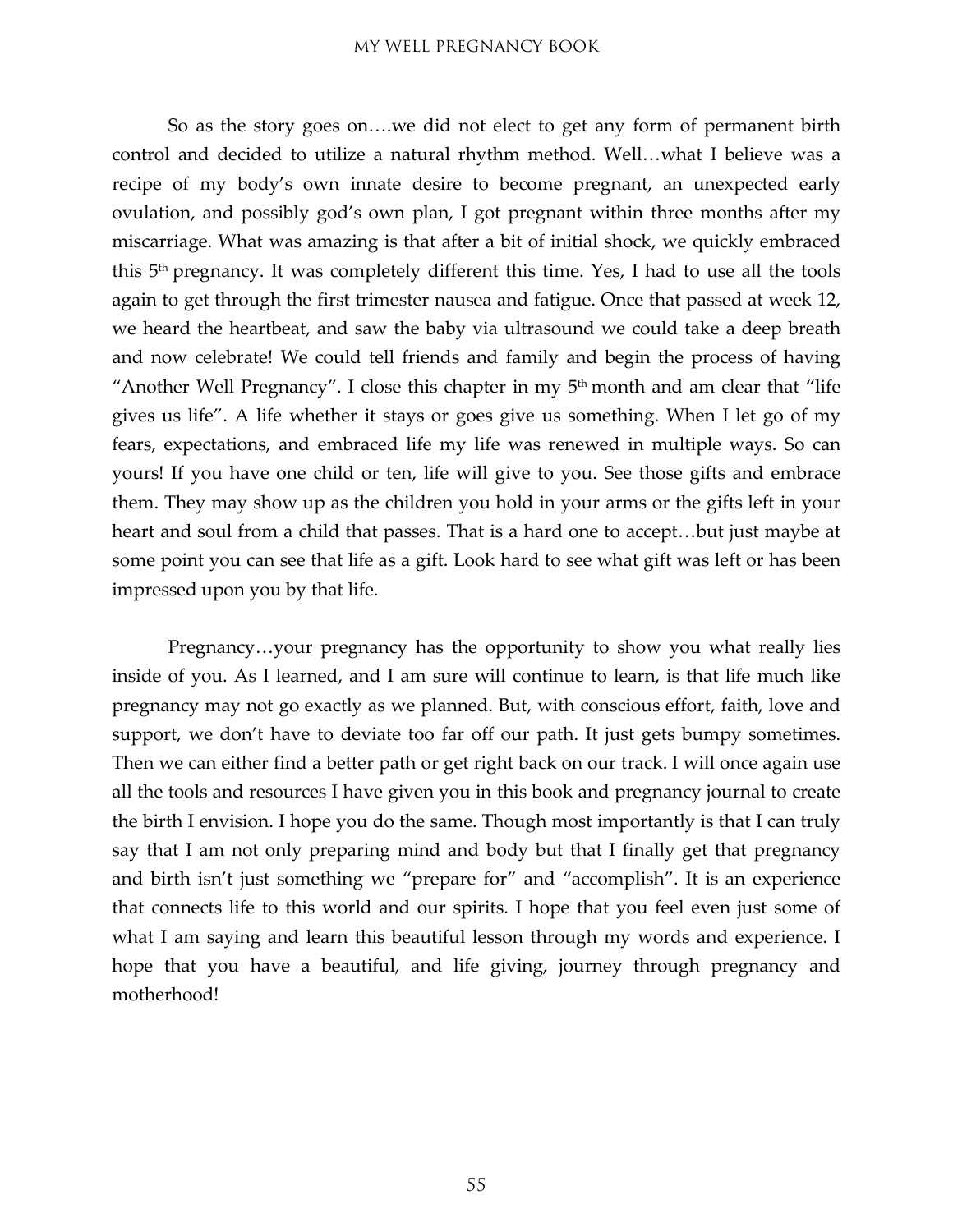So as the story goes on….we did not elect to get any form of permanent birth control and decided to utilize a natural rhythm method. Well…what I believe was a recipe of my body's own innate desire to become pregnant, an unexpected early ovulation, and possibly god's own plan, I got pregnant within three months after my miscarriage. What was amazing is that after a bit of initial shock, we quickly embraced this 5th pregnancy. It was completely different this time. Yes, I had to use all the tools again to get through the first trimester nausea and fatigue. Once that passed at week 12, we heard the heartbeat, and saw the baby via ultrasound we could take a deep breath and now celebrate! We could tell friends and family and begin the process of having "Another Well Pregnancy". I close this chapter in my  $5<sup>th</sup>$  month and am clear that "life gives us life". A life whether it stays or goes give us something. When I let go of my fears, expectations, and embraced life my life was renewed in multiple ways. So can yours! If you have one child or ten, life will give to you. See those gifts and embrace them. They may show up as the children you hold in your arms or the gifts left in your heart and soul from a child that passes. That is a hard one to accept…but just maybe at some point you can see that life as a gift. Look hard to see what gift was left or has been impressed upon you by that life.

Pregnancy…your pregnancy has the opportunity to show you what really lies inside of you. As I learned, and I am sure will continue to learn, is that life much like pregnancy may not go exactly as we planned. But, with conscious effort, faith, love and support, we don't have to deviate too far off our path. It just gets bumpy sometimes. Then we can either find a better path or get right back on our track. I will once again use all the tools and resources I have given you in this book and pregnancy journal to create the birth I envision. I hope you do the same. Though most importantly is that I can truly say that I am not only preparing mind and body but that I finally get that pregnancy and birth isn't just something we "prepare for" and "accomplish". It is an experience that connects life to this world and our spirits. I hope that you feel even just some of what I am saying and learn this beautiful lesson through my words and experience. I hope that you have a beautiful, and life giving, journey through pregnancy and motherhood!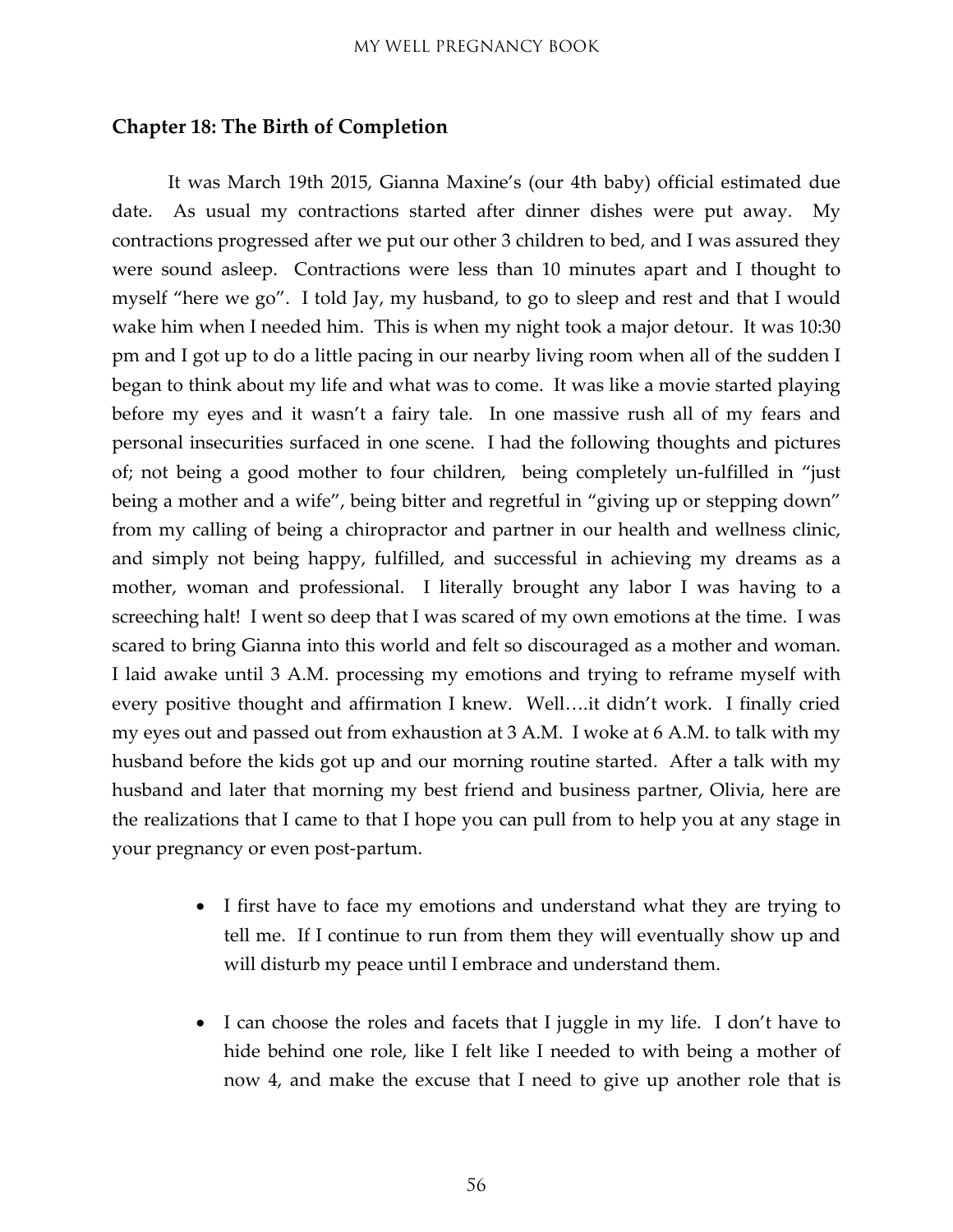#### <span id="page-55-0"></span>**Chapter 18: The Birth of Completion**

It was March 19th 2015, Gianna Maxine's (our 4th baby) official estimated due date. As usual my contractions started after dinner dishes were put away. My contractions progressed after we put our other 3 children to bed, and I was assured they were sound asleep. Contractions were less than 10 minutes apart and I thought to myself "here we go". I told Jay, my husband, to go to sleep and rest and that I would wake him when I needed him. This is when my night took a major detour. It was 10:30 pm and I got up to do a little pacing in our nearby living room when all of the sudden I began to think about my life and what was to come. It was like a movie started playing before my eyes and it wasn't a fairy tale. In one massive rush all of my fears and personal insecurities surfaced in one scene. I had the following thoughts and pictures of; not being a good mother to four children, being completely un-fulfilled in "just being a mother and a wife", being bitter and regretful in "giving up or stepping down" from my calling of being a chiropractor and partner in our health and wellness clinic, and simply not being happy, fulfilled, and successful in achieving my dreams as a mother, woman and professional. I literally brought any labor I was having to a screeching halt! I went so deep that I was scared of my own emotions at the time. I was scared to bring Gianna into this world and felt so discouraged as a mother and woman. I laid awake until 3 A.M. processing my emotions and trying to reframe myself with every positive thought and affirmation I knew. Well….it didn't work. I finally cried my eyes out and passed out from exhaustion at 3 A.M. I woke at 6 A.M. to talk with my husband before the kids got up and our morning routine started. After a talk with my husband and later that morning my best friend and business partner, Olivia, here are the realizations that I came to that I hope you can pull from to help you at any stage in your pregnancy or even post-partum.

- I first have to face my emotions and understand what they are trying to tell me. If I continue to run from them they will eventually show up and will disturb my peace until I embrace and understand them.
- I can choose the roles and facets that I juggle in my life. I don't have to hide behind one role, like I felt like I needed to with being a mother of now 4, and make the excuse that I need to give up another role that is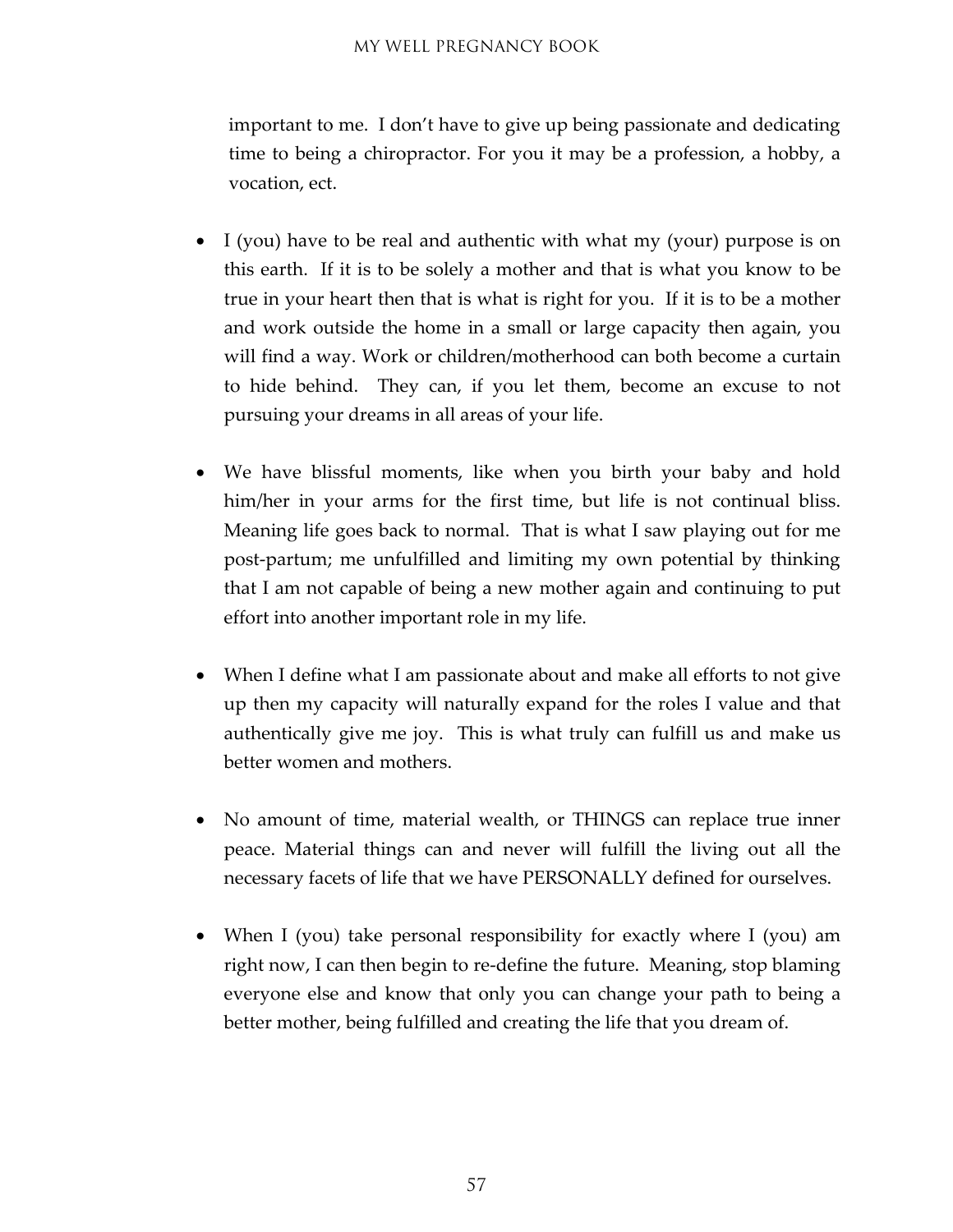important to me. I don't have to give up being passionate and dedicating time to being a chiropractor. For you it may be a profession, a hobby, a vocation, ect.

- I (you) have to be real and authentic with what my (your) purpose is on this earth. If it is to be solely a mother and that is what you know to be true in your heart then that is what is right for you. If it is to be a mother and work outside the home in a small or large capacity then again, you will find a way. Work or children/motherhood can both become a curtain to hide behind. They can, if you let them, become an excuse to not pursuing your dreams in all areas of your life.
- We have blissful moments, like when you birth your baby and hold him/her in your arms for the first time, but life is not continual bliss. Meaning life goes back to normal. That is what I saw playing out for me post-partum; me unfulfilled and limiting my own potential by thinking that I am not capable of being a new mother again and continuing to put effort into another important role in my life.
- When I define what I am passionate about and make all efforts to not give up then my capacity will naturally expand for the roles I value and that authentically give me joy. This is what truly can fulfill us and make us better women and mothers.
- No amount of time, material wealth, or THINGS can replace true inner peace. Material things can and never will fulfill the living out all the necessary facets of life that we have PERSONALLY defined for ourselves.
- When I (you) take personal responsibility for exactly where I (you) am right now, I can then begin to re-define the future. Meaning, stop blaming everyone else and know that only you can change your path to being a better mother, being fulfilled and creating the life that you dream of.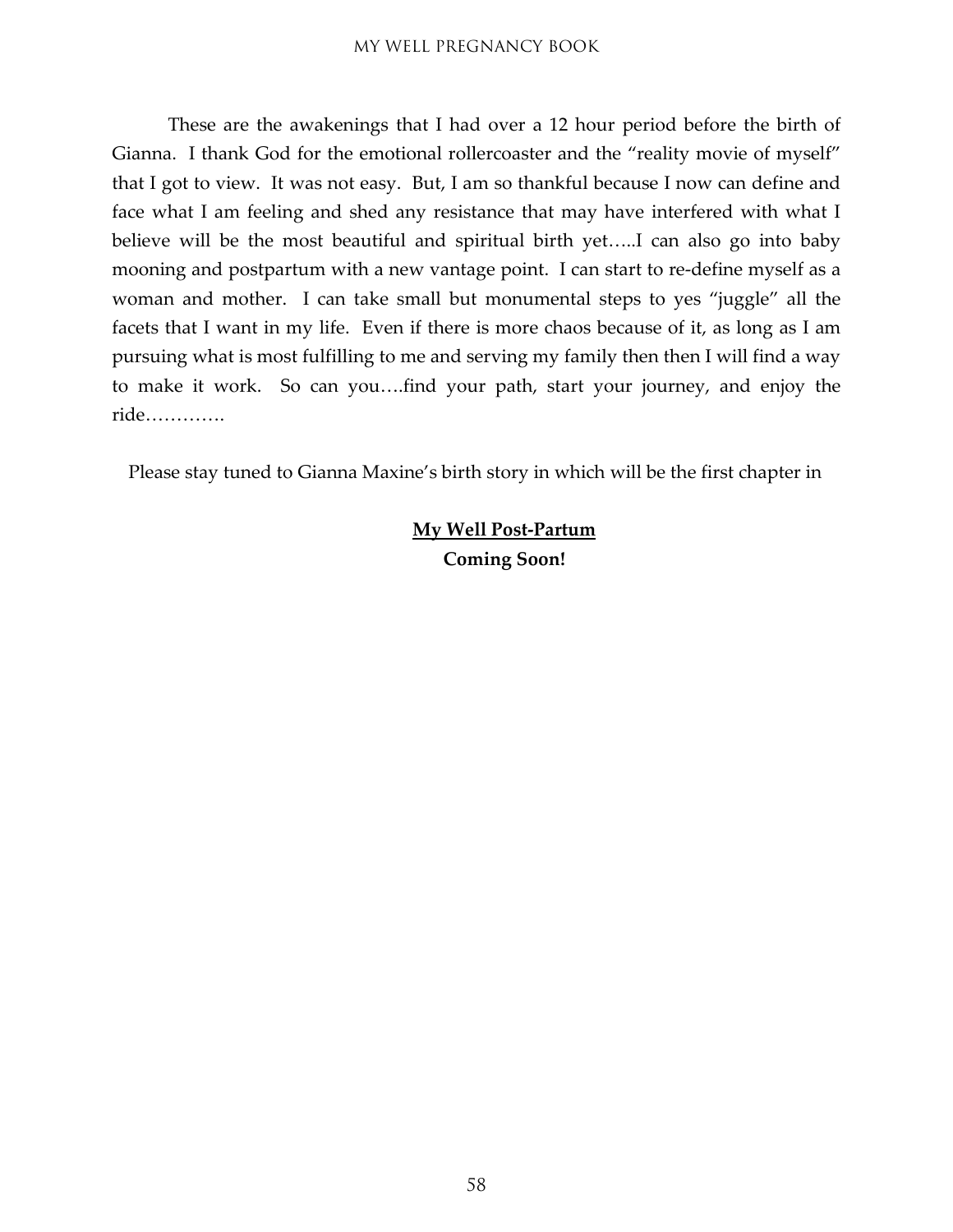These are the awakenings that I had over a 12 hour period before the birth of Gianna. I thank God for the emotional rollercoaster and the "reality movie of myself" that I got to view. It was not easy. But, I am so thankful because I now can define and face what I am feeling and shed any resistance that may have interfered with what I believe will be the most beautiful and spiritual birth yet…..I can also go into baby mooning and postpartum with a new vantage point. I can start to re-define myself as a woman and mother. I can take small but monumental steps to yes "juggle" all the facets that I want in my life. Even if there is more chaos because of it, as long as I am pursuing what is most fulfilling to me and serving my family then then I will find a way to make it work. So can you….find your path, start your journey, and enjoy the ride………….

Please stay tuned to Gianna Maxine's birth story in which will be the first chapter in

#### **My Well Post-Partum Coming Soon!**